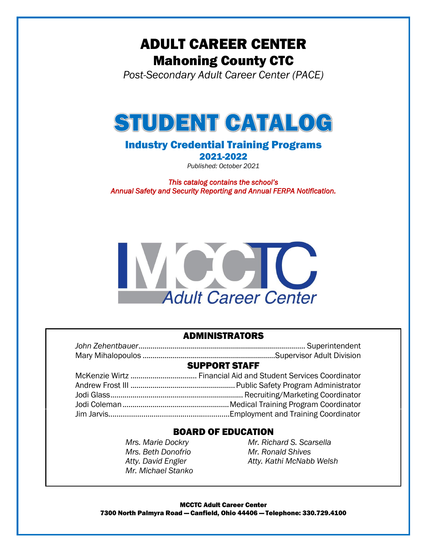# ADULT CAREER CENTER Mahoning County CTC

*Post-Secondary Adult Career Center (PACE)*



## Industry Credential Training Programs

2021-2022

*Published: October 2021*

*This catalog contains the school's Annual Safety and Security Reporting and Annual FERPA Notification.* 



### ADMINISTRATORS

| <b>SUPPORT STAFF</b> |  |  |
|----------------------|--|--|

### BOARD OF EDUCATION

*Mrs. Beth Donofrio Mr. Ronald Shives Mr. Michael Stanko*

*Mrs. Marie Dockry Mr. Richard S. Scarsella Atty. David Engler Atty. Kathi McNabb Welsh*

MCCTC Adult Career Center 7300 North Palmyra Road — Canfield, Ohio 44406 — Telephone: 330.729.4100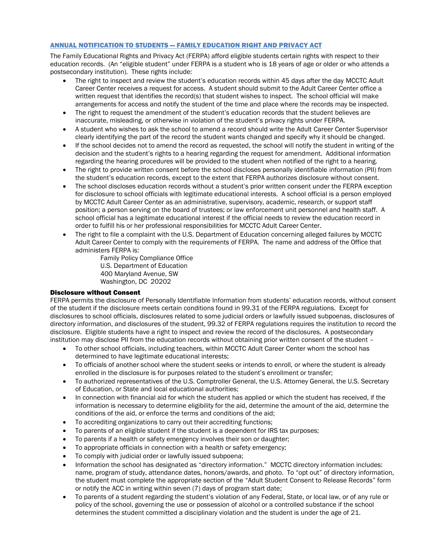### ANNUAL NOTIFICATION TO STUDENTS — FAMILY EDUCATION RIGHT AND PRIVACY ACT

The Family Educational Rights and Privacy Act (FERPA) afford eligible students certain rights with respect to their education records. (An "eligible student" under FERPA is a student who is 18 years of age or older or who attends a postsecondary institution). These rights include:

- The right to inspect and review the student's education records within 45 days after the day MCCTC Adult Career Center receives a request for access. A student should submit to the Adult Career Center office a written request that identifies the record(s) that student wishes to inspect. The school official will make arrangements for access and notify the student of the time and place where the records may be inspected.
- The right to request the amendment of the student's education records that the student believes are inaccurate, misleading, or otherwise in violation of the student's privacy rights under FERPA.
- A student who wishes to ask the school to amend a record should write the Adult Career Center Supervisor clearly identifying the part of the record the student wants changed and specify why it should be changed.
- If the school decides not to amend the record as requested, the school will notify the student in writing of the decision and the student's rights to a hearing regarding the request for amendment. Additional information regarding the hearing procedures will be provided to the student when notified of the right to a hearing.
- The right to provide written consent before the school discloses personally identifiable information (PII) from the student's education records, except to the extent that FERPA authorizes disclosure without consent.
- The school discloses education records without a student's prior written consent under the FERPA exception for disclosure to school officials with legitimate educational interests. A school official is a person employed by MCCTC Adult Career Center as an administrative, supervisory, academic, research, or support staff position; a person serving on the board of trustees; or law enforcement unit personnel and health staff. A school official has a legitimate educational interest if the official needs to review the education record in order to fulfill his or her professional responsibilities for MCCTC Adult Career Center.
- The right to file a complaint with the U.S. Department of Education concerning alleged failures by MCCTC Adult Career Center to comply with the requirements of FERPA. The name and address of the Office that administers FERPA is:

Family Policy Compliance Office U.S. Department of Education 400 Maryland Avenue, SW Washington, DC 20202

### Disclosure without Consent

FERPA permits the disclosure of Personally Identifiable Information from students' education records, without consent of the student if the disclosure meets certain conditions found in 99.31 of the FERPA regulations. Except for disclosures to school officials, disclosures related to some judicial orders or lawfully issued subpoenas, disclosures of directory information, and disclosures of the student, 99.32 of FERPA regulations requires the institution to record the disclosure. Eligible students have a right to inspect and review the record of the disclosures. A postsecondary institution may disclose PII from the education records without obtaining prior written consent of the student –

- To other school officials, including teachers, within MCCTC Adult Career Center whom the school has determined to have legitimate educational interests;
- To officials of another school where the student seeks or intends to enroll, or where the student is already enrolled in the disclosure is for purposes related to the student's enrollment or transfer;
- To authorized representatives of the U.S. Comptroller General, the U.S. Attorney General, the U.S. Secretary of Education, or State and local educational authorities;
- In connection with financial aid for which the student has applied or which the student has received, if the information is necessary to determine eligibility for the aid, determine the amount of the aid, determine the conditions of the aid, or enforce the terms and conditions of the aid;
- To accrediting organizations to carry out their accrediting functions;
- To parents of an eligible student if the student is a dependent for IRS tax purposes;
- To parents if a health or safety emergency involves their son or daughter;
- To appropriate officials in connection with a health or safety emergency;
- To comply with judicial order or lawfully issued subpoena;
- Information the school has designated as "directory information." MCCTC directory information includes: name, program of study, attendance dates, honors/awards, and photo. To "opt out" of directory information, the student must complete the appropriate section of the "Adult Student Consent to Release Records" form or notify the ACC in writing within seven (7) days of program start date;
- To parents of a student regarding the student's violation of any Federal, State, or local law, or of any rule or policy of the school, governing the use or possession of alcohol or a controlled substance if the school determines the student committed a disciplinary violation and the student is under the age of 21.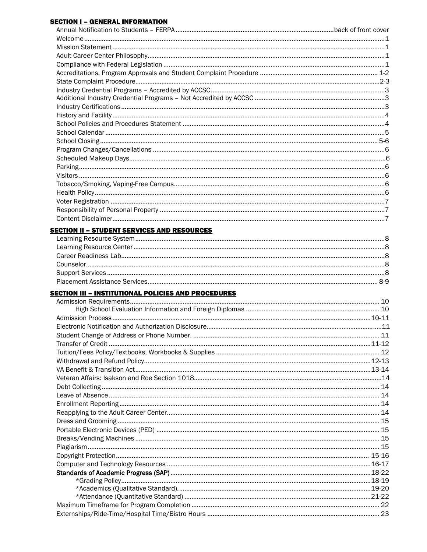### **SECTION I - GENERAL INFORMATION**

### **SECTION II - STUDENT SERVICES AND RESOURCES**

### **SECTION III - INSTITUTIONAL POLICIES AND PROCEDURES**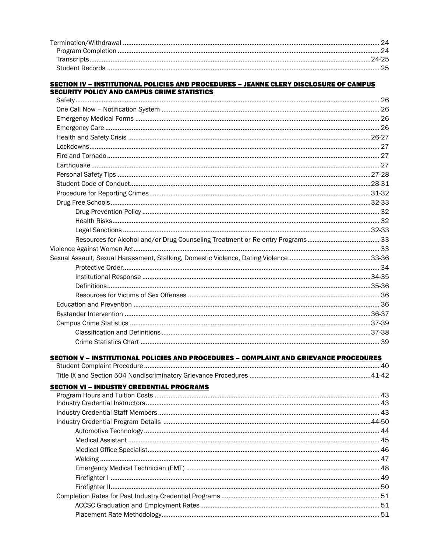### **SECTION IV - INSTITUTIONAL POLICIES AND PROCEDURES - JEANNE CLERY DISCLOSURE OF CAMPUS SECURITY POLICY AND CAMPUS CRIME STATISTICS**

| <b>SECTION V - INSTITUTIONAL POLICIES AND PROCEDURES - COMPLAINT AND GRIEVANCE PROCEDURES</b> |  |
|-----------------------------------------------------------------------------------------------|--|
|                                                                                               |  |
|                                                                                               |  |
| <b>SECTION VI - INDUSTRY CREDENTIAL PROGRAMS</b>                                              |  |
|                                                                                               |  |
|                                                                                               |  |
|                                                                                               |  |
|                                                                                               |  |
|                                                                                               |  |
|                                                                                               |  |
|                                                                                               |  |
|                                                                                               |  |
|                                                                                               |  |
|                                                                                               |  |
|                                                                                               |  |
|                                                                                               |  |
|                                                                                               |  |
|                                                                                               |  |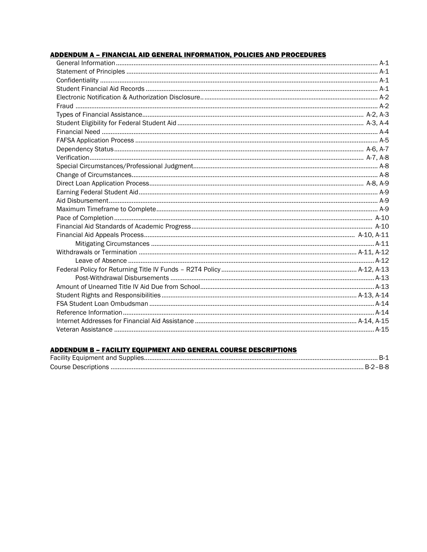### **ADDENDUM A - FINANCIAL AID GENERAL INFORMATION, POLICIES AND PROCEDURES**

## ADDENDUM B - FACILITY EQUIPMENT AND GENERAL COURSE DESCRIPTIONS

| B-2–B-8 |
|---------|
|         |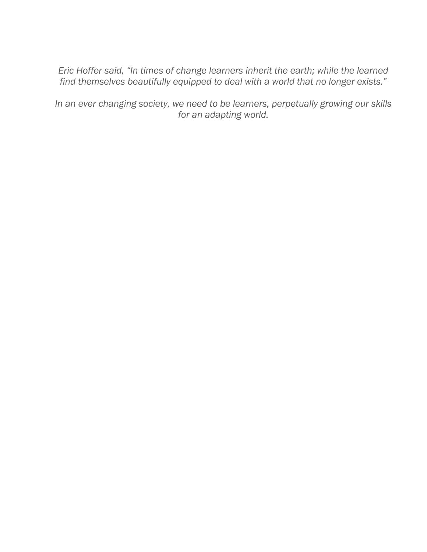*Eric Hoffer said, "In times of change learners inherit the earth; while the learned find themselves beautifully equipped to deal with a world that no longer exists."* 

*In an ever changing society, we need to be learners, perpetually growing our skills for an adapting world.*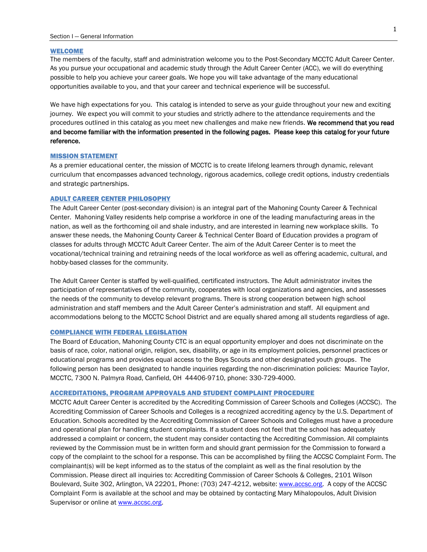#### WELCOME

The members of the faculty, staff and administration welcome you to the Post-Secondary MCCTC Adult Career Center. As you pursue your occupational and academic study through the Adult Career Center (ACC), we will do everything possible to help you achieve your career goals. We hope you will take advantage of the many educational opportunities available to you, and that your career and technical experience will be successful.

We have high expectations for you. This catalog is intended to serve as your guide throughout your new and exciting journey. We expect you will commit to your studies and strictly adhere to the attendance requirements and the procedures outlined in this catalog as you meet new challenges and make new friends. We recommend that you read and become familiar with the information presented in the following pages. Please keep this catalog for your future reference.

#### MISSION STATEMENT

As a premier educational center, the mission of MCCTC is to create lifelong learners through dynamic, relevant curriculum that encompasses advanced technology, rigorous academics, college credit options, industry credentials and strategic partnerships.

#### ADULT CAREER CENTER PHILOSOPHY

The Adult Career Center (post-secondary division) is an integral part of the Mahoning County Career & Technical Center. Mahoning Valley residents help comprise a workforce in one of the leading manufacturing areas in the nation, as well as the forthcoming oil and shale industry, and are interested in learning new workplace skills. To answer these needs, the Mahoning County Career & Technical Center Board of Education provides a program of classes for adults through MCCTC Adult Career Center. The aim of the Adult Career Center is to meet the vocational/technical training and retraining needs of the local workforce as well as offering academic, cultural, and hobby-based classes for the community.

The Adult Career Center is staffed by well-qualified, certificated instructors. The Adult administrator invites the participation of representatives of the community, cooperates with local organizations and agencies, and assesses the needs of the community to develop relevant programs. There is strong cooperation between high school administration and staff members and the Adult Career Center's administration and staff. All equipment and accommodations belong to the MCCTC School District and are equally shared among all students regardless of age.

#### COMPLIANCE WITH FEDERAL LEGISLATION

The Board of Education, Mahoning County CTC is an equal opportunity employer and does not discriminate on the basis of race, color, national origin, religion, sex, disability, or age in its employment policies, personnel practices or educational programs and provides equal access to the Boys Scouts and other designated youth groups. The following person has been designated to handle inquiries regarding the non-discrimination policies: Maurice Taylor, MCCTC, 7300 N. Palmyra Road, Canfield, OH 44406-9710, phone: 330-729-4000.

#### ACCREDITATIONS, PROGRAM APPROVALS AND STUDENT COMPLAINT PROCEDURE

MCCTC Adult Career Center is accredited by the Accrediting Commission of Career Schools and Colleges (ACCSC). The Accrediting Commission of Career Schools and Colleges is a recognized accrediting agency by the U.S. Department of Education. Schools accredited by the Accrediting Commission of Career Schools and Colleges must have a procedure and operational plan for handling student complaints. If a student does not feel that the school has adequately addressed a complaint or concern, the student may consider contacting the Accrediting Commission. All complaints reviewed by the Commission must be in written form and should grant permission for the Commission to forward a copy of the complaint to the school for a response. This can be accomplished by filing the ACCSC Complaint Form. The complainant(s) will be kept informed as to the status of the complaint as well as the final resolution by the Commission. Please direct all inquiries to: Accrediting Commission of Career Schools & Colleges, 2101 Wilson Boulevard, Suite 302, Arlington, VA 22201, Phone: (703) 247-4212, website: [www.accsc.org.](http://www.accsc.org/) A copy of the ACCSC Complaint Form is available at the school and may be obtained by contacting Mary Mihalopoulos, Adult Division Supervisor or online at **www.accsc.org**.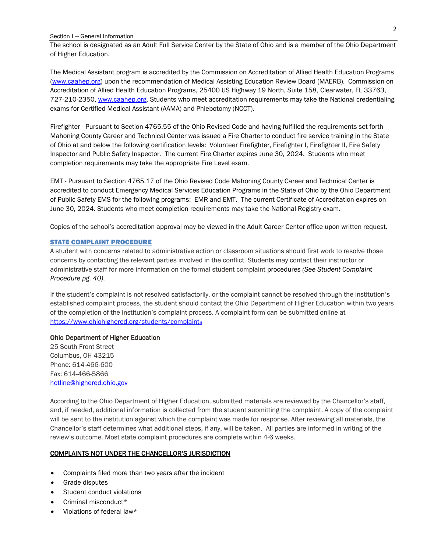#### Section I — General Information

The school is designated as an Adult Full Service Center by the State of Ohio and is a member of the Ohio Department of Higher Education.

The Medical Assistant program is accredited by the Commission on Accreditation of Allied Health Education Programs [\(www.caahep.org\)](http://www.caahep.org/) upon the recommendation of Medical Assisting Education Review Board (MAERB). Commission on Accreditation of Allied Health Education Programs, 25400 US Highway 19 North, Suite 158, Clearwater, FL 33763, 727-210-2350[, www.caahep.org.](http://www.caahep.org/) Students who meet accreditation requirements may take the National credentialing exams for Certified Medical Assistant (AAMA) and Phlebotomy (NCCT).

Firefighter - Pursuant to Section 4765.55 of the Ohio Revised Code and having fulfilled the requirements set forth Mahoning County Career and Technical Center was issued a Fire Charter to conduct fire service training in the State of Ohio at and below the following certification levels: Volunteer Firefighter, Firefighter I, Firefighter II, Fire Safety Inspector and Public Safety Inspector. The current Fire Charter expires June 30, 2024. Students who meet completion requirements may take the appropriate Fire Level exam.

EMT - Pursuant to Section 4765.17 of the Ohio Revised Code Mahoning County Career and Technical Center is accredited to conduct Emergency Medical Services Education Programs in the State of Ohio by the Ohio Department of Public Safety EMS for the following programs: EMR and EMT. The current Certificate of Accreditation expires on June 30, 2024. Students who meet completion requirements may take the National Registry exam.

Copies of the school's accreditation approval may be viewed in the Adult Career Center office upon written request.

### STATE COMPLAINT PROCEDURE

A student with concerns related to administrative action or classroom situations should first work to resolve those concerns by contacting the relevant parties involved in the conflict. Students may contact their instructor or administrative staff for more information on the formal student complaint procedures *(See Student Complaint Procedure pg. 40)*.

If the student's complaint is not resolved satisfactorily, or the complaint cannot be resolved through the institution's established complaint process, the student should contact the Ohio Department of Higher Education within two years of the completion of the institution's complaint process. A complaint form can be submitted online at [https://www.ohiohighered.org/students/complaint](https://www.ohiohighered.org/students/complaints)s

#### Ohio Department of Higher Education

25 South Front Street Columbus, OH 43215 Phone: 614-466-600 Fax: 614-466-5866 [hotline@highered.ohio.gov](mailto:hotline@highered.ohio.gov)

According to the Ohio Department of Higher Education, submitted materials are reviewed by the Chancellor's staff, and, if needed, additional information is collected from the student submitting the complaint. A copy of the complaint will be sent to the institution against which the complaint was made for response. After reviewing all materials, the Chancellor's staff determines what additional steps, if any, will be taken. All parties are informed in writing of the review's outcome. Most state complaint procedures are complete within 4-6 weeks.

#### COMPLAINTS NOT UNDER THE CHANCELLOR'S JURISDICTION

- Complaints filed more than two years after the incident
- Grade disputes
- Student conduct violations
- Criminal misconduct\*
- Violations of federal law\*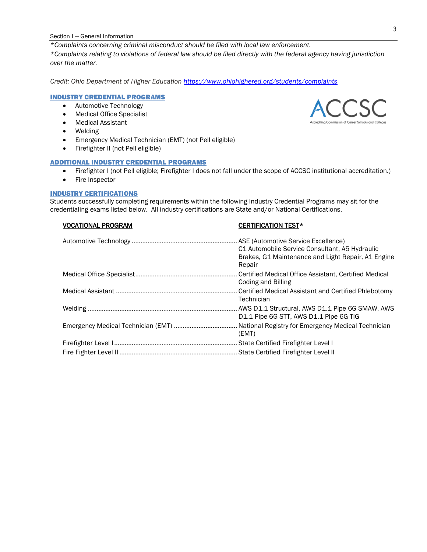#### Section I — General Information

*\*Complaints concerning criminal misconduct should be filed with local law enforcement. \*Complaints relating to violations of federal law should be filed directly with the federal agency having jurisdiction over the matter.*

*Credit: Ohio Department of Higher Education https://www.ohiohighered.org/students/complaints*

### INDUSTRY CREDENTIAL PROGRAMS

- Automotive Technology
- Medical Office Specialist
- Medical Assistant
- Welding
- Emergency Medical Technician (EMT) (not Pell eligible)
- Firefighter II (not Pell eligible)

### ADDITIONAL INDUSTRY CREDENTIAL PROGRAMS

- Firefighter I (not Pell eligible; Firefighter I does not fall under the scope of ACCSC institutional accreditation.)
- Fire Inspector

### INDUSTRY CERTIFICATIONS

Students successfully completing requirements within the following Industry Credential Programs may sit for the credentialing exams listed below. All industry certifications are State and/or National Certifications.

### VOCATIONAL PROGRAM CERTIFICATION TEST\*

| C1 Automobile Service Consultant, A5 Hydraulic<br>Brakes, G1 Maintenance and Light Repair, A1 Engine<br>Repair |
|----------------------------------------------------------------------------------------------------------------|
| Coding and Billing                                                                                             |
| Technician                                                                                                     |
| D1.1 Pipe 6G STT, AWS D1.1 Pipe 6G TIG                                                                         |
| (EMT)                                                                                                          |
|                                                                                                                |
|                                                                                                                |

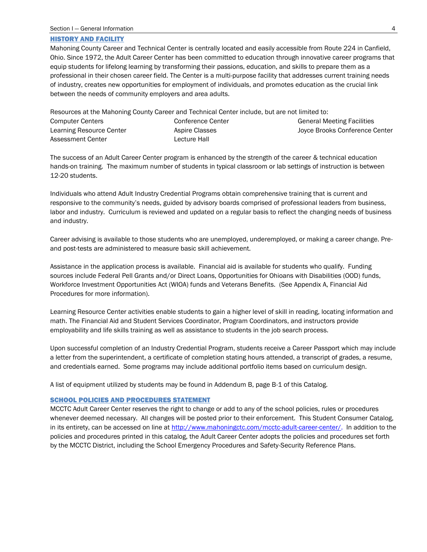#### HISTORY AND FACILITY

Mahoning County Career and Technical Center is centrally located and easily accessible from Route 224 in Canfield, Ohio. Since 1972, the Adult Career Center has been committed to education through innovative career programs that equip students for lifelong learning by transforming their passions, education, and skills to prepare them as a professional in their chosen career field. The Center is a multi-purpose facility that addresses current training needs of industry, creates new opportunities for employment of individuals, and promotes education as the crucial link between the needs of community employers and area adults.

|                          | Resources at the Mahoning County Career and Technical Center include, but are not limited to: |                                   |
|--------------------------|-----------------------------------------------------------------------------------------------|-----------------------------------|
| <b>Computer Centers</b>  | Conference Center                                                                             | <b>General Meeting Facilities</b> |
| Learning Resource Center | Aspire Classes                                                                                | Joyce Brooks Conference Center    |
| Assessment Center        | Lecture Hall                                                                                  |                                   |

The success of an Adult Career Center program is enhanced by the strength of the career & technical education hands-on training. The maximum number of students in typical classroom or lab settings of instruction is between 12-20 students.

Individuals who attend Adult Industry Credential Programs obtain comprehensive training that is current and responsive to the community's needs, guided by advisory boards comprised of professional leaders from business, labor and industry. Curriculum is reviewed and updated on a regular basis to reflect the changing needs of business and industry.

Career advising is available to those students who are unemployed, underemployed, or making a career change. Preand post-tests are administered to measure basic skill achievement.

Assistance in the application process is available. Financial aid is available for students who qualify. Funding sources include Federal Pell Grants and/or Direct Loans, Opportunities for Ohioans with Disabilities (OOD) funds, Workforce Investment Opportunities Act (WIOA) funds and Veterans Benefits. (See Appendix A, Financial Aid Procedures for more information).

Learning Resource Center activities enable students to gain a higher level of skill in reading, locating information and math. The Financial Aid and Student Services Coordinator, Program Coordinators, and instructors provide employability and life skills training as well as assistance to students in the job search process.

Upon successful completion of an Industry Credential Program, students receive a Career Passport which may include a letter from the superintendent, a certificate of completion stating hours attended, a transcript of grades, a resume, and credentials earned. Some programs may include additional portfolio items based on curriculum design.

A list of equipment utilized by students may be found in Addendum B, page B-1 of this Catalog.

#### SCHOOL POLICIES AND PROCEDURES STATEMENT

MCCTC Adult Career Center reserves the right to change or add to any of the school policies, rules or procedures whenever deemed necessary. All changes will be posted prior to their enforcement. This Student Consumer Catalog, in its entirety, can be accessed on line at [http://www.mahoningctc.com/mcctc-adult-career-center/.](http://www.mahoningctc.com/mcctc-adult-career-center/) In addition to the policies and procedures printed in this catalog, the Adult Career Center adopts the policies and procedures set forth by the MCCTC District, including the School Emergency Procedures and Safety-Security Reference Plans.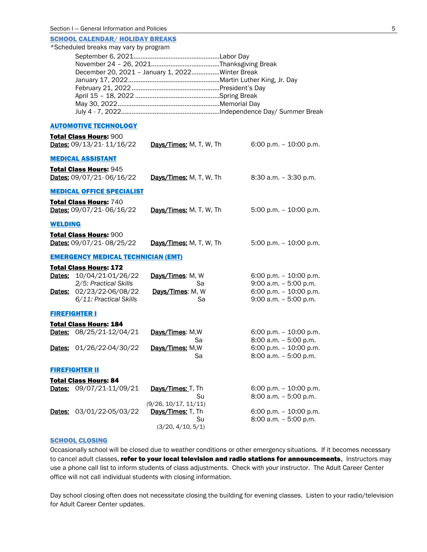|                                           | <b>SCHOOL CALENDAR/ HOLIDAY BREAKS</b>                    |                                                 |                                                      |
|-------------------------------------------|-----------------------------------------------------------|-------------------------------------------------|------------------------------------------------------|
| *Scheduled breaks may vary by program     |                                                           |                                                 |                                                      |
|                                           |                                                           | December 20, 2021 - January 1, 2022Winter Break |                                                      |
|                                           |                                                           |                                                 |                                                      |
|                                           |                                                           |                                                 |                                                      |
|                                           |                                                           |                                                 |                                                      |
|                                           | <b>AUTOMOTIVE TECHNOLOGY</b>                              |                                                 |                                                      |
|                                           | Total Class Hours: 900                                    |                                                 |                                                      |
|                                           | Dates: 09/13/21-11/16/22                                  | Days/Times: M, T, W, Th                         | 6:00 p.m. $-$ 10:00 p.m.                             |
|                                           | <b>MEDICAL ASSISTANT</b>                                  |                                                 |                                                      |
|                                           | <b>Total Class Hours: 945</b><br>Dates: 09/07/21-06/16/22 | Days/Times: M, T, W, Th                         | $8:30$ a.m. $-3:30$ p.m.                             |
|                                           | <b>MEDICAL OFFICE SPECIALIST</b>                          |                                                 |                                                      |
|                                           | Total Class Hours: 740<br>Dates: 09/07/21-06/16/22        | Days/Times: M, T, W, Th                         | 5:00 p.m. - 10:00 p.m.                               |
| <b>WELDING</b>                            |                                                           |                                                 |                                                      |
|                                           | <b>Total Class Hours: 900</b>                             |                                                 |                                                      |
|                                           | Dates: 09/07/21-08/25/22                                  | Days/Times: M, T, W, Th                         | 5:00 p.m. $-$ 10:00 p.m.                             |
| <b>EMERGENCY MEDICAL TECHNICIAN (EMT)</b> |                                                           |                                                 |                                                      |
|                                           | <b>Total Class Hours: 172</b>                             |                                                 |                                                      |
|                                           | Dates: 10/04/21-01/26/22<br>2/5: Practical Skills         | Days/Times: M, W<br>Sa                          | 6:00 p.m. $-$ 10:00 p.m.<br>$9:00$ a.m. $-5:00$ p.m. |
|                                           | Dates: 02/23/22-06/08/22                                  | Days/Times: M, W                                | 6:00 p.m. $-$ 10:00 p.m.                             |
|                                           | 6/11: Practical Skills                                    | Sa                                              | $9:00$ a.m. $-5:00$ p.m.                             |
| <b>FIREFIGHTER I</b>                      |                                                           |                                                 |                                                      |
|                                           | <b>Total Class Hours: 184</b>                             |                                                 |                                                      |
|                                           | Dates: 08/25/21-12/04/21                                  | Days/Times: M, W<br>Sa                          | 6:00 p.m. $-$ 10:00 p.m.<br>8:00 a.m. - 5:00 p.m.    |
|                                           | Dates: 01/26/22-04/30/22                                  | Days/Times: M, W                                | 6:00 p.m. - 10:00 p.m.                               |
|                                           |                                                           | Sa                                              | 8:00 a.m. - 5:00 p.m.                                |
| <b>FIREFIGHTER II</b>                     |                                                           |                                                 |                                                      |
|                                           | <b>Total Class Hours: 84</b><br>Dates: 09/07/21-11/09/21  | Days/Times: T, Th                               | 6:00 p.m. $-$ 10:00 p.m.                             |
|                                           |                                                           | Su                                              | 8:00 a.m. - 5:00 p.m.                                |
| Dates:                                    | 03/01/22-05/03/22                                         | (9/26, 10/17, 11/11)<br>Days/Times: T, Th       | 6:00 p.m. $-$ 10:00 p.m.                             |
|                                           |                                                           | Su                                              | 8:00 a.m. - 5:00 p.m.                                |
|                                           |                                                           | (3/20, 4/10, 5/1)                               |                                                      |

### SCHOOL CLOSING

Occasionally school will be closed due to weather conditions or other emergency situations. If it becomes necessary to cancel adult classes, refer to your local television and radio stations for announcements. Instructors may use a phone call list to inform students of class adjustments. Check with your instructor. The Adult Career Center office will not call individual students with closing information.

Day school closing often does not necessitate closing the building for evening classes. Listen to your radio/television for Adult Career Center updates.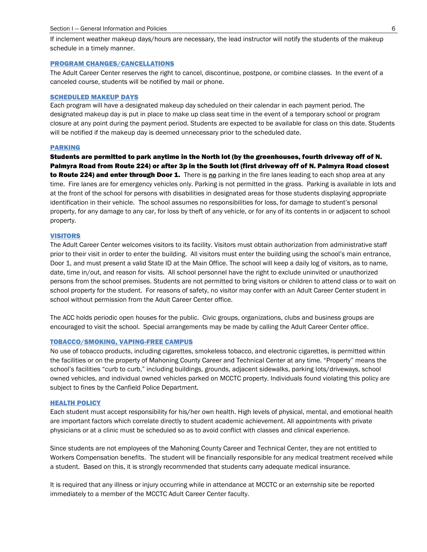If inclement weather makeup days/hours are necessary, the lead instructor will notify the students of the makeup schedule in a timely manner.

#### PROGRAM CHANGES/CANCELLATIONS

The Adult Career Center reserves the right to cancel, discontinue, postpone, or combine classes. In the event of a canceled course, students will be notified by mail or phone.

#### SCHEDULED MAKEUP DAYS

Each program will have a designated makeup day scheduled on their calendar in each payment period. The designated makeup day is put in place to make up class seat time in the event of a temporary school or program closure at any point during the payment period. Students are expected to be available for class on this date. Students will be notified if the makeup day is deemed unnecessary prior to the scheduled date.

#### PARKING

Students are permitted to park anytime in the North lot (by the greenhouses, fourth driveway off of N. Palmyra Road from Route 224) or after 3p in the South lot (first driveway off of N. Palmyra Road closest to Route 224) and enter through Door 1. There is no parking in the fire lanes leading to each shop area at any time. Fire lanes are for emergency vehicles only. Parking is not permitted in the grass. Parking is available in lots and at the front of the school for persons with disabilities in designated areas for those students displaying appropriate identification in their vehicle. The school assumes no responsibilities for loss, for damage to student's personal property, for any damage to any car, for loss by theft of any vehicle, or for any of its contents in or adjacent to school property.

#### VISITORS

The Adult Career Center welcomes visitors to its facility. Visitors must obtain authorization from administrative staff prior to their visit in order to enter the building. All visitors must enter the building using the school's main entrance, Door 1, and must present a valid State ID at the Main Office. The school will keep a daily log of visitors, as to name, date, time in/out, and reason for visits. All school personnel have the right to exclude uninvited or unauthorized persons from the school premises. Students are not permitted to bring visitors or children to attend class or to wait on school property for the student. For reasons of safety, no visitor may confer with an Adult Career Center student in school without permission from the Adult Career Center office.

The ACC holds periodic open houses for the public. Civic groups, organizations, clubs and business groups are encouraged to visit the school. Special arrangements may be made by calling the Adult Career Center office.

#### TOBACCO/SMOKING, VAPING-FREE CAMPUS

No use of tobacco products, including cigarettes, smokeless tobacco, and electronic cigarettes, is permitted within the facilities or on the property of Mahoning County Career and Technical Center at any time. "Property" means the school's facilities "curb to curb," including buildings, grounds, adjacent sidewalks, parking lots/driveways, school owned vehicles, and individual owned vehicles parked on MCCTC property. Individuals found violating this policy are subject to fines by the Canfield Police Department.

#### HEALTH POLICY

Each student must accept responsibility for his/her own health. High levels of physical, mental, and emotional health are important factors which correlate directly to student academic achievement. All appointments with private physicians or at a clinic must be scheduled so as to avoid conflict with classes and clinical experience.

Since students are not employees of the Mahoning County Career and Technical Center, they are not entitled to Workers Compensation benefits. The student will be financially responsible for any medical treatment received while a student. Based on this, it is strongly recommended that students carry adequate medical insurance.

It is required that any illness or injury occurring while in attendance at MCCTC or an externship site be reported immediately to a member of the MCCTC Adult Career Center faculty.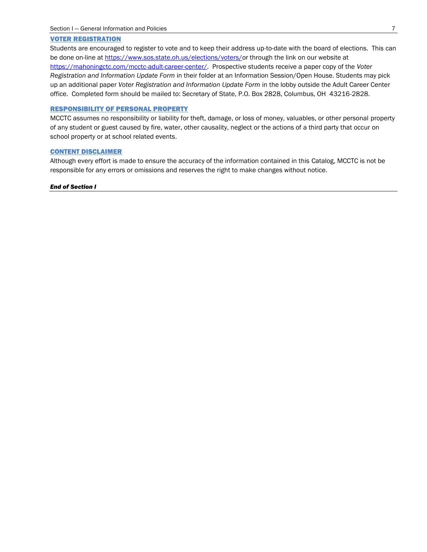### VOTER REGISTRATION

Students are encouraged to register to vote and to keep their address up-to-date with the board of elections. This can be done on-line at [https://www.sos.state.oh.us/elections/voters/o](https://www.sos.state.oh.us/elections/voters/)r through the link on our website at [https://mahoningctc.com/mcctc-adult-career-center/.](https://mahoningctc.com/mcctc-adult-career-center/) Prospective students receive a paper copy of the *Voter Registration and Information Update Form* in their folder at an Information Session/Open House. Students may pick up an additional paper *Voter Registration and Information Update Form* in the lobby outside the Adult Career Center office. Completed form should be mailed to: Secretary of State, P.O. Box 2828, Columbus, OH 43216-2828.

#### RESPONSIBILITY OF PERSONAL PROPERTY

MCCTC assumes no responsibility or liability for theft, damage, or loss of money, valuables, or other personal property of any student or guest caused by fire, water, other causality, neglect or the actions of a third party that occur on school property or at school related events.

#### CONTENT DISCLAIMER

Although every effort is made to ensure the accuracy of the information contained in this Catalog, MCCTC is not be responsible for any errors or omissions and reserves the right to make changes without notice.

#### *End of Section I*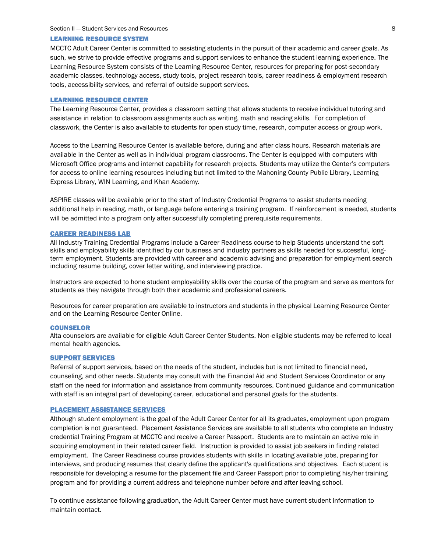#### LEARNING RESOURCE SYSTEM

MCCTC Adult Career Center is committed to assisting students in the pursuit of their academic and career goals. As such, we strive to provide effective programs and support services to enhance the student learning experience. The Learning Resource System consists of the Learning Resource Center, resources for preparing for post-secondary academic classes, technology access, study tools, project research tools, career readiness & employment research tools, accessibility services, and referral of outside support services.

#### LEARNING RESOURCE CENTER

The Learning Resource Center, provides a classroom setting that allows students to receive individual tutoring and assistance in relation to classroom assignments such as writing, math and reading skills. For completion of classwork, the Center is also available to students for open study time, research, computer access or group work.

Access to the Learning Resource Center is available before, during and after class hours. Research materials are available in the Center as well as in individual program classrooms. The Center is equipped with computers with Microsoft Office programs and internet capability for research projects. Students may utilize the Center's computers for access to online learning resources including but not limited to the Mahoning County Public Library, Learning Express Library, WIN Learning, and Khan Academy.

ASPIRE classes will be available prior to the start of Industry Credential Programs to assist students needing additional help in reading, math, or language before entering a training program. If reinforcement is needed, students will be admitted into a program only after successfully completing prerequisite requirements.

#### CAREER READINESS LAB

All Industry Training Credential Programs include a Career Readiness course to help Students understand the soft skills and employability skills identified by our business and industry partners as skills needed for successful, longterm employment. Students are provided with career and academic advising and preparation for employment search including resume building, cover letter writing, and interviewing practice.

Instructors are expected to hone student employability skills over the course of the program and serve as mentors for students as they navigate through both their academic and professional careers.

Resources for career preparation are available to instructors and students in the physical Learning Resource Center and on the Learning Resource Center Online.

#### COUNSELOR

Alta counselors are available for eligible Adult Career Center Students. Non-eligible students may be referred to local mental health agencies.

#### SUPPORT SERVICES

Referral of support services, based on the needs of the student, includes but is not limited to financial need, counseling, and other needs. Students may consult with the Financial Aid and Student Services Coordinator or any staff on the need for information and assistance from community resources. Continued guidance and communication with staff is an integral part of developing career, educational and personal goals for the students.

#### PLACEMENT ASSISTANCE SERVICES

Although student employment is the goal of the Adult Career Center for all its graduates, employment upon program completion is not guaranteed. Placement Assistance Services are available to all students who complete an Industry credential Training Program at MCCTC and receive a Career Passport. Students are to maintain an active role in acquiring employment in their related career field. Instruction is provided to assist job seekers in finding related employment. The Career Readiness course provides students with skills in locating available jobs, preparing for interviews, and producing resumes that clearly define the applicant's qualifications and objectives. Each student is responsible for developing a resume for the placement file and Career Passport prior to completing his/her training program and for providing a current address and telephone number before and after leaving school.

To continue assistance following graduation, the Adult Career Center must have current student information to maintain contact.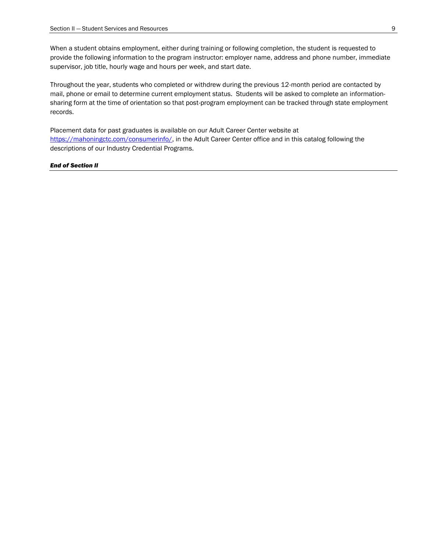When a student obtains employment, either during training or following completion, the student is requested to provide the following information to the program instructor: employer name, address and phone number, immediate supervisor, job title, hourly wage and hours per week, and start date.

Throughout the year, students who completed or withdrew during the previous 12-month period are contacted by mail, phone or email to determine current employment status. Students will be asked to complete an informationsharing form at the time of orientation so that post-program employment can be tracked through state employment records.

Placement data for past graduates is available on our Adult Career Center website at [https://mahoningctc.com/consumerinfo/,](https://mahoningctc.com/consumerinfo/) in the Adult Career Center office and in this catalog following the descriptions of our Industry Credential Programs.

#### *End of Section II*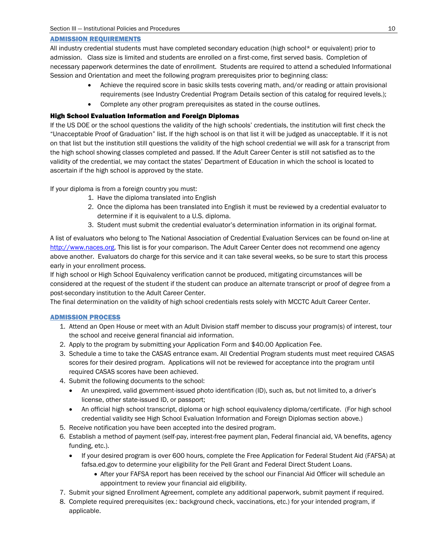### ADMISSION REQUIREMENTS

All industry credential students must have completed secondary education (high school\* or equivalent) prior to admission. Class size is limited and students are enrolled on a first-come, first served basis. Completion of necessary paperwork determines the date of enrollment. Students are required to attend a scheduled Informational Session and Orientation and meet the following program prerequisites prior to beginning class:

- Achieve the required score in basic skills tests covering math, and/or reading or attain provisional requirements (see Industry Credential Program Details section of this catalog for required levels.);
- Complete any other program prerequisites as stated in the course outlines.

### High School Evaluation Information and Foreign Diplomas

If the US DOE or the school questions the validity of the high schools' credentials, the institution will first check the "Unacceptable Proof of Graduation" list. If the high school is on that list it will be judged as unacceptable. If it is not on that list but the institution still questions the validity of the high school credential we will ask for a transcript from the high school showing classes completed and passed. If the Adult Career Center is still not satisfied as to the validity of the credential, we may contact the states' Department of Education in which the school is located to ascertain if the high school is approved by the state.

If your diploma is from a foreign country you must:

- 1. Have the diploma translated into English
- 2. Once the diploma has been translated into English it must be reviewed by a credential evaluator to determine if it is equivalent to a U.S. diploma.
- 3. Student must submit the credential evaluator's determination information in its original format.

A list of evaluators who belong to The National Association of Credential Evaluation Services can be found on-line at [http://www.naces.org.](http://www.naces.org/) This list is for your comparison. The Adult Career Center does not recommend one agency above another. Evaluators do charge for this service and it can take several weeks, so be sure to start this process early in your enrollment process.

If high school or High School Equivalency verification cannot be produced, mitigating circumstances will be considered at the request of the student if the student can produce an alternate transcript or proof of degree from a post-secondary institution to the Adult Career Center.

The final determination on the validity of high school credentials rests solely with MCCTC Adult Career Center.

### ADMISSION PROCESS

- 1. Attend an Open House or meet with an Adult Division staff member to discuss your program(s) of interest, tour the school and receive general financial aid information.
- 2. Apply to the program by submitting your Application Form and \$40.00 Application Fee.
- 3. Schedule a time to take the CASAS entrance exam. All Credential Program students must meet required CASAS scores for their desired program. Applications will not be reviewed for acceptance into the program until required CASAS scores have been achieved.
- 4. Submit the following documents to the school:
	- An unexpired, valid government-issued photo identification (ID), such as, but not limited to, a driver's license, other state-issued ID, or passport;
	- An official high school transcript, diploma or high school equivalency diploma/certificate. (For high school credential validity see High School Evaluation Information and Foreign Diplomas section above.)
- 5. Receive notification you have been accepted into the desired program.
- 6. Establish a method of payment (self-pay, interest-free payment plan, Federal financial aid, VA benefits, agency funding, etc.).
	- If your desired program is over 600 hours, complete the Free Application for Federal Student Aid (FAFSA) at [fafsa.ed.gov](http://fafsa.ed.gov/) to determine your eligibility for the Pell Grant and Federal Direct Student Loans.
		- After your FAFSA report has been received by the school our Financial Aid Officer will schedule an appointment to review your financial aid eligibility.
- 7. Submit your signed Enrollment Agreement, complete any additional paperwork, submit payment if required.
- 8. Complete required prerequisites (ex.: background check, vaccinations, etc.) for your intended program, if applicable.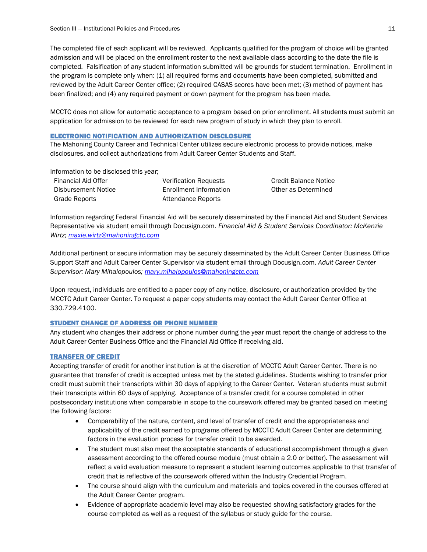The completed file of each applicant will be reviewed. Applicants qualified for the program of choice will be granted admission and will be placed on the enrollment roster to the next available class according to the date the file is completed. Falsification of any student information submitted will be grounds for student termination. Enrollment in the program is complete only when: (1) all required forms and documents have been completed, submitted and reviewed by the Adult Career Center office; (2) required CASAS scores have been met; (3) method of payment has been finalized; and (4) any required payment or down payment for the program has been made.

MCCTC does not allow for automatic acceptance to a program based on prior enrollment. All students must submit an application for admission to be reviewed for each new program of study in which they plan to enroll.

### ELECTRONIC NOTIFICATION AND AUTHORIZATION DISCLOSURE

The Mahoning County Career and Technical Center utilizes secure electronic process to provide notices, make disclosures, and collect authorizations from Adult Career Center Students and Staff.

Information to be disclosed this year;

| Financial Aid Offer |  |
|---------------------|--|
| Disbursement Notice |  |
| Grade Reports       |  |

Verification Requests Credit Balance Notice Enrollment Information **Conservation** Other as Determined Attendance Reports

Information regarding Federal Financial Aid will be securely disseminated by the Financial Aid and Student Services Representative via student email through Docusign.com. *Financial Aid & Student Services Coordinator: McKenzie Wirtz; [maxie.wirtz@mahoningctc.com](mailto:maxie.wirtz@mahoningctc.com)*

Additional pertinent or secure information may be securely disseminated by the Adult Career Center Business Office Support Staff and Adult Career Center Supervisor via student email through Docusign.com. *Adult Career Center Supervisor: Mary Mihalopoulos; [mary.mihalopoulos@mahoningctc.com](mailto:mary.mihalopoulos@mahoningctc.com)*

Upon request, individuals are entitled to a paper copy of any notice, disclosure, or authorization provided by the MCCTC Adult Career Center. To request a paper copy students may contact the Adult Career Center Office at 330.729.4100.

### STUDENT CHANGE OF ADDRESS OR PHONE NUMBER

Any student who changes their address or phone number during the year must report the change of address to the Adult Career Center Business Office and the Financial Aid Office if receiving aid.

### TRANSFER OF CREDIT

Accepting transfer of credit for another institution is at the discretion of MCCTC Adult Career Center. There is no guarantee that transfer of credit is accepted unless met by the stated guidelines. Students wishing to transfer prior credit must submit their transcripts within 30 days of applying to the Career Center. Veteran students must submit their transcripts within 60 days of applying. Acceptance of a transfer credit for a course completed in other postsecondary institutions when comparable in scope to the coursework offered may be granted based on meeting the following factors:

- Comparability of the nature, content, and level of transfer of credit and the appropriateness and applicability of the credit earned to programs offered by MCCTC Adult Career Center are determining factors in the evaluation process for transfer credit to be awarded.
- The student must also meet the acceptable standards of educational accomplishment through a given assessment according to the offered course module (must obtain a 2.0 or better). The assessment will reflect a valid evaluation measure to represent a student learning outcomes applicable to that transfer of credit that is reflective of the coursework offered within the Industry Credential Program.
- The course should align with the curriculum and materials and topics covered in the courses offered at the Adult Career Center program.
- Evidence of appropriate academic level may also be requested showing satisfactory grades for the course completed as well as a request of the syllabus or study guide for the course.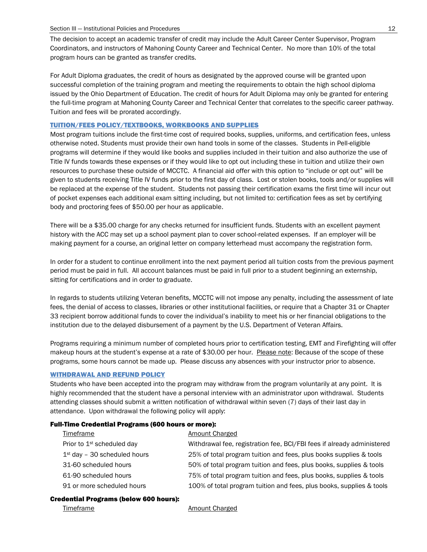The decision to accept an academic transfer of credit may include the Adult Career Center Supervisor, Program Coordinators, and instructors of Mahoning County Career and Technical Center. No more than 10% of the total program hours can be granted as transfer credits.

For Adult Diploma graduates, the credit of hours as designated by the approved course will be granted upon successful completion of the training program and meeting the requirements to obtain the high school diploma issued by the Ohio Department of Education. The credit of hours for Adult Diploma may only be granted for entering the full-time program at Mahoning County Career and Technical Center that correlates to the specific career pathway. Tuition and fees will be prorated accordingly.

### TUITION/FEES POLICY/TEXTBOOKS, WORKBOOKS AND SUPPLIES

Most program tuitions include the first-time cost of required books, supplies, uniforms, and certification fees, unless otherwise noted. Students must provide their own hand tools in some of the classes. Students in Pell-eligible programs will determine if they would like books and supplies included in their tuition and also authorize the use of Title IV funds towards these expenses or if they would like to opt out including these in tuition and utilize their own resources to purchase these outside of MCCTC. A financial aid offer with this option to "include or opt out" will be given to students receiving Title IV funds prior to the first day of class. Lost or stolen books, tools and/or supplies will be replaced at the expense of the student. Students not passing their certification exams the first time will incur out of pocket expenses each additional exam sitting including, but not limited to: certification fees as set by certifying body and proctoring fees of \$50.00 per hour as applicable.

There will be a \$35.00 charge for any checks returned for insufficient funds. Students with an excellent payment history with the ACC may set up a school payment plan to cover school-related expenses. If an employer will be making payment for a course, an original letter on company letterhead must accompany the registration form.

In order for a student to continue enrollment into the next payment period all tuition costs from the previous payment period must be paid in full. All account balances must be paid in full prior to a student beginning an externship, sitting for certifications and in order to graduate.

In regards to students utilizing Veteran benefits, MCCTC will not impose any penalty, including the assessment of late fees, the denial of access to classes, libraries or other institutional facilities, or require that a Chapter 31 or Chapter 33 recipient borrow additional funds to cover the individual's inability to meet his or her financial obligations to the institution due to the delayed disbursement of a payment by the U.S. Department of Veteran Affairs.

Programs requiring a minimum number of completed hours prior to certification testing, EMT and Firefighting will offer makeup hours at the student's expense at a rate of \$30.00 per hour. Please note: Because of the scope of these programs, some hours cannot be made up. Please discuss any absences with your instructor prior to absence.

### WITHDRAWAL AND REFUND POLICY

Students who have been accepted into the program may withdraw from the program voluntarily at any point. It is highly recommended that the student have a personal interview with an administrator upon withdrawal. Students attending classes should submit a written notification of withdrawal within seven (7) days of their last day in attendance. Upon withdrawal the following policy will apply:

#### Full-Time Credential Programs (600 hours or more):

| <b>Timeframe</b>                       | Amount Charged                                                         |
|----------------------------------------|------------------------------------------------------------------------|
| Prior to 1 <sup>st</sup> scheduled day | Withdrawal fee, registration fee, BCI/FBI fees if already administered |
| $1st$ day - 30 scheduled hours         | 25% of total program tuition and fees, plus books supplies & tools     |
| 31-60 scheduled hours                  | 50% of total program tuition and fees, plus books, supplies & tools    |
| 61-90 scheduled hours                  | 75% of total program tuition and fees, plus books, supplies & tools    |
| 91 or more scheduled hours             | 100% of total program tuition and fees, plus books, supplies & tools   |
|                                        |                                                                        |

#### Credential Programs (below 600 hours):

Timeframe **Amount Charged**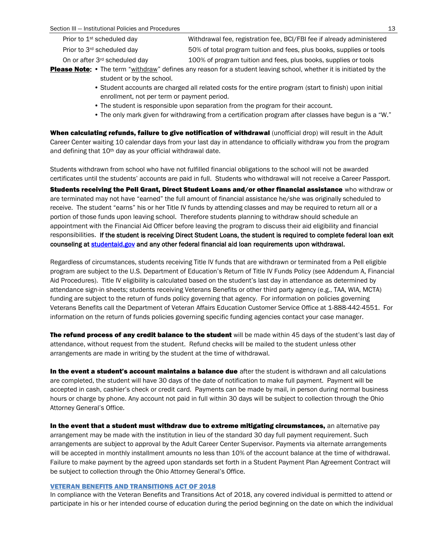| Prior to 1 <sup>st</sup> scheduled day    | Withdrawal fee, registration fee, BCI/FBI fee if already administered |
|-------------------------------------------|-----------------------------------------------------------------------|
| Prior to 3rd scheduled day                | 50% of total program tuition and fees, plus books, supplies or tools  |
| On or after 3 <sup>rd</sup> scheduled day | 100% of program tuition and fees, plus books, supplies or tools       |

Please Note: • The term "withdraw" defines any reason for a student leaving school, whether it is initiated by the student or by the school.

- Student accounts are charged all related costs for the entire program (start to finish) upon initial enrollment, not per term or payment period.
- The student is responsible upon separation from the program for their account.
- The only mark given for withdrawing from a certification program after classes have begun is a "W."

When calculating refunds, failure to give notification of withdrawal (unofficial drop) will result in the Adult Career Center waiting 10 calendar days from your last day in attendance to officially withdraw you from the program and defining that 10<sup>th</sup> day as your official withdrawal date.

Students withdrawn from school who have not fulfilled financial obligations to the school will not be awarded certificates until the students' accounts are paid in full. Students who withdrawal will not receive a Career Passport.

Students receiving the Pell Grant, Direct Student Loans and/or other financial assistance who withdraw or are terminated may not have "earned" the full amount of financial assistance he/she was originally scheduled to receive. The student "earns" his or her Title IV funds by attending classes and may be required to return all or a portion of those funds upon leaving school. Therefore students planning to withdraw should schedule an appointment with the Financial Aid Officer before leaving the program to discuss their aid eligibility and financial responsibilities. If the student is receiving Direct Student Loans, the student is required to complete federal loan exit counseling at [studentaid.gov a](http://studentloans.gov/)nd any other federal financial aid loan requirements upon withdrawal.

Regardless of circumstances, students receiving Title IV funds that are withdrawn or terminated from a Pell eligible program are subject to the U.S. Department of Education's Return of Title IV Funds Policy (see Addendum A, Financial Aid Procedures). Title IV eligibility is calculated based on the student's last day in attendance as determined by attendance sign-in sheets; students receiving Veterans Benefits or other third party agency (e.g., TAA, WIA, MCTA) funding are subject to the return of funds policy governing that agency. For information on policies governing Veterans Benefits call the Department of Veteran Affairs Education Customer Service Office at 1-888-442-4551. For information on the return of funds policies governing specific funding agencies contact your case manager.

The refund process of any credit balance to the student will be made within 45 days of the student's last day of attendance, without request from the student. Refund checks will be mailed to the student unless other arrangements are made in writing by the student at the time of withdrawal.

In the event a student's account maintains a balance due after the student is withdrawn and all calculations are completed, the student will have 30 days of the date of notification to make full payment. Payment will be accepted in cash, cashier's check or credit card. Payments can be made by mail, in person during normal business hours or charge by phone. Any account not paid in full within 30 days will be subject to collection through the Ohio Attorney General's Office.

In the event that a student must withdraw due to extreme mitigating circumstances, an alternative pay arrangement may be made with the institution in lieu of the standard 30 day full payment requirement. Such arrangements are subject to approval by the Adult Career Center Supervisor. Payments via alternate arrangements will be accepted in monthly installment amounts no less than 10% of the account balance at the time of withdrawal. Failure to make payment by the agreed upon standards set forth in a Student Payment Plan Agreement Contract will be subject to collection through the Ohio Attorney General's Office.

### VETERAN BENEFITS AND TRANSITIONS ACT OF 2018

In compliance with the Veteran Benefits and Transitions Act of 2018, any covered individual is permitted to attend or participate in his or her intended course of education during the period beginning on the date on which the individual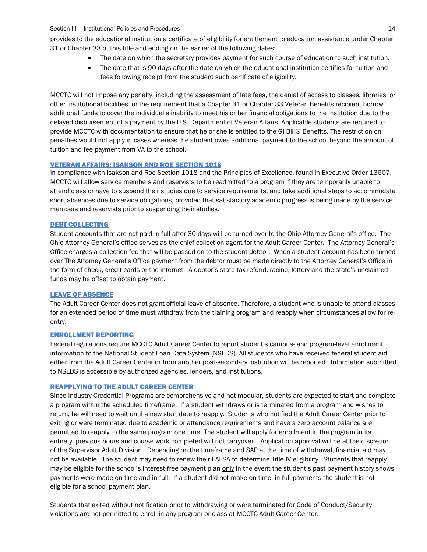provides to the educational institution a certificate of eligibility for entitlement to education assistance under Chapter 31 or Chapter 33 of this title and ending on the earlier of the following dates:

- The date on which the secretary provides payment for such course of education to such institution.
- The date that is 90 days after the date on which the educational institution certifies for tuition and fees following receipt from the student such certificate of eligibility.

MCCTC will not impose any penalty, including the assessment of late fees, the denial of access to classes, libraries, or other institutional facilities, or the requirement that a Chapter 31 or Chapter 33 Veteran Benefits recipient borrow additional funds to cover the individual's inability to meet his or her financial obligations to the institution due to the delayed disbursement of a payment by the U.S. Department of Veteran Affairs. Applicable students are required to provide MCCTC with documentation to ensure that he or she is entitled to the GI Bill® Benefits. The restriction on penalties would not apply in cases whereas the student owes additional payment to the school beyond the amount of tuition and fee payment from VA to the school.

### VETERAN AFFAIRS: ISAKSON AND ROE SECTION 1018

In compliance with Isakson and Roe Section 1018 and the Principles of Excellence, found in Executive Order 13607, MCCTC will allow service members and reservists to be readmitted to a program if they are temporarily unable to attend class or have to suspend their studies due to service requirements, and take additional steps to accommodate short absences due to service obligations, provided that satisfactory academic progress is being made by the service members and reservists prior to suspending their studies.

### DEBT COLLECTING

Student accounts that are not paid in full after 30 days will be turned over to the Ohio Attorney General's office. The Ohio Attorney General's office serves as the chief collection agent for the Adult Career Center. The Attorney General's Office charges a collection fee that will be passed on to the student debtor. When a student account has been turned over The Attorney General's Office payment from the debtor must be made directly to the Attorney General's Office in the form of check, credit cards or the internet. A debtor's state tax refund, racino, lottery and the state's unclaimed funds may be offset to obtain payment.

#### LEAVE OF ABSENCE

The Adult Career Center does not grant official leave of absence. Therefore, a student who is unable to attend classes for an extended period of time must withdraw from the training program and reapply when circumstances allow for reentry.

#### ENROLLMENT REPORTING

Federal regulations require MCCTC Adult Career Center to report student's campus- and program-level enrollment information to the National Student Loan Data System (NSLDS). All students who have received federal student aid either from the Adult Career Center or from another post-secondary institution will be reported. Information submitted to NSLDS is accessible by authorized agencies, lenders, and institutions.

#### REAPPLYING TO THE ADULT CAREER CENTER

Since Industry Credential Programs are comprehensive and not modular, students are expected to start and complete a program within the scheduled timeframe. If a student withdraws or is terminated from a program and wishes to return, he will need to wait until a new start date to reapply. Students who notified the Adult Career Center prior to exiting or were terminated due to academic or attendance requirements and have a zero account balance are permitted to reapply to the same program one time. The student will apply for enrollment in the program in its entirety, previous hours and course work completed will not carryover. Application approval will be at the discretion of the Supervisor Adult Division. Depending on the timeframe and SAP at the time of withdrawal, financial aid may not be available. The student may need to renew their FAFSA to determine Title IV eligibility. Students that reapply may be eligible for the school's interest-free payment plan only in the event the student's past payment history shows payments were made on-time and in-full. If a student did not make on-time, in-full payments the student is not eligible for a school payment plan.

Students that exited without notification prior to withdrawing or were terminated for Code of Conduct/Security violations are not permitted to enroll in any program or class at MCCTC Adult Career Center.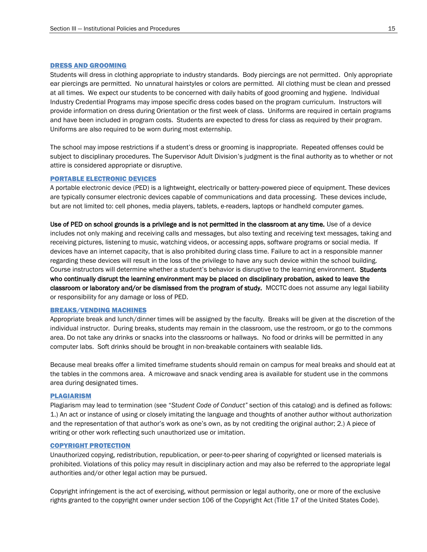#### DRESS AND GROOMING

Students will dress in clothing appropriate to industry standards. Body piercings are not permitted. Only appropriate ear piercings are permitted. No unnatural hairstyles or colors are permitted. All clothing must be clean and pressed at all times. We expect our students to be concerned with daily habits of good grooming and hygiene. Individual Industry Credential Programs may impose specific dress codes based on the program curriculum. Instructors will provide information on dress during Orientation or the first week of class. Uniforms are required in certain programs and have been included in program costs. Students are expected to dress for class as required by their program. Uniforms are also required to be worn during most externship.

The school may impose restrictions if a student's dress or grooming is inappropriate. Repeated offenses could be subject to disciplinary procedures. The Supervisor Adult Division's judgment is the final authority as to whether or not attire is considered appropriate or disruptive.

#### PORTABLE ELECTRONIC DEVICES

A portable electronic device (PED) is a lightweight, electrically or battery-powered piece of equipment. These devices are typically consumer electronic devices capable of communications and data processing. These devices include, but are not limited to: cell phones, media players, tablets, e-readers, laptops or handheld computer games.

Use of PED on school grounds is a privilege and is not permitted in the classroom at any time. Use of a device includes not only making and receiving calls and messages, but also texting and receiving text messages, taking and receiving pictures, listening to music, watching videos, or accessing apps, software programs or social media. If devices have an internet capacity, that is also prohibited during class time. Failure to act in a responsible manner regarding these devices will result in the loss of the privilege to have any such device within the school building. Course instructors will determine whether a student's behavior is disruptive to the learning environment. Students who continually disrupt the learning environment may be placed on disciplinary probation, asked to leave the classroom or laboratory and/or be dismissed from the program of study. MCCTC does not assume any legal liability or responsibility for any damage or loss of PED.

#### BREAKS/VENDING MACHINES

Appropriate break and lunch/dinner times will be assigned by the faculty. Breaks will be given at the discretion of the individual instructor. During breaks, students may remain in the classroom, use the restroom, or go to the commons area. Do not take any drinks or snacks into the classrooms or hallways. No food or drinks will be permitted in any computer labs. Soft drinks should be brought in non-breakable containers with sealable lids.

Because meal breaks offer a limited timeframe students should remain on campus for meal breaks and should eat at the tables in the commons area. A microwave and snack vending area is available for student use in the commons area during designated times.

#### PLAGIARISM

Plagiarism may lead to termination (see "*Student Code of Conduct"* section of this catalog) and is defined as follows: 1.) An act or instance of using or closely imitating the language and thoughts of another author without authorization and the representation of that author's work as one's own, as by not crediting the original author; 2.) A piece of writing or other work reflecting such unauthorized use or imitation.

#### COPYRIGHT PROTECTION

Unauthorized copying, redistribution, republication, or peer-to-peer sharing of copyrighted or licensed materials is prohibited. Violations of this policy may result in disciplinary action and may also be referred to the appropriate legal authorities and/or other legal action may be pursued.

Copyright infringement is the act of exercising, without permission or legal authority, one or more of the exclusive rights granted to the copyright owner under section 106 of the Copyright Act (Title 17 of the United States Code).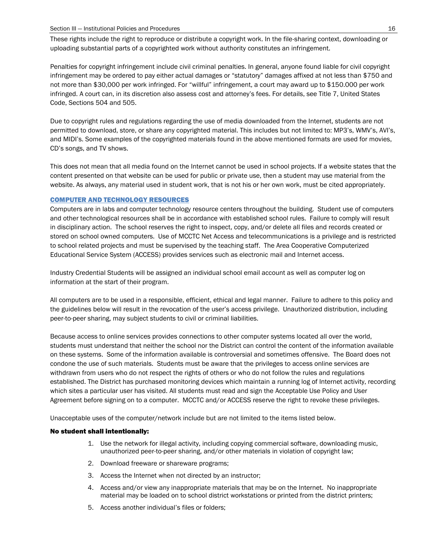These rights include the right to reproduce or distribute a copyright work. In the file-sharing context, downloading or uploading substantial parts of a copyrighted work without authority constitutes an infringement.

Penalties for copyright infringement include civil criminal penalties. In general, anyone found liable for civil copyright infringement may be ordered to pay either actual damages or "statutory" damages affixed at not less than \$750 and not more than \$30,000 per work infringed. For "willful" infringement, a court may award up to \$150.000 per work infringed. A court can, in its discretion also assess cost and attorney's fees. For details, see Title 7, United States Code, Sections 504 and 505.

Due to copyright rules and regulations regarding the use of media downloaded from the Internet, students are not permitted to download, store, or share any copyrighted material. This includes but not limited to: MP3's, WMV's, AVI's, and MIDI's. Some examples of the copyrighted materials found in the above mentioned formats are used for movies, CD's songs, and TV shows.

This does not mean that all media found on the Internet cannot be used in school projects. If a website states that the content presented on that website can be used for public or private use, then a student may use material from the website. As always, any material used in student work, that is not his or her own work, must be cited appropriately.

### COMPUTER AND TECHNOLOGY RESOURCES

Computers are in labs and computer technology resource centers throughout the building. Student use of computers and other technological resources shall be in accordance with established school rules. Failure to comply will result in disciplinary action. The school reserves the right to inspect, copy, and/or delete all files and records created or stored on school owned computers. Use of MCCTC Net Access and telecommunications is a privilege and is restricted to school related projects and must be supervised by the teaching staff. The Area Cooperative Computerized Educational Service System (ACCESS) provides services such as electronic mail and Internet access.

Industry Credential Students will be assigned an individual school email account as well as computer log on information at the start of their program.

All computers are to be used in a responsible, efficient, ethical and legal manner. Failure to adhere to this policy and the guidelines below will result in the revocation of the user's access privilege. Unauthorized distribution, including peer-to-peer sharing, may subject students to civil or criminal liabilities.

Because access to online services provides connections to other computer systems located all over the world, students must understand that neither the school nor the District can control the content of the information available on these systems. Some of the information available is controversial and sometimes offensive. The Board does not condone the use of such materials. Students must be aware that the privileges to access online services are withdrawn from users who do not respect the rights of others or who do not follow the rules and regulations established. The District has purchased monitoring devices which maintain a running log of Internet activity, recording which sites a particular user has visited. All students must read and sign the Acceptable Use Policy and User Agreement before signing on to a computer. MCCTC and/or ACCESS reserve the right to revoke these privileges.

Unacceptable uses of the computer/network include but are not limited to the items listed below.

### No student shall intentionally:

- 1. Use the network for illegal activity, including copying commercial software, downloading music, unauthorized peer-to-peer sharing, and/or other materials in violation of copyright law;
- 2. Download freeware or shareware programs;
- 3. Access the Internet when not directed by an instructor;
- 4. Access and/or view any inappropriate materials that may be on the Internet. No inappropriate material may be loaded on to school district workstations or printed from the district printers;
- 5. Access another individual's files or folders;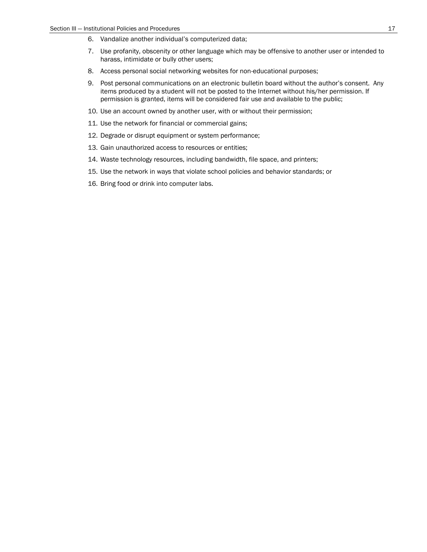- 6. Vandalize another individual's computerized data;
- 7. Use profanity, obscenity or other language which may be offensive to another user or intended to harass, intimidate or bully other users;
- 8. Access personal social networking websites for non-educational purposes;
- 9. Post personal communications on an electronic bulletin board without the author's consent. Any items produced by a student will not be posted to the Internet without his/her permission. If permission is granted, items will be considered fair use and available to the public;
- 10. Use an account owned by another user, with or without their permission;
- 11. Use the network for financial or commercial gains;
- 12. Degrade or disrupt equipment or system performance;
- 13. Gain unauthorized access to resources or entities;
- 14. Waste technology resources, including bandwidth, file space, and printers;
- 15. Use the network in ways that violate school policies and behavior standards; or
- 16. Bring food or drink into computer labs.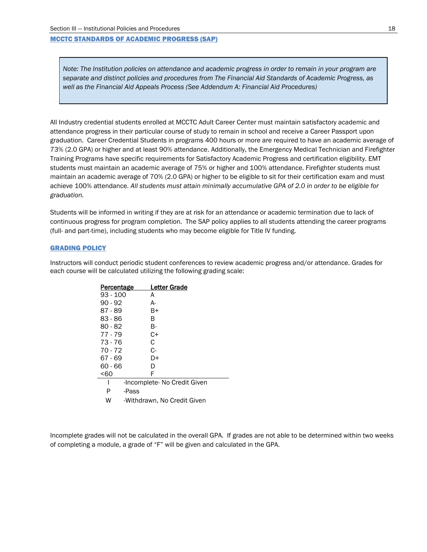#### MCCTC STANDARDS OF ACADEMIC PROGRESS (SAP)

*Note: The Institution policies on attendance and academic progress in order to remain in your program are separate and distinct policies and procedures from The Financial Aid Standards of Academic Progress, as well as the Financial Aid Appeals Process (See Addendum A: Financial Aid Procedures)*

All Industry credential students enrolled at MCCTC Adult Career Center must maintain satisfactory academic and attendance progress in their particular course of study to remain in school and receive a Career Passport upon graduation. Career Credential Students in programs 400 hours or more are required to have an academic average of 73% (2.0 GPA) or higher and at least 90% attendance. Additionally, the Emergency Medical Technician and Firefighter Training Programs have specific requirements for Satisfactory Academic Progress and certification eligibility. EMT students must maintain an academic average of 75% or higher and 100% attendance. Firefighter students must maintain an academic average of 70% (2.0 GPA) or higher to be eligible to sit for their certification exam and must achieve 100% attendance. *All students must attain minimally accumulative GPA of 2.0 in order to be eligible for graduation.*

Students will be informed in writing if they are at risk for an attendance or academic termination due to lack of continuous progress for program completion. The SAP policy applies to all students attending the career programs (full- and part-time), including students who may become eligible for Title IV funding.

#### GRADING POLICY

Instructors will conduct periodic student conferences to review academic progress and/or attendance. Grades for each course will be calculated utilizing the following grading scale:

| Percentage | Letter Grade                 |  |
|------------|------------------------------|--|
| $93 - 100$ | A                            |  |
| 90 - 92    | А-                           |  |
| 87 - 89    | B+                           |  |
| 83 - 86    | в                            |  |
| 80 - 82    | В-                           |  |
| $77 - 79$  | C+                           |  |
| 73 - 76    | C                            |  |
| 70 - 72    | C-                           |  |
| 67 - 69    | D+                           |  |
| 60 - 66    | D                            |  |
| <60        | F                            |  |
| ı          | -Incomplete- No Credit Given |  |
| P          | -Pass                        |  |
| w          | -Withdrawn, No Credit Given  |  |

Incomplete grades will not be calculated in the overall GPA. If grades are not able to be determined within two weeks of completing a module, a grade of "F" will be given and calculated in the GPA.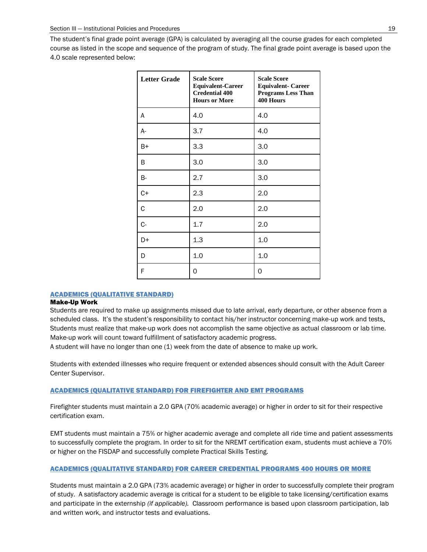The student's final grade point average (GPA) is calculated by averaging all the course grades for each completed course as listed in the scope and sequence of the program of study. The final grade point average is based upon the 4.0 scale represented below:

| <b>Letter Grade</b> | <b>Scale Score</b><br><b>Equivalent-Career</b><br><b>Credential 400</b><br><b>Hours or More</b> | <b>Scale Score</b><br><b>Equivalent- Career</b><br><b>Programs Less Than</b><br>400 Hours |
|---------------------|-------------------------------------------------------------------------------------------------|-------------------------------------------------------------------------------------------|
| A                   | 4.0                                                                                             | 4.0                                                                                       |
| $A-$                | 3.7                                                                                             | 4.0                                                                                       |
| B+                  | 3.3                                                                                             | 3.0                                                                                       |
| B                   | 3.0                                                                                             | 3.0                                                                                       |
| B-                  | 2.7                                                                                             | 3.0                                                                                       |
| $C+$                | 2.3                                                                                             | 2.0                                                                                       |
| С                   | 2.0                                                                                             | 2.0                                                                                       |
| $C -$               | 1.7                                                                                             | 2.0                                                                                       |
| D+                  | 1.3                                                                                             | 1.0                                                                                       |
| D                   | 1.0                                                                                             | 1.0                                                                                       |
| F                   | 0                                                                                               | 0                                                                                         |

#### ACADEMICS (QUALITATIVE STANDARD)

#### Make-Up Work

Students are required to make up assignments missed due to late arrival, early departure, or other absence from a scheduled class. It's the student's responsibility to contact his/her instructor concerning make-up work and tests. Students must realize that make-up work does not accomplish the same objective as actual classroom or lab time. Make-up work will count toward fulfillment of satisfactory academic progress.

A student will have no longer than one (1) week from the date of absence to make up work.

Students with extended illnesses who require frequent or extended absences should consult with the Adult Career Center Supervisor.

### ACADEMICS (QUALITATIVE STANDARD) FOR FIREFIGHTER AND EMT PROGRAMS

Firefighter students must maintain a 2.0 GPA (70% academic average) or higher in order to sit for their respective certification exam.

EMT students must maintain a 75% or higher academic average and complete all ride time and patient assessments to successfully complete the program. In order to sit for the NREMT certification exam, students must achieve a 70% or higher on the FISDAP and successfully complete Practical Skills Testing.

#### ACADEMICS (QUALITATIVE STANDARD) FOR CAREER CREDENTIAL PROGRAMS 400 HOURS OR MORE

Students must maintain a 2.0 GPA (73% academic average) or higher in order to successfully complete their program of study. A satisfactory academic average is critical for a student to be eligible to take licensing/certification exams and participate in the externship *(if applicable).* Classroom performance is based upon classroom participation, lab and written work, and instructor tests and evaluations.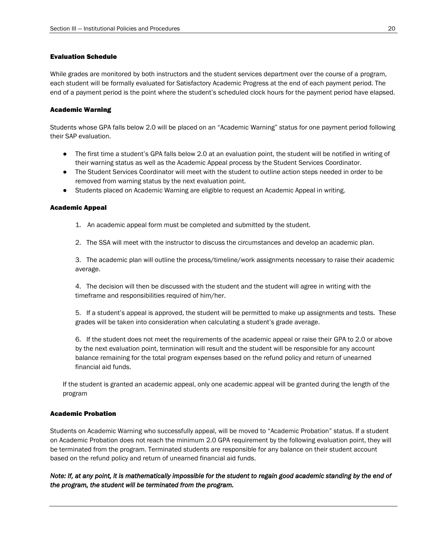### Evaluation Schedule

While grades are monitored by both instructors and the student services department over the course of a program, each student will be formally evaluated for Satisfactory Academic Progress at the end of each payment period. The end of a payment period is the point where the student's scheduled clock hours for the payment period have elapsed.

### Academic Warning

Students whose GPA falls below 2.0 will be placed on an "Academic Warning" status for one payment period following their SAP evaluation.

- The first time a student's GPA falls below 2.0 at an evaluation point, the student will be notified in writing of their warning status as well as the Academic Appeal process by the Student Services Coordinator.
- The Student Services Coordinator will meet with the student to outline action steps needed in order to be removed from warning status by the next evaluation point.
- Students placed on Academic Warning are eligible to request an Academic Appeal in writing.

#### Academic Appeal

- 1. An academic appeal form must be completed and submitted by the student.
- 2. The SSA will meet with the instructor to discuss the circumstances and develop an academic plan.

3. The academic plan will outline the process/timeline/work assignments necessary to raise their academic average.

4. The decision will then be discussed with the student and the student will agree in writing with the timeframe and responsibilities required of him/her.

5. If a student's appeal is approved, the student will be permitted to make up assignments and tests. These grades will be taken into consideration when calculating a student's grade average.

6. If the student does not meet the requirements of the academic appeal or raise their GPA to 2.0 or above by the next evaluation point, termination will result and the student will be responsible for any account balance remaining for the total program expenses based on the refund policy and return of unearned financial aid funds.

If the student is granted an academic appeal, only one academic appeal will be granted during the length of the program

### Academic Probation

Students on Academic Warning who successfully appeal, will be moved to "Academic Probation" status. If a student on Academic Probation does not reach the minimum 2.0 GPA requirement by the following evaluation point, they will be terminated from the program. Terminated students are responsible for any balance on their student account based on the refund policy and return of unearned financial aid funds.

*Note: If, at any point, it is mathematically impossible for the student to regain good academic standing by the end of the program, the student will be terminated from the program.*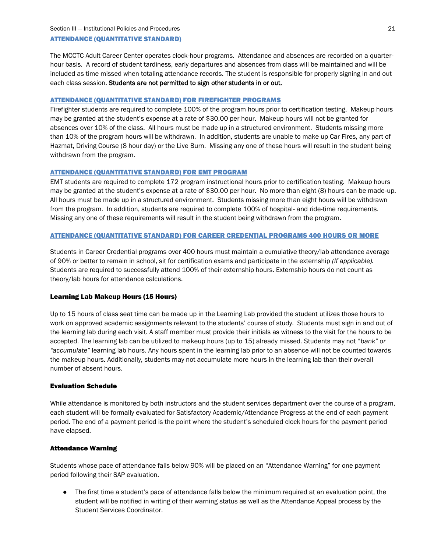#### ATTENDANCE (QUANTITATIVE STANDARD)

The MCCTC Adult Career Center operates clock-hour programs. Attendance and absences are recorded on a quarterhour basis. A record of student tardiness, early departures and absences from class will be maintained and will be included as time missed when totaling attendance records. The student is responsible for properly signing in and out each class session. Students are not permitted to sign other students in or out.

#### ATTENDANCE (QUANTITATIVE STANDARD) FOR FIREFIGHTER PROGRAMS

Firefighter students are required to complete 100% of the program hours prior to certification testing. Makeup hours may be granted at the student's expense at a rate of \$30.00 per hour. Makeup hours will not be granted for absences over 10% of the class. All hours must be made up in a structured environment. Students missing more than 10% of the program hours will be withdrawn. In addition, students are unable to make up Car Fires, any part of Hazmat, Driving Course (8 hour day) or the Live Burn. Missing any one of these hours will result in the student being withdrawn from the program.

#### ATTENDANCE (QUANTITATIVE STANDARD) FOR EMT PROGRAM

EMT students are required to complete 172 program instructional hours prior to certification testing. Makeup hours may be granted at the student's expense at a rate of \$30.00 per hour. No more than eight (8) hours can be made-up. All hours must be made up in a structured environment. Students missing more than eight hours will be withdrawn from the program. In addition, students are required to complete 100% of hospital- and ride-time requirements. Missing any one of these requirements will result in the student being withdrawn from the program.

#### ATTENDANCE (QUANTITATIVE STANDARD) FOR CAREER CREDENTIAL PROGRAMS 400 HOURS OR MORE

Students in Career Credential programs over 400 hours must maintain a cumulative theory/lab attendance average of 90% or better to remain in school, sit for certification exams and participate in the externship *(If applicable).*  Students are required to successfully attend 100% of their externship hours. Externship hours do not count as theory/lab hours for attendance calculations.

#### Learning Lab Makeup Hours (15 Hours)

Up to 15 hours of class seat time can be made up in the Learning Lab provided the student utilizes those hours to work on approved academic assignments relevant to the students' course of study. Students must sign in and out of the learning lab during each visit. A staff member must provide their initials as witness to the visit for the hours to be accepted. The learning lab can be utilized to makeup hours (up to 15) already missed. Students may not "*bank" or "accumulate"* learning lab hours. Any hours spent in the learning lab prior to an absence will not be counted towards the makeup hours. Additionally, students may not accumulate more hours in the learning lab than their overall number of absent hours.

#### Evaluation Schedule

While attendance is monitored by both instructors and the student services department over the course of a program, each student will be formally evaluated for Satisfactory Academic/Attendance Progress at the end of each payment period. The end of a payment period is the point where the student's scheduled clock hours for the payment period have elapsed.

#### Attendance Warning

Studentswhose pace of attendance falls below 90% will be placed on an "Attendance Warning" for one payment period following their SAP evaluation.

The first time a student's pace of attendance falls below the minimum required at an evaluation point, the student will be notified in writing of their warning status as well as the Attendance Appeal process by the Student Services Coordinator.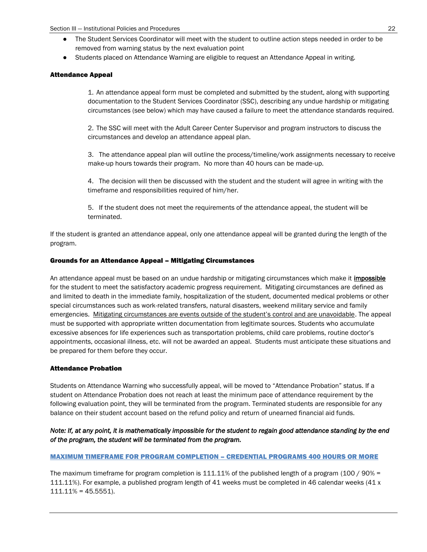- The Student Services Coordinator will meet with the student to outline action steps needed in order to be removed from warning status by the next evaluation point
- Students placed on Attendance Warning are eligible to request an Attendance Appeal in writing.

### Attendance Appeal

1. An attendance appeal form must be completed and submitted by the student, along with supporting documentation to the Student Services Coordinator (SSC), describing any undue hardship or mitigating circumstances (see below) which may have caused a failure to meet the attendance standards required.

2. The SSC will meet with the Adult Career Center Supervisor and program instructors to discuss the circumstances and develop an attendance appeal plan.

3. The attendance appeal plan will outline the process/timeline/work assignments necessary to receive make-up hours towards their program. No more than 40 hours can be made-up.

4. The decision will then be discussed with the student and the student will agree in writing with the timeframe and responsibilities required of him/her.

5. If the student does not meet the requirements of the attendance appeal, the student will be terminated.

If the student is granted an attendance appeal, only one attendance appeal will be granted during the length of the program.

#### Grounds for an Attendance Appeal – Mitigating Circumstances

An attendance appeal must be based on an undue hardship or mitigating circumstances which make it *impossible* for the student to meet the satisfactory academic progress requirement. Mitigating circumstances are defined as and limited to death in the immediate family, hospitalization of the student, documented medical problems or other special circumstances such as work-related transfers, natural disasters, weekend military service and family emergencies. Mitigating circumstances are events outside of the student's control and are unavoidable. The appeal must be supported with appropriate written documentation from legitimate sources. Students who accumulate excessive absences for life experiences such as transportation problems, child care problems, routine doctor's appointments, occasional illness, etc. will not be awarded an appeal. Students must anticipate these situations and be prepared for them before they occur.

### Attendance Probation

Students on Attendance Warning who successfully appeal, will be moved to "Attendance Probation" status. If a student on Attendance Probation does not reach at least the minimum pace of attendance requirement by the following evaluation point, they will be terminated from the program. Terminated students are responsible for any balance on their student account based on the refund policy and return of unearned financial aid funds.

### *Note: If, at any point, it is mathematically impossible for the student to regain good attendance standing by the end of the program, the student will be terminated from the program.*

### MAXIMUM TIMEFRAME FOR PROGRAM COMPLETION – CREDENTIAL PROGRAMS 400 HOURS OR MORE

The maximum timeframe for program completion is 111.11% of the published length of a program (100 / 90% = 111.11%). For example, a published program length of 41 weeks must be completed in 46 calendar weeks (41 x  $111.11\% = 45.5551$ ).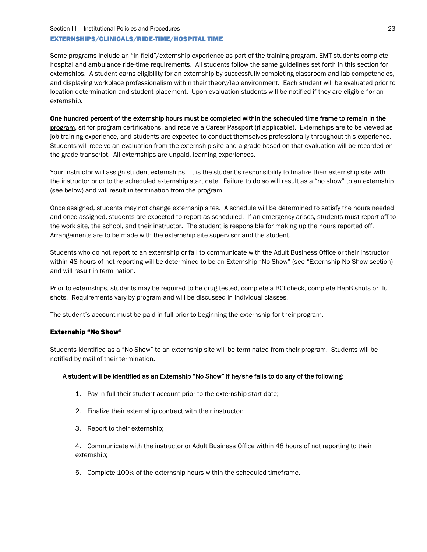#### EXTERNSHIPS/CLINICALS/RIDE-TIME/HOSPITAL TIME

Some programs include an "in-field"/externship experience as part of the training program. EMT students complete hospital and ambulance ride-time requirements. All students follow the same guidelines set forth in this section for externships. A student earns eligibility for an externship by successfully completing classroom and lab competencies, and displaying workplace professionalism within their theory/lab environment. Each student will be evaluated prior to location determination and student placement. Upon evaluation students will be notified if they are eligible for an externship.

### One hundred percent of the externship hours must be completed within the scheduled time frame to remain in the

program, sit for program certifications, and receive a Career Passport (if applicable). Externships are to be viewed as job training experience, and students are expected to conduct themselves professionally throughout this experience. Students will receive an evaluation from the externship site and a grade based on that evaluation will be recorded on the grade transcript. All externships are unpaid, learning experiences.

Your instructor will assign student externships. It is the student's responsibility to finalize their externship site with the instructor prior to the scheduled externship start date. Failure to do so will result as a "no show" to an externship (see below) and will result in termination from the program.

Once assigned, students may not change externship sites. A schedule will be determined to satisfy the hours needed and once assigned, students are expected to report as scheduled. If an emergency arises, students must report off to the work site, the school, and their instructor. The student is responsible for making up the hours reported off. Arrangements are to be made with the externship site supervisor and the student.

Students who do not report to an externship or fail to communicate with the Adult Business Office or their instructor within 48 hours of not reporting will be determined to be an Externship "No Show" (see "Externship No Show section) and will result in termination.

Prior to externships, students may be required to be drug tested, complete a BCI check, complete HepB shots or flu shots. Requirements vary by program and will be discussed in individual classes.

The student's account must be paid in full prior to beginning the externship for their program.

### Externship "No Show"

Students identified as a "No Show" to an externship site will be terminated from their program. Students will be notified by mail of their termination.

### A student will be identified as an Externship "No Show" if he/she fails to do any of the following:

- 1. Pay in full their student account prior to the externship start date;
- 2. Finalize their externship contract with their instructor;
- 3. Report to their externship;

4. Communicate with the instructor or Adult Business Office within 48 hours of not reporting to their externship;

5. Complete 100% of the externship hours within the scheduled timeframe.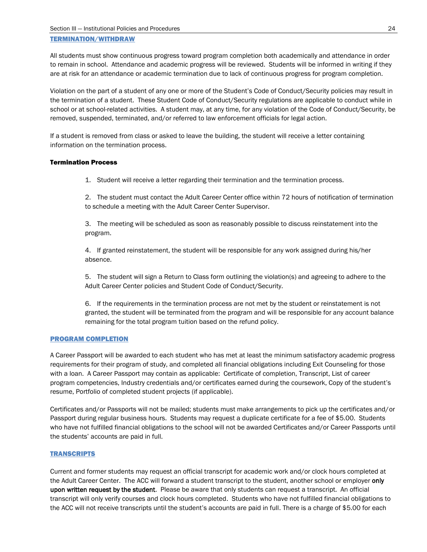#### TERMINATION/WITHDRAW

All students must show continuous progress toward program completion both academically and attendance in order to remain in school. Attendance and academic progress will be reviewed. Students will be informed in writing if they are at risk for an attendance or academic termination due to lack of continuous progress for program completion.

Violation on the part of a student of any one or more of the Student's Code of Conduct/Security policies may result in the termination of a student. These Student Code of Conduct/Security regulations are applicable to conduct while in school or at school-related activities. A student may, at any time, for any violation of the Code of Conduct/Security, be removed, suspended, terminated, and/or referred to law enforcement officials for legal action.

If a student is removed from class or asked to leave the building, the student will receive a letter containing information on the termination process.

#### Termination Process

1. Student will receive a letter regarding their termination and the termination process.

2. The student must contact the Adult Career Center office within 72 hours of notification of termination to schedule a meeting with the Adult Career Center Supervisor.

3. The meeting will be scheduled as soon as reasonably possible to discuss reinstatement into the program.

4. If granted reinstatement, the student will be responsible for any work assigned during his/her absence.

5. The student will sign a Return to Class form outlining the violation(s) and agreeing to adhere to the Adult Career Center policies and Student Code of Conduct/Security.

6. If the requirements in the termination process are not met by the student or reinstatement is not granted, the student will be terminated from the program and will be responsible for any account balance remaining for the total program tuition based on the refund policy.

### PROGRAM COMPLETION

A Career Passport will be awarded to each student who has met at least the minimum satisfactory academic progress requirements for their program of study, and completed all financial obligations including Exit Counseling for those with a loan. A Career Passport may contain as applicable: Certificate of completion, Transcript, List of career program competencies, Industry credentials and/or certificates earned during the coursework, Copy of the student's resume, Portfolio of completed student projects (if applicable).

Certificates and/or Passports will not be mailed; students must make arrangements to pick up the certificates and/or Passport during regular business hours. Students may request a duplicate certificate for a fee of \$5.00. Students who have not fulfilled financial obligations to the school will not be awarded Certificates and/or Career Passports until the students' accounts are paid in full.

### **TRANSCRIPTS**

Current and former students may request an official transcript for academic work and/or clock hours completed at the Adult Career Center. The ACC will forward a student transcript to the student, another school or employer only upon written request by the student. Please be aware that only students can request a transcript. An official transcript will only verify courses and clock hours completed. Students who have not fulfilled financial obligations to the ACC will not receive transcripts until the student's accounts are paid in full. There is a charge of \$5.00 for each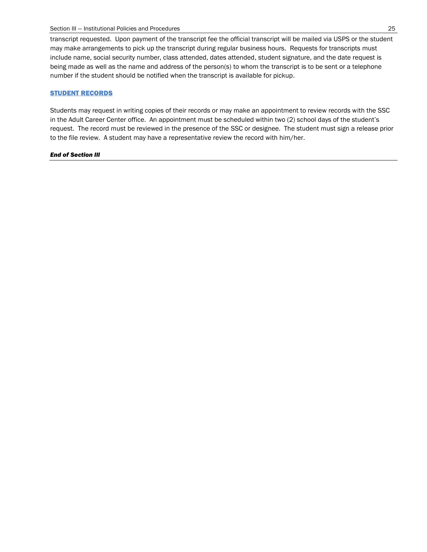transcript requested. Upon payment of the transcript fee the official transcript will be mailed via USPS or the student may make arrangements to pick up the transcript during regular business hours. Requests for transcripts must include name, social security number, class attended, dates attended, student signature, and the date request is being made as well as the name and address of the person(s) to whom the transcript is to be sent or a telephone number if the student should be notified when the transcript is available for pickup.

### **STUDENT RECORDS**

Students may request in writing copies of their records or may make an appointment to review records with the SSC in the Adult Career Center office. An appointment must be scheduled within two (2) school days of the student's request. The record must be reviewed in the presence of the SSC or designee. The student must sign a release prior to the file review. A student may have a representative review the record with him/her.

#### *End of Section III*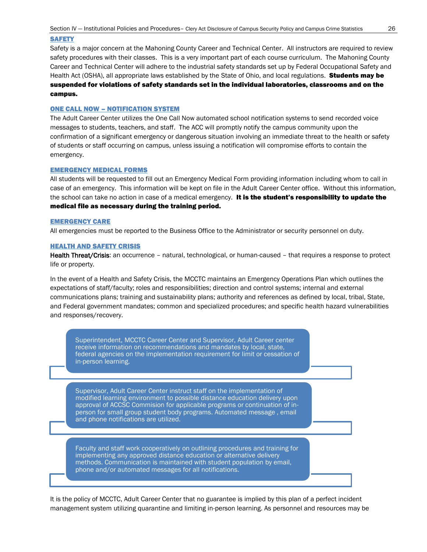#### **SAFETY**

Safety is a major concern at the Mahoning County Career and Technical Center. All instructors are required to review safety procedures with their classes. This is a very important part of each course curriculum. The Mahoning County Career and Technical Center will adhere to the industrial safety standards set up by Federal Occupational Safety and Health Act (OSHA), all appropriate laws established by the State of Ohio, and local regulations. **Students may be** suspended for violations of safety standards set in the individual laboratories, classrooms and on the campus.

#### ONE CALL NOW – NOTIFICATION SYSTEM

The Adult Career Center utilizes the One Call Now automated school notification systems to send recorded voice messages to students, teachers, and staff. The ACC will promptly notify the campus community upon the confirmation of a significant emergency or dangerous situation involving an immediate threat to the health or safety of students or staff occurring on campus, unless issuing a notification will compromise efforts to contain the emergency.

#### EMERGENCY MEDICAL FORMS

All students will be requested to fill out an Emergency Medical Form providing information including whom to call in case of an emergency. This information will be kept on file in the Adult Career Center office. Without this information, the school can take no action in case of a medical emergency. It is the student's responsibility to update the medical file as necessary during the training period.

#### EMERGENCY CARE

All emergencies must be reported to the Business Office to the Administrator or security personnel on duty.

#### HEALTH AND SAFETY CRISIS

Health Threat/Crisis: an occurrence – natural, technological, or human-caused – that requires a response to protect life or property.

In the event of a Health and Safety Crisis, the MCCTC maintains an Emergency Operations Plan which outlines the expectations of staff/faculty; roles and responsibilities; direction and control systems; internal and external communications plans; training and sustainability plans; authority and references as defined by local, tribal, State, and Federal government mandates; common and specialized procedures; and specific health hazard vulnerabilities and responses/recovery.

Superintendent, MCCTC Career Center and Supervisor, Adult Career center receive information on recommendations and mandates by local, state, federal agencies on the implementation requirement for limit or cessation of in-person learning.

Supervisor, Adult Career Center instruct staff on the implementation of modified learning environment to possible distance education delivery upon approval of ACCSC Commision for applicable programs or continuation of inperson for small group student body programs. Automated message , email and phone notifications are utilized.

Faculty and staff work cooperatively on outlining procedures and training for implementing any approved distance education or alternative delivery methods. Communication is maintained with student population by email, phone and/or automated messages for all notifications.

It is the policy of MCCTC, Adult Career Center that no guarantee is implied by this plan of a perfect incident management system utilizing quarantine and limiting in-person learning. As personnel and resources may be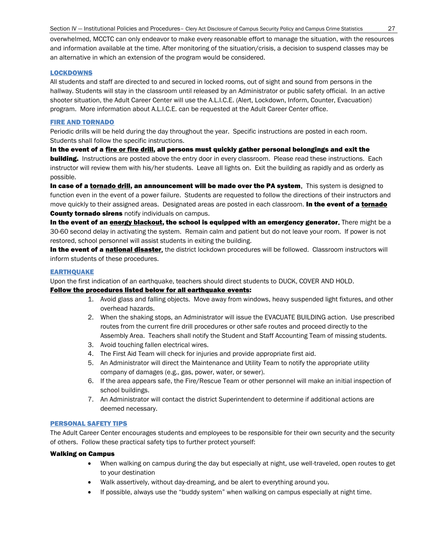overwhelmed, MCCTC can only endeavor to make every reasonable effort to manage the situation, with the resources and information available at the time. After monitoring of the situation/crisis, a decision to suspend classes may be an alternative in which an extension of the program would be considered.

#### LOCKDOWNS

All students and staff are directed to and secured in locked rooms, out of sight and sound from persons in the hallway. Students will stay in the classroom until released by an Administrator or public safety official. In an active shooter situation, the Adult Career Center will use the A.L.I.C.E. (Alert, Lockdown, Inform, Counter, Evacuation) program. More information about A.L.I.C.E. can be requested at the Adult Career Center office.

#### FIRE AND TORNADO

Periodic drills will be held during the day throughout the year. Specific instructions are posted in each room. Students shall follow the specific instructions.

In the event of a <u>fire or fire drill</u>, all persons must quickly gather personal belongings and exit the **building.** Instructions are posted above the entry door in every classroom. Please read these instructions. Each instructor will review them with his/her students. Leave all lights on. Exit the building as rapidly and as orderly as possible.

In case of a tornado drill, an announcement will be made over the PA system. This system is designed to function even in the event of a power failure. Students are requested to follow the directions of their instructors and move quickly to their assigned areas. Designated areas are posted in each classroom. In the event of a tornado **County tornado sirens** notify individuals on campus.

In the event of an energy blackout, the school is equipped with an emergency generator. There might be a 30-60 second delay in activating the system. Remain calm and patient but do not leave your room. If power is not restored, school personnel will assist students in exiting the building.

In the event of a national disaster, the district lockdown procedures will be followed. Classroom instructors will inform students of these procedures.

#### **EARTHQUAKE**

Upon the first indication of an earthquake, teachers should direct students to DUCK, COVER AND HOLD.

#### Follow the procedures listed below for all earthquake events:

- 1. Avoid glass and falling objects. Move away from windows, heavy suspended light fixtures, and other overhead hazards.
- 2. When the shaking stops, an Administrator will issue the EVACUATE BUILDING action. Use prescribed routes from the current fire drill procedures or other safe routes and proceed directly to the Assembly Area. Teachers shall notify the Student and Staff Accounting Team of missing students.
- 3. Avoid touching fallen electrical wires.
- 4. The First Aid Team will check for injuries and provide appropriate first aid.
- 5. An Administrator will direct the Maintenance and Utility Team to notify the appropriate utility company of damages (e.g., gas, power, water, or sewer).
- 6. If the area appears safe, the Fire/Rescue Team or other personnel will make an initial inspection of school buildings.
- 7. An Administrator will contact the district Superintendent to determine if additional actions are deemed necessary.

#### PERSONAL SAFETY TIPS

The Adult Career Center encourages students and employees to be responsible for their own security and the security of others. Follow these practical safety tips to further protect yourself:

#### Walking on Campus

- When walking on campus during the day but especially at night, use well-traveled, open routes to get to your destination
- Walk assertively, without day-dreaming, and be alert to everything around you.
- If possible, always use the "buddy system" when walking on campus especially at night time.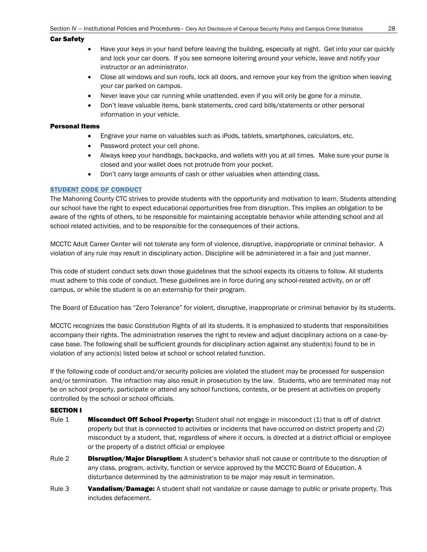#### Car Safety

- Have your keys in your hand before leaving the building, especially at night. Get into your car quickly and lock your car doors. If you see someone loitering around your vehicle, leave and notify your instructor or an administrator.
- Close all windows and sun roofs, lock all doors, and remove your key from the ignition when leaving your car parked on campus.
- Never leave your car running while unattended, even if you will only be gone for a minute.
- Don't leave valuable items, bank statements, cred card bills/statements or other personal information in your vehicle.

### Personal Items

- Engrave your name on valuables such as iPods, tablets, smartphones, calculators, etc.
- Password protect your cell phone.
- Always keep your handbags, backpacks, and wallets with you at all times. Make sure your purse is closed and your wallet does not protrude from your pocket.
- Don't carry large amounts of cash or other valuables when attending class.

#### STUDENT CODE OF CONDUCT

The Mahoning County CTC strives to provide students with the opportunity and motivation to learn. Students attending our school have the right to expect educational opportunities free from disruption. This implies an obligation to be aware of the rights of others, to be responsible for maintaining acceptable behavior while attending school and all school related activities, and to be responsible for the consequences of their actions.

MCCTC Adult Career Center will not tolerate any form of violence, disruptive, inappropriate or criminal behavior. A violation of any rule may result in disciplinary action. Discipline will be administered in a fair and just manner.

This code of student conduct sets down those guidelines that the school expects its citizens to follow. All students must adhere to this code of conduct. These guidelines are in force during any school-related activity, on or off campus, or while the student is on an externship for their program.

The Board of Education has "Zero Tolerance" for violent, disruptive, inappropriate or criminal behavior by its students.

MCCTC recognizes the basic Constitution Rights of all its students. It is emphasized to students that responsibilities accompany their rights. The administration reserves the right to review and adjust disciplinary actions on a case-bycase base. The following shall be sufficient grounds for disciplinary action against any student(s) found to be in violation of any action(s) listed below at school or school related function.

If the following code of conduct and/or security policies are violated the student may be processed for suspension and/or termination. The infraction may also result in prosecution by the law. Students, who are terminated may not be on school property, participate or attend any school functions, contests, or be present at activities on property controlled by the school or school officials.

### SECTION I

- Rule 1 **Misconduct Off School Property:** Student shall not engage in misconduct (1) that is off of district property but that is connected to activities or incidents that have occurred on district property and (2) misconduct by a student, that, regardless of where it occurs, is directed at a district official or employee or the property of a district official or employee
- Rule 2 **Disruption/Major Disruption:** A student's behavior shall not cause or contribute to the disruption of any class, program, activity, function or service approved by the MCCTC Board of Education. A disturbance determined by the administration to be major may result in termination.
- Rule 3 **Vandalism/Damage:** A student shall not vandalize or cause damage to public or private property. This includes defacement.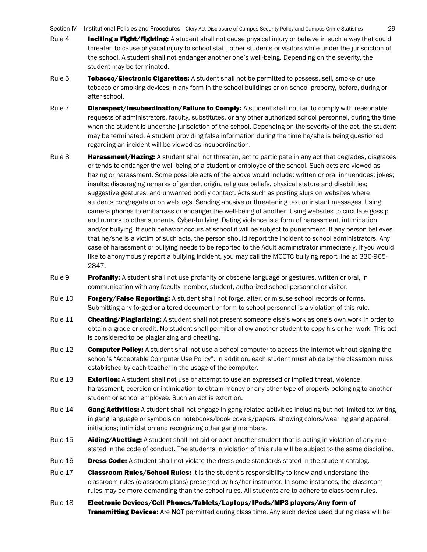Section IV — Institutional Policies and Procedures– Clery Act Disclosure of Campus Security Policy and Campus Crime Statistics 29

- Rule 4 **Inciting a Fight/Fighting:** A student shall not cause physical injury or behave in such a way that could threaten to cause physical injury to school staff, other students or visitors while under the jurisdiction of the school. A student shall not endanger another one's well-being. Depending on the severity, the student may be terminated.
- Rule 5 Tobacco/Electronic Cigarettes: A student shall not be permitted to possess, sell, smoke or use tobacco or smoking devices in any form in the school buildings or on school property, before, during or after school.
- Rule 7 **Disrespect/Insubordination/Failure to Comply:** A student shall not fail to comply with reasonable requests of administrators, faculty, substitutes, or any other authorized school personnel, during the time when the student is under the jurisdiction of the school. Depending on the severity of the act, the student may be terminated. A student providing false information during the time he/she is being questioned regarding an incident will be viewed as insubordination.
- Rule 8 **Harassment/Hazing:** A student shall not threaten, act to participate in any act that degrades, disgraces or tends to endanger the well-being of a student or employee of the school. Such acts are viewed as hazing or harassment. Some possible acts of the above would include: written or oral innuendoes; jokes; insults; disparaging remarks of gender, origin, religious beliefs, physical stature and disabilities; suggestive gestures; and unwanted bodily contact. Acts such as posting slurs on websites where students congregate or on web logs. Sending abusive or threatening text or instant messages. Using camera phones to embarrass or endanger the well-being of another. Using websites to circulate gossip and rumors to other students. Cyber-bullying. Dating violence is a form of harassment, intimidation and/or bullying. If such behavior occurs at school it will be subject to punishment. If any person believes that he/she is a victim of such acts, the person should report the incident to school administrators. Any case of harassment or bullying needs to be reported to the Adult administrator immediately. If you would like to anonymously report a bullying incident, you may call the MCCTC bullying report line at 330-965- 2847.
- Rule 9 **Profanity:** A student shall not use profanity or obscene language or gestures, written or oral, in communication with any faculty member, student, authorized school personnel or visitor.
- Rule 10 **Forgery/False Reporting:** A student shall not forge, alter, or misuse school records or forms. Submitting any forged or altered document or form to school personnel is a violation of this rule.
- Rule 11 **Cheating/Plagiarizing:** A student shall not present someone else's work as one's own work in order to obtain a grade or credit. No student shall permit or allow another student to copy his or her work. This act is considered to be plagiarizing and cheating.
- Rule 12 **Computer Policy:** A student shall not use a school computer to access the Internet without signing the school's "Acceptable Computer Use Policy". In addition, each student must abide by the classroom rules established by each teacher in the usage of the computer.
- Rule 13 **Extortion:** A student shall not use or attempt to use an expressed or implied threat, violence, harassment, coercion or intimidation to obtain money or any other type of property belonging to another student or school employee. Such an act is extortion.
- Rule 14 Gang Activities: A student shall not engage in gang-related activities including but not limited to: writing in gang language or symbols on notebooks/book covers/papers; showing colors/wearing gang apparel; initiations; intimidation and recognizing other gang members.
- Rule 15 **Aiding/Abetting:** A student shall not aid or abet another student that is acting in violation of any rule stated in the code of conduct. The students in violation of this rule will be subject to the same discipline.
- Rule 16 **Dress Code:** A student shall not violate the dress code standards stated in the student catalog.
- Rule 17 **Classroom Rules/School Rules:** It is the student's responsibility to know and understand the classroom rules (classroom plans) presented by his/her instructor. In some instances, the classroom rules may be more demanding than the school rules. All students are to adhere to classroom rules.
- Rule 18 Electronic Devices/Cell Phones/Tablets/Laptops/IPods/MP3 players/Any form of **Transmitting Devices:** Are NOT permitted during class time. Any such device used during class will be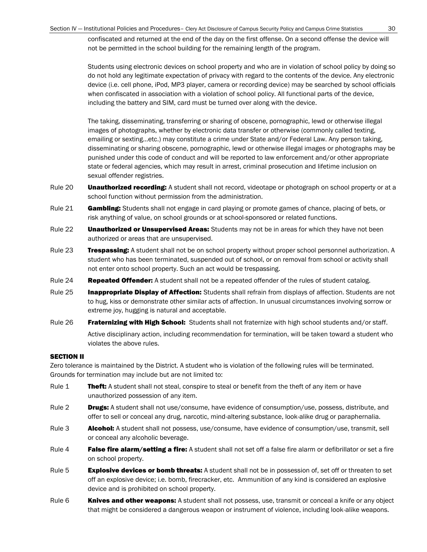confiscated and returned at the end of the day on the first offense. On a second offense the device will not be permitted in the school building for the remaining length of the program.

Students using electronic devices on school property and who are in violation of school policy by doing so do not hold any legitimate expectation of privacy with regard to the contents of the device. Any electronic device (i.e. cell phone, iPod, MP3 player, camera or recording device) may be searched by school officials when confiscated in association with a violation of school policy. All functional parts of the device, including the battery and SIM, card must be turned over along with the device.

The taking, disseminating, transferring or sharing of obscene, pornographic, lewd or otherwise illegal images of photographs, whether by electronic data transfer or otherwise (commonly called texting, emailing or sexting…etc.) may constitute a crime under State and/or Federal Law. Any person taking, disseminating or sharing obscene, pornographic, lewd or otherwise illegal images or photographs may be punished under this code of conduct and will be reported to law enforcement and/or other appropriate state or federal agencies, which may result in arrest, criminal prosecution and lifetime inclusion on sexual offender registries.

- Rule 20 **Unauthorized recording:** A student shall not record, videotape or photograph on school property or at a school function without permission from the administration.
- Rule 21 **Gambling:** Students shall not engage in card playing or promote games of chance, placing of bets, or risk anything of value, on school grounds or at school-sponsored or related functions.
- Rule 22 **Unauthorized or Unsupervised Areas:** Students may not be in areas for which they have not been authorized or areas that are unsupervised.
- Rule 23 **Trespassing:** A student shall not be on school property without proper school personnel authorization. A student who has been terminated, suspended out of school, or on removal from school or activity shall not enter onto school property. Such an act would be trespassing.
- Rule 24 Repeated Offender: A student shall not be a repeated offender of the rules of student catalog.
- Rule 25 **Inappropriate Display of Affection:** Students shall refrain from displays of affection. Students are not to hug, kiss or demonstrate other similar acts of affection. In unusual circumstances involving sorrow or extreme joy, hugging is natural and acceptable.
- Rule 26 Fraternizing with High School: Students shall not fraternize with high school students and/or staff. Active disciplinary action, including recommendation for termination, will be taken toward a student who violates the above rules.

#### SECTION II

Zero tolerance is maintained by the District. A student who is violation of the following rules will be terminated. Grounds for termination may include but are not limited to:

- Rule 1 Theft: A student shall not steal, conspire to steal or benefit from the theft of any item or have unauthorized possession of any item.
- Rule 2 **Drugs:** A student shall not use/consume, have evidence of consumption/use, possess, distribute, and offer to sell or conceal any drug, narcotic, mind-altering substance, look-alike drug or paraphernalia.
- Rule 3 **Alcohol:** A student shall not possess, use/consume, have evidence of consumption/use, transmit, sell or conceal any alcoholic beverage.
- Rule 4 **False fire alarm/setting a fire:** A student shall not set off a false fire alarm or defibrillator or set a fire on school property.
- Rule 5 **Explosive devices or bomb threats:** A student shall not be in possession of, set off or threaten to set off an explosive device; i.e. bomb, firecracker, etc. Ammunition of any kind is considered an explosive device and is prohibited on school property.
- Rule 6 **Knives and other weapons:** A student shall not possess, use, transmit or conceal a knife or any object that might be considered a dangerous weapon or instrument of violence, including look-alike weapons.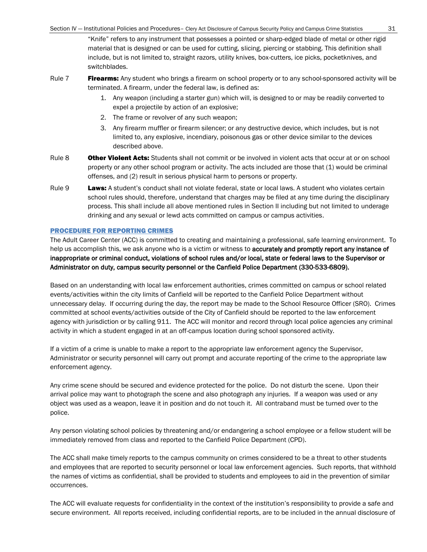"Knife" refers to any instrument that possesses a pointed or sharp-edged blade of metal or other rigid material that is designed or can be used for cutting, slicing, piercing or stabbing. This definition shall include, but is not limited to, straight razors, utility knives, box-cutters, ice picks, pocketknives, and switchblades.

- Rule 7 **Firearms:** Any student who brings a firearm on school property or to any school-sponsored activity will be terminated. A firearm, under the federal law, is defined as:
	- 1. Any weapon (including a starter gun) which will, is designed to or may be readily converted to expel a projectile by action of an explosive;
	- 2. The frame or revolver of any such weapon;
	- 3. Any firearm muffler or firearm silencer; or any destructive device, which includes, but is not limited to, any explosive, incendiary, poisonous gas or other device similar to the devices described above.
- Rule 8 **Other Violent Acts:** Students shall not commit or be involved in violent acts that occur at or on school property or any other school program or activity. The acts included are those that (1) would be criminal offenses, and (2) result in serious physical harm to persons or property.
- Rule 9 Laws: A student's conduct shall not violate federal, state or local laws. A student who violates certain school rules should, therefore, understand that charges may be filed at any time during the disciplinary process. This shall include all above mentioned rules in Section II including but not limited to underage drinking and any sexual or lewd acts committed on campus or campus activities.

#### PROCEDURE FOR REPORTING CRIMES

The Adult Career Center (ACC) is committed to creating and maintaining a professional, safe learning environment. To help us accomplish this, we ask anyone who is a victim or witness to accurately and promptly report any instance of inappropriate or criminal conduct, violations of school rules and/or local, state or federal laws to the Supervisor or Administrator on duty, campus security personnel or the Canfield Police Department (330-533-6809).

Based on an understanding with local law enforcement authorities, crimes committed on campus or school related events/activities within the city limits of Canfield will be reported to the Canfield Police Department without unnecessary delay. If occurring during the day, the report may be made to the School Resource Officer (SRO). Crimes committed at school events/activities outside of the City of Canfield should be reported to the law enforcement agency with jurisdiction or by calling 911. The ACC will monitor and record through local police agencies any criminal activity in which a student engaged in at an off-campus location during school sponsored activity.

If a victim of a crime is unable to make a report to the appropriate law enforcement agency the Supervisor, Administrator or security personnel will carry out prompt and accurate reporting of the crime to the appropriate law enforcement agency.

Any crime scene should be secured and evidence protected for the police. Do not disturb the scene. Upon their arrival police may want to photograph the scene and also photograph any injuries. If a weapon was used or any object was used as a weapon, leave it in position and do not touch it. All contraband must be turned over to the police.

Any person violating school policies by threatening and/or endangering a school employee or a fellow student will be immediately removed from class and reported to the Canfield Police Department (CPD).

The ACC shall make timely reports to the campus community on crimes considered to be a threat to other students and employees that are reported to security personnel or local law enforcement agencies. Such reports, that withhold the names of victims as confidential, shall be provided to students and employees to aid in the prevention of similar occurrences.

The ACC will evaluate requests for confidentiality in the context of the institution's responsibility to provide a safe and secure environment. All reports received, including confidential reports, are to be included in the annual disclosure of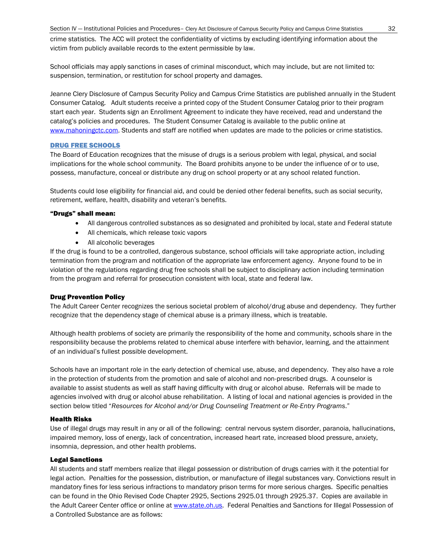crime statistics. The ACC will protect the confidentiality of victims by excluding identifying information about the victim from publicly available records to the extent permissible by law.

School officials may apply sanctions in cases of criminal misconduct, which may include, but are not limited to: suspension, termination, or restitution for school property and damages.

Jeanne Clery Disclosure of Campus Security Policy and Campus Crime Statistics are published annually in the Student Consumer Catalog. Adult students receive a printed copy of the Student Consumer Catalog prior to their program start each year. Students sign an Enrollment Agreement to indicate they have received, read and understand the catalog's policies and procedures. The Student Consumer Catalog is available to the public online at [www.mahoningctc.com.](http://www.mahoningctc.com/) Students and staff are notified when updates are made to the policies or crime statistics.

#### DRUG FREE SCHOOLS

The Board of Education recognizes that the misuse of drugs is a serious problem with legal, physical, and social implications for the whole school community. The Board prohibits anyone to be under the influence of or to use, possess, manufacture, conceal or distribute any drug on school property or at any school related function.

Students could lose eligibility for financial aid, and could be denied other federal benefits, such as social security, retirement, welfare, health, disability and veteran's benefits.

#### "Drugs" shall mean:

- All dangerous controlled substances as so designated and prohibited by local, state and Federal statute
- All chemicals, which release toxic vapors
- All alcoholic beverages

If the drug is found to be a controlled, dangerous substance, school officials will take appropriate action, including termination from the program and notification of the appropriate law enforcement agency. Anyone found to be in violation of the regulations regarding drug free schools shall be subject to disciplinary action including termination from the program and referral for prosecution consistent with local, state and federal law.

#### Drug Prevention Policy

The Adult Career Center recognizes the serious societal problem of alcohol/drug abuse and dependency. They further recognize that the dependency stage of chemical abuse is a primary illness, which is treatable.

Although health problems of society are primarily the responsibility of the home and community, schools share in the responsibility because the problems related to chemical abuse interfere with behavior, learning, and the attainment of an individual's fullest possible development.

Schools have an important role in the early detection of chemical use, abuse, and dependency. They also have a role in the protection of students from the promotion and sale of alcohol and non-prescribed drugs. A counselor is available to assist students as well as staff having difficulty with drug or alcohol abuse. Referrals will be made to agencies involved with drug or alcohol abuse rehabilitation. A listing of local and national agencies is provided in the section below titled "*Resources for Alcohol and/or Drug Counseling Treatment or Re-Entry Programs*."

#### Health Risks

Use of illegal drugs may result in any or all of the following: central nervous system disorder, paranoia, hallucinations, impaired memory, loss of energy, lack of concentration, increased heart rate, increased blood pressure, anxiety, insomnia, depression, and other health problems.

#### Legal Sanctions

All students and staff members realize that illegal possession or distribution of drugs carries with it the potential for legal action. Penalties for the possession, distribution, or manufacture of illegal substances vary. Convictions result in mandatory fines for less serious infractions to mandatory prison terms for more serious charges. Specific penalties can be found in the Ohio Revised Code Chapter 2925, Sections 2925.01 through 2925.37. Copies are available in the Adult Career Center office or online at [www.state.oh.us.](http://www.state.oh.us/) Federal Penalties and Sanctions for Illegal Possession of a Controlled Substance are as follows: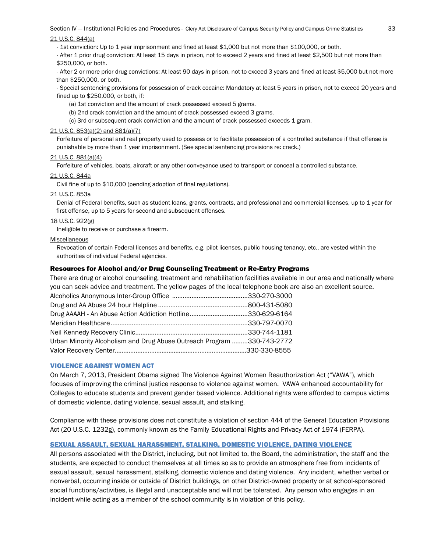#### 21 U.S.C. 844(a)

- 1st conviction: Up to 1 year imprisonment and fined at least \$1,000 but not more than \$100,000, or both.

- After 1 prior drug conviction: At least 15 days in prison, not to exceed 2 years and fined at least \$2,500 but not more than \$250,000, or both.

- After 2 or more prior drug convictions: At least 90 days in prison, not to exceed 3 years and fined at least \$5,000 but not more than \$250,000, or both.

- Special sentencing provisions for possession of crack cocaine: Mandatory at least 5 years in prison, not to exceed 20 years and fined up to \$250,000, or both, if:

(a) 1st conviction and the amount of crack possessed exceed 5 grams.

(b) 2nd crack conviction and the amount of crack possessed exceed 3 grams.

(c) 3rd or subsequent crack conviction and the amount of crack possessed exceeds 1 gram.

#### 21 U.S.C. 853(a)(2) and 881(a)(7)

Forfeiture of personal and real property used to possess or to facilitate possession of a controlled substance if that offense is punishable by more than 1 year imprisonment. (See special sentencing provisions re: crack.)

#### 21 U.S.C. 881(a)(4)

Forfeiture of vehicles, boats, aircraft or any other conveyance used to transport or conceal a controlled substance.

#### 21 U.S.C. 844a

Civil fine of up to \$10,000 (pending adoption of final regulations).

#### 21 U.S.C. 853a

Denial of Federal benefits, such as student loans, grants, contracts, and professional and commercial licenses, up to 1 year for first offense, up to 5 years for second and subsequent offenses.

#### 18 U.S.C. 922(g)

Ineligible to receive or purchase a firearm.

#### Miscellaneous

Revocation of certain Federal licenses and benefits, e.g. pilot licenses, public housing tenancy, etc., are vested within the authorities of individual Federal agencies.

#### Resources for Alcohol and/or Drug Counseling Treatment or Re-Entry Programs

There are drug or alcohol counseling, treatment and rehabilitation facilities available in our area and nationally where you can seek advice and treatment. The yellow pages of the local telephone book are also an excellent source.

| Drug AAAAH - An Abuse Action Addiction Hotline330-629-6164             |  |
|------------------------------------------------------------------------|--|
|                                                                        |  |
|                                                                        |  |
| Urban Minority Alcoholism and Drug Abuse Outreach Program 330-743-2772 |  |
|                                                                        |  |
|                                                                        |  |

#### VIOLENCE AGAINST WOMEN ACT

On March 7, 2013, President Obama signed The Violence Against Women Reauthorization Act ("VAWA"), which focuses of improving the criminal justice response to violence against women. VAWA enhanced accountability for Colleges to educate students and prevent gender based violence. Additional rights were afforded to campus victims of domestic violence, dating violence, sexual assault, and stalking.

Compliance with these provisions does not constitute a violation of section 444 of the General Education Provisions Act (20 U.S.C. 1232g), commonly known as the Family Educational Rights and Privacy Act of 1974 (FERPA).

#### SEXUAL ASSAULT, SEXUAL HARASSMENT, STALKING, DOMESTIC VIOLENCE, DATING VIOLENCE

All persons associated with the District, including, but not limited to, the Board, the administration, the staff and the students, are expected to conduct themselves at all times so as to provide an atmosphere free from incidents of sexual assault, sexual harassment, stalking, domestic violence and dating violence. Any incident, whether verbal or nonverbal, occurring inside or outside of District buildings, on other District-owned property or at school-sponsored social functions/activities, is illegal and unacceptable and will not be tolerated. Any person who engages in an incident while acting as a member of the school community is in violation of this policy.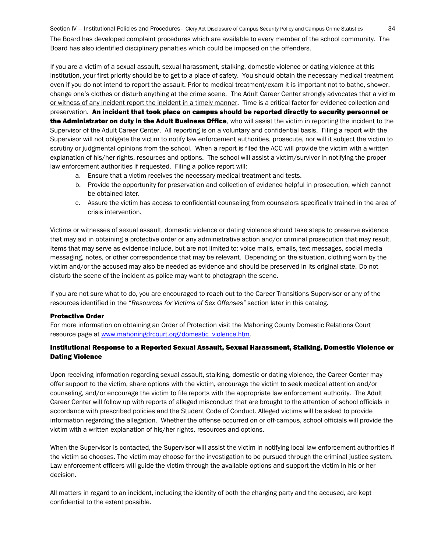The Board has developed complaint procedures which are available to every member of the school community. The Board has also identified disciplinary penalties which could be imposed on the offenders.

If you are a victim of a sexual assault, sexual harassment, stalking, domestic violence or dating violence at this institution, your first priority should be to get to a place of safety. You should obtain the necessary medical treatment even if you do not intend to report the assault. Prior to medical treatment/exam it is important not to bathe, shower, change one's clothes or disturb anything at the crime scene. The Adult Career Center strongly advocates that a victim or witness of any incident report the incident in a timely manner. Time is a critical factor for evidence collection and preservation. An incident that took place on campus should be reported directly to security personnel or the Administrator on duty in the Adult Business Office, who will assist the victim in reporting the incident to the Supervisor of the Adult Career Center. All reporting is on a voluntary and confidential basis. Filing a report with the Supervisor will not obligate the victim to notify law enforcement authorities, prosecute, nor will it subject the victim to scrutiny or judgmental opinions from the school. When a report is filed the ACC will provide the victim with a written explanation of his/her rights, resources and options. The school will assist a victim/survivor in notifying the proper law enforcement authorities if requested. Filing a police report will:

- a. Ensure that a victim receives the necessary medical treatment and tests.
- b. Provide the opportunity for preservation and collection of evidence helpful in prosecution, which cannot be obtained later.
- c. Assure the victim has access to confidential counseling from counselors specifically trained in the area of crisis intervention.

Victims or witnesses of sexual assault, domestic violence or dating violence should take steps to preserve evidence that may aid in obtaining a protective order or any administrative action and/or criminal prosecution that may result. Items that may serve as evidence include, but are not limited to: voice mails, emails, text messages, social media messaging, notes, or other correspondence that may be relevant. Depending on the situation, clothing worn by the victim and/or the accused may also be needed as evidence and should be preserved in its original state. Do not disturb the scene of the incident as police may want to photograph the scene.

If you are not sure what to do, you are encouraged to reach out to the Career Transitions Supervisor or any of the resources identified in the "*Resources for Victims of Sex Offenses"* section later in this catalog.

#### Protective Order

For more information on obtaining an Order of Protection visit the Mahoning County Domestic Relations Court resource page at www.mahoningdrcourt.org/domestic\_violence.htm.

#### Institutional Response to a Reported Sexual Assault, Sexual Harassment, Stalking, Domestic Violence or Dating Violence

Upon receiving information regarding sexual assault, stalking, domestic or dating violence, the Career Center may offer support to the victim, share options with the victim, encourage the victim to seek medical attention and/or counseling, and/or encourage the victim to file reports with the appropriate law enforcement authority. The Adult Career Center will follow up with reports of alleged misconduct that are brought to the attention of school officials in accordance with prescribed policies and the Student Code of Conduct. Alleged victims will be asked to provide information regarding the allegation. Whether the offense occurred on or off-campus, school officials will provide the victim with a written explanation of his/her rights, resources and options.

When the Supervisor is contacted, the Supervisor will assist the victim in notifying local law enforcement authorities if the victim so chooses. The victim may choose for the investigation to be pursued through the criminal justice system. Law enforcement officers will guide the victim through the available options and support the victim in his or her decision.

All matters in regard to an incident, including the identity of both the charging party and the accused, are kept confidential to the extent possible.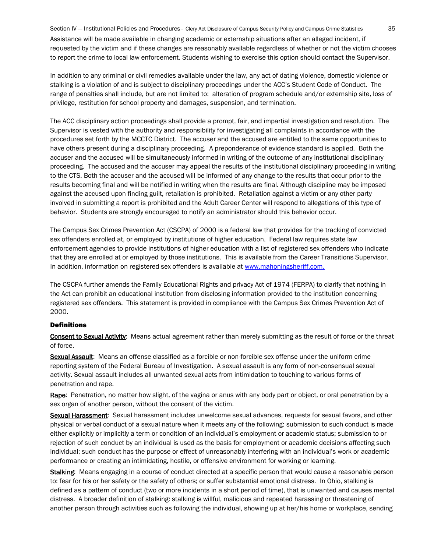Assistance will be made available in changing academic or externship situations after an alleged incident, if requested by the victim and if these changes are reasonably available regardless of whether or not the victim chooses to report the crime to local law enforcement. Students wishing to exercise this option should contact the Supervisor.

In addition to any criminal or civil remedies available under the law, any act of dating violence, domestic violence or stalking is a violation of and is subject to disciplinary proceedings under the ACC's Student Code of Conduct. The range of penalties shall include, but are not limited to: alteration of program schedule and/or externship site, loss of privilege, restitution for school property and damages, suspension, and termination.

The ACC disciplinary action proceedings shall provide a prompt, fair, and impartial investigation and resolution. The Supervisor is vested with the authority and responsibility for investigating all complaints in accordance with the procedures set forth by the MCCTC District. The accuser and the accused are entitled to the same opportunities to have others present during a disciplinary proceeding. A preponderance of evidence standard is applied. Both the accuser and the accused will be simultaneously informed in writing of the outcome of any institutional disciplinary proceeding. The accused and the accuser may appeal the results of the institutional disciplinary proceeding in writing to the CTS. Both the accuser and the accused will be informed of any change to the results that occur prior to the results becoming final and will be notified in writing when the results are final. Although discipline may be imposed against the accused upon finding guilt, retaliation is prohibited. Retaliation against a victim or any other party involved in submitting a report is prohibited and the Adult Career Center will respond to allegations of this type of behavior. Students are strongly encouraged to notify an administrator should this behavior occur.

The Campus Sex Crimes Prevention Act (CSCPA) of 2000 is a federal law that provides for the tracking of convicted sex offenders enrolled at, or employed by institutions of higher education. Federal law requires state law enforcement agencies to provide institutions of higher education with a list of registered sex offenders who indicate that they are enrolled at or employed by those institutions. This is available from the Career Transitions Supervisor. In addition, information on registered sex offenders is available at [www.mahoningsheriff.com.](http://www.mahoningsheriff.com/)

The CSCPA further amends the Family Educational Rights and privacy Act of 1974 (FERPA) to clarify that nothing in the Act can prohibit an educational institution from disclosing information provided to the institution concerning registered sex offenders. This statement is provided in compliance with the Campus Sex Crimes Prevention Act of 2000.

#### **Definitions**

Consent to Sexual Activity: Means actual agreement rather than merely submitting as the result of force or the threat of force.

Sexual Assault: Means an offense classified as a forcible or non-forcible sex offense under the uniform crime reporting system of the Federal Bureau of Investigation. A sexual assault is any form of non-consensual sexual activity. Sexual assault includes all unwanted sexual acts from intimidation to touching to various forms of penetration and rape.

Rape: Penetration, no matter how slight, of the vagina or anus with any body part or object, or oral penetration by a sex organ of another person, without the consent of the victim.

Sexual Harassment: Sexual harassment includes unwelcome sexual advances, requests for sexual favors, and other physical or verbal conduct of a sexual nature when it meets any of the following: submission to such conduct is made either explicitly or implicitly a term or condition of an individual's employment or academic status; submission to or rejection of such conduct by an individual is used as the basis for employment or academic decisions affecting such individual; such conduct has the purpose or effect of unreasonably interfering with an individual's work or academic performance or creating an intimidating, hostile, or offensive environment for working or learning.

Stalking: Means engaging in a course of conduct directed at a specific person that would cause a reasonable person to: fear for his or her safety or the safety of others; or suffer substantial emotional distress. In Ohio, stalking is defined as a pattern of conduct (two or more incidents in a short period of time), that is unwanted and causes mental distress. A broader definition of stalking: stalking is willful, malicious and repeated harassing or threatening of another person through activities such as following the individual, showing up at her/his home or workplace, sending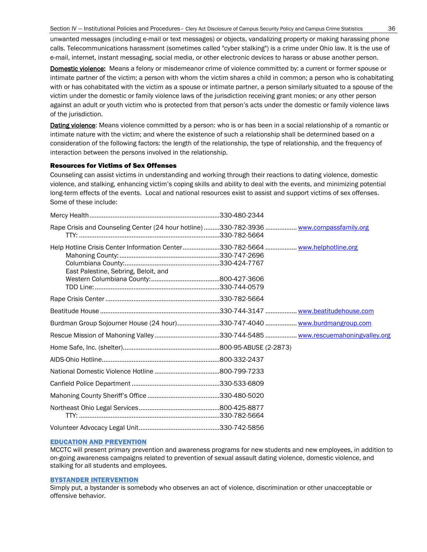unwanted messages (including e-mail or text messages) or objects, vandalizing property or making harassing phone calls. Telecommunications harassment (sometimes called "cyber stalking") is a crime under Ohio law. It is the use of e-mail, internet, instant messaging, social media, or other electronic devices to harass or abuse another person.

Domestic violence: Means a felony or misdemeanor crime of violence committed by: a current or former spouse or intimate partner of the victim; a person with whom the victim shares a child in common; a person who is cohabitating with or has cohabitated with the victim as a spouse or intimate partner, a person similarly situated to a spouse of the victim under the domestic or family violence laws of the jurisdiction receiving grant monies; or any other person against an adult or youth victim who is protected from that person's acts under the domestic or family violence laws of the jurisdiction.

Dating violence: Means violence committed by a person: who is or has been in a social relationship of a romantic or intimate nature with the victim; and where the existence of such a relationship shall be determined based on a consideration of the following factors: the length of the relationship, the type of relationship, and the frequency of interaction between the persons involved in the relationship.

#### Resources for Victims of Sex Offenses

Counseling can assist victims in understanding and working through their reactions to dating violence, domestic violence, and stalking, enhancing victim's coping skills and ability to deal with the events, and minimizing potential long-term effects of the events. Local and national resources exist to assist and support victims of sex offenses. Some of these include:

| Rape Crisis and Counseling Center (24 hour hotline)330-782-3936  www.compassfamily.org                                 |  |
|------------------------------------------------------------------------------------------------------------------------|--|
| Help Hotline Crisis Center Information Center330-782-5664  www.helphotline.org<br>East Palestine, Sebring, Beloit, and |  |
|                                                                                                                        |  |
|                                                                                                                        |  |
|                                                                                                                        |  |
| Burdman Group Sojourner House (24 hour)330-747-4040 www.burdmangroup.com                                               |  |
|                                                                                                                        |  |
|                                                                                                                        |  |
|                                                                                                                        |  |
|                                                                                                                        |  |
|                                                                                                                        |  |
|                                                                                                                        |  |
|                                                                                                                        |  |
|                                                                                                                        |  |

#### EDUCATION AND PREVENTION

MCCTC will present primary prevention and awareness programs for new students and new employees, in addition to on-going awareness campaigns related to prevention of sexual assault dating violence, domestic violence, and stalking for all students and employees.

#### BYSTANDER INTERVENTION

Simply put, a bystander is somebody who observes an act of violence, discrimination or other unacceptable or offensive behavior.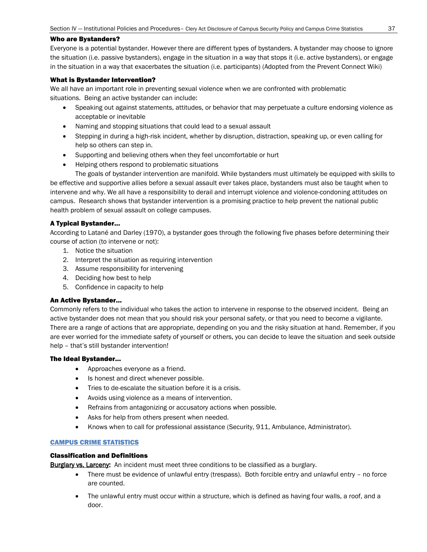#### Who are Bystanders?

Everyone is a potential bystander. However there are different types of bystanders. A bystander may choose to ignore the situation (i.e. passive bystanders), engage in the situation in a way that stops it (i.e. active bystanders), or engage in the situation in a way that exacerbates the situation (i.e. participants) (Adopted from the Prevent Connect Wiki)

#### What is Bystander Intervention?

We all have an important role in preventing sexual violence when we are confronted with problematic situations. Being an active bystander can include:

- Speaking out against statements, attitudes, or behavior that may perpetuate a culture endorsing violence as acceptable or inevitable
- Naming and stopping situations that could lead to a sexual assault
- Stepping in during a high-risk incident, whether by disruption, distraction, speaking up, or even calling for help so others can step in.
- Supporting and believing others when they feel uncomfortable or hurt
- Helping others respond to problematic situations

The goals of bystander intervention are manifold. While bystanders must ultimately be equipped with skills to be effective and supportive allies before a sexual assault ever takes place, bystanders must also be taught when to intervene and why. We all have a responsibility to derail and interrupt violence and violence-condoning attitudes on campus. Research shows that bystander intervention is a promising practice to help prevent the national public health problem of sexual assault on college campuses.

#### A Typical Bystander…

According to Latané and Darley (1970), a bystander goes through the following five phases before determining their course of action (to intervene or not):

- 1. Notice the situation
- 2. Interpret the situation as requiring intervention
- 3. Assume responsibility for intervening
- 4. Deciding how best to help
- 5. Confidence in capacity to help

#### An Active Bystander…

Commonly refers to the individual who takes the action to intervene in response to the observed incident. Being an active bystander does not mean that you should risk your personal safety, or that you need to become a vigilante. There are a range of actions that are appropriate, depending on you and the risky situation at hand. Remember, if you are ever worried for the immediate safety of yourself or others, you can decide to leave the situation and seek outside help – that's still bystander intervention!

#### The Ideal Bystander…

- Approaches everyone as a friend.
- Is honest and direct whenever possible.
- Tries to de-escalate the situation before it is a crisis.
- Avoids using violence as a means of intervention.
- Refrains from antagonizing or accusatory actions when possible.
- Asks for help from others present when needed.
- Knows when to call for professional assistance (Security, 911, Ambulance, Administrator).

#### CAMPUS CRIME STATISTICS

#### Classification and Definitions

Burglary vs. Larceny: An incident must meet three conditions to be classified as a burglary.

- There must be evidence of unlawful entry (trespass). Both forcible entry and unlawful entry no force are counted.
- The unlawful entry must occur within a structure, which is defined as having four walls, a roof, and a door.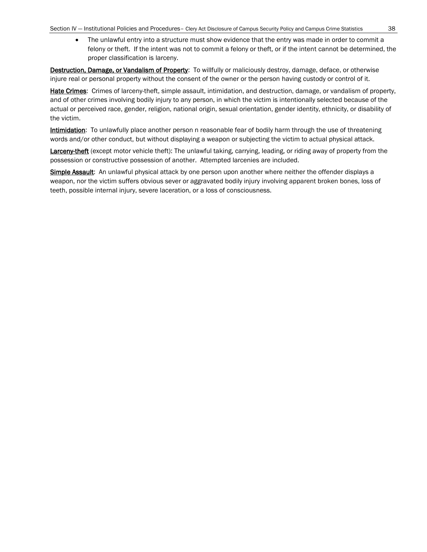• The unlawful entry into a structure must show evidence that the entry was made in order to commit a felony or theft. If the intent was not to commit a felony or theft, or if the intent cannot be determined, the proper classification is larceny.

Destruction, Damage, or Vandalism of Property: To willfully or maliciously destroy, damage, deface, or otherwise injure real or personal property without the consent of the owner or the person having custody or control of it.

Hate Crimes: Crimes of larceny-theft, simple assault, intimidation, and destruction, damage, or vandalism of property, and of other crimes involving bodily injury to any person, in which the victim is intentionally selected because of the actual or perceived race, gender, religion, national origin, sexual orientation, gender identity, ethnicity, or disability of the victim.

Intimidation: To unlawfully place another person n reasonable fear of bodily harm through the use of threatening words and/or other conduct, but without displaying a weapon or subjecting the victim to actual physical attack.

Larceny-theft (except motor vehicle theft): The unlawful taking, carrying, leading, or riding away of property from the possession or constructive possession of another. Attempted larcenies are included.

Simple Assault: An unlawful physical attack by one person upon another where neither the offender displays a weapon, nor the victim suffers obvious sever or aggravated bodily injury involving apparent broken bones, loss of teeth, possible internal injury, severe laceration, or a loss of consciousness.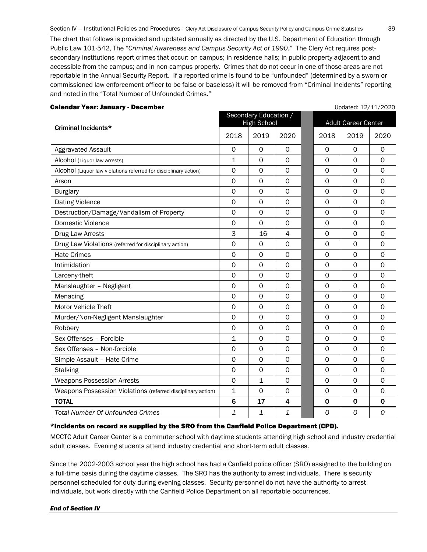The chart that follows is provided and updated annually as directed by the U.S. Department of Education through Public Law 101-542, The "*Criminal Awareness and Campus Security Act of 1990.*" The Clery Act requires postsecondary institutions report crimes that occur: on campus; in residence halls; in public property adjacent to and accessible from the campus; and in non-campus property. Crimes that do not occur in one of those areas are not reportable in the Annual Security Report. If a reported crime is found to be "unfounded" (determined by a sworn or commissioned law enforcement officer to be false or baseless) it will be removed from "Criminal Incidents" reporting and noted in the "Total Number of Unfounded Crimes."

|                                                                  |                 | Secondary Education /<br><b>High School</b> |                         |  | <b>Adult Career Center</b> |                |             |
|------------------------------------------------------------------|-----------------|---------------------------------------------|-------------------------|--|----------------------------|----------------|-------------|
| Criminal Incidents*                                              | 2018            | 2019                                        | 2020                    |  | 2018                       | 2019           | 2020        |
| Aggravated Assault                                               | 0               | $\Omega$                                    | 0                       |  | 0                          | 0              | 0           |
| Alcohol (Liquor law arrests)                                     | $\mathbf 1$     | 0                                           | $\mathbf 0$             |  | $\mathbf 0$                | $\mathbf 0$    | $\mathbf 0$ |
| Alcohol (Liquor law violations referred for disciplinary action) | $\mathsf{O}$    | $\mathbf 0$                                 | $\circ$                 |  | $\mathbf 0$                | $\mathbf 0$    | $\mathbf 0$ |
| Arson                                                            | $\mathbf 0$     | $\mathbf 0$                                 | $\mathbf 0$             |  | $\mathbf 0$                | 0              | 0           |
| <b>Burglary</b>                                                  | $\mathbf 0$     | $\mathbf 0$                                 | $\mathsf{O}$            |  | 0                          | 0              | $\mathbf 0$ |
| <b>Dating Violence</b>                                           | $\mathbf 0$     | $\mathbf 0$                                 | $\mathbf 0$             |  | 0                          | 0              | $\mathbf 0$ |
| Destruction/Damage/Vandalism of Property                         | $\mathbf 0$     | $\mathbf 0$                                 | $\Omega$                |  | $\mathbf 0$                | $\Omega$       | $\mathbf 0$ |
| Domestic Violence                                                | $\mathbf 0$     | $\mathbf 0$                                 | $\Omega$                |  | $\Omega$                   | $\Omega$       | $\mathbf 0$ |
| Drug Law Arrests                                                 | 3               | 16                                          | 4                       |  | 0                          | 0              | $\Omega$    |
| Drug Law Violations (referred for disciplinary action)           | 0               | $\Omega$                                    | $\mathbf 0$             |  | $\mathbf 0$                | $\mathbf 0$    | $\mathbf 0$ |
| <b>Hate Crimes</b>                                               | $\mathbf 0$     | 0                                           | $\mathbf 0$             |  | 0                          | 0              | 0           |
| Intimidation                                                     | $\mathbf 0$     | $\mathbf 0$                                 | $\mathbf 0$             |  | $\mathbf 0$                | $\mathbf 0$    | $\mathbf 0$ |
| Larceny-theft                                                    | $\mathbf 0$     | $\mathbf 0$                                 | $\mathbf 0$             |  | $\mathbf 0$                | $\mathbf 0$    | $\mathbf 0$ |
| Manslaughter - Negligent                                         | $\mathbf 0$     | $\mathbf 0$                                 | $\mathbf 0$             |  | $\mathbf 0$                | $\mathbf 0$    | $\mathbf 0$ |
| Menacing                                                         | $\mathbf 0$     | $\mathbf 0$                                 | $\Omega$                |  | $\mathbf 0$                | $\Omega$       | $\mathbf 0$ |
| Motor Vehicle Theft                                              | $\mathbf 0$     | $\mathbf 0$                                 | $\mathbf 0$             |  | 0                          | 0              | 0           |
| Murder/Non-Negligent Manslaughter                                | $\mathbf 0$     | $\mathbf 0$                                 | $\mathbf 0$             |  | $\mathbf 0$                | $\mathbf 0$    | $\mathbf 0$ |
| Robbery                                                          | $\mathbf 0$     | $\Omega$                                    | 0                       |  | $\Omega$                   | $\Omega$       | $\Omega$    |
| Sex Offenses - Forcible                                          | $\mathbf{1}$    | $\mathbf 0$                                 | $\Omega$                |  | 0                          | 0              | $\Omega$    |
| Sex Offenses - Non-forcible                                      | $\mathbf 0$     | $\mathbf 0$                                 | $\mathbf 0$             |  | 0                          | 0              | 0           |
| Simple Assault - Hate Crime                                      | $\mathbf 0$     | $\mathbf 0$                                 | $\circ$                 |  | $\mathbf 0$                | $\Omega$       | $\mathbf 0$ |
| <b>Stalking</b>                                                  | $\mathbf 0$     | $\mathbf 0$                                 | $\circ$                 |  | $\mathbf 0$                | $\Omega$       | $\mathbf 0$ |
| <b>Weapons Possession Arrests</b>                                | $\mathbf 0$     | $\mathbf{1}$                                | $\Omega$                |  | $\Omega$                   | $\Omega$       | $\Omega$    |
| Weapons Possession Violations (referred disciplinary action)     | 1               | 0                                           | $\mathbf 0$             |  | 0                          | 0              | $\mathbf 0$ |
| <b>TOTAL</b>                                                     | $6\phantom{1}6$ | 17                                          | $\overline{\mathbf{4}}$ |  | $\mathbf 0$                | $\mathbf 0$    | $\mathbf 0$ |
| <b>Total Number Of Unfounded Crimes</b>                          | $\mathbf{1}$    | 1                                           | 1                       |  | 0                          | $\overline{O}$ | 0           |

#### **Calendar Year: January - December Updated: 12/11/2020**

#### \*Incidents on record as supplied by the SRO from the Canfield Police Department (CPD).

MCCTC Adult Career Center is a commuter school with daytime students attending high school and industry credential adult classes. Evening students attend industry credential and short-term adult classes.

Since the 2002-2003 school year the high school has had a Canfield police officer (SRO) assigned to the building on a full-time basis during the daytime classes. The SRO has the authority to arrest individuals. There is security personnel scheduled for duty during evening classes. Security personnel do not have the authority to arrest individuals, but work directly with the Canfield Police Department on all reportable occurrences.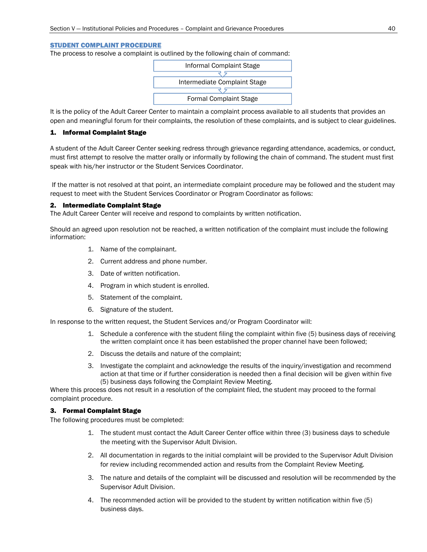#### STUDENT COMPLAINT PROCEDURE

The process to resolve a complaint is outlined by the following chain of command:



It is the policy of the Adult Career Center to maintain a complaint process available to all students that provides an open and meaningful forum for their complaints, the resolution of these complaints, and is subject to clear guidelines.

#### 1. Informal Complaint Stage

A student of the Adult Career Center seeking redress through grievance regarding attendance, academics, or conduct, must first attempt to resolve the matter orally or informally by following the chain of command. The student must first speak with his/her instructor or the Student Services Coordinator.

If the matter is not resolved at that point, an intermediate complaint procedure may be followed and the student may request to meet with the Student Services Coordinator or Program Coordinator as follows:

#### 2. Intermediate Complaint Stage

The Adult Career Center will receive and respond to complaints by written notification.

Should an agreed upon resolution not be reached, a written notification of the complaint must include the following information:

- 1. Name of the complainant.
- 2. Current address and phone number.
- 3. Date of written notification.
- 4. Program in which student is enrolled.
- 5. Statement of the complaint.
- 6. Signature of the student.

In response to the written request, the Student Services and/or Program Coordinator will:

- 1. Schedule a conference with the student filing the complaint within five (5) business days of receiving the written complaint once it has been established the proper channel have been followed;
- 2. Discuss the details and nature of the complaint;
- 3. Investigate the complaint and acknowledge the results of the inquiry/investigation and recommend action at that time or if further consideration is needed then a final decision will be given within five (5) business days following the Complaint Review Meeting.

Where this process does not result in a resolution of the complaint filed, the student may proceed to the formal complaint procedure.

#### 3. Formal Complaint Stage

The following procedures must be completed:

- 1. The student must contact the Adult Career Center office within three (3) business days to schedule the meeting with the Supervisor Adult Division.
- 2. All documentation in regards to the initial complaint will be provided to the Supervisor Adult Division for review including recommended action and results from the Complaint Review Meeting.
- 3. The nature and details of the complaint will be discussed and resolution will be recommended by the Supervisor Adult Division.
- 4. The recommended action will be provided to the student by written notification within five (5) business days.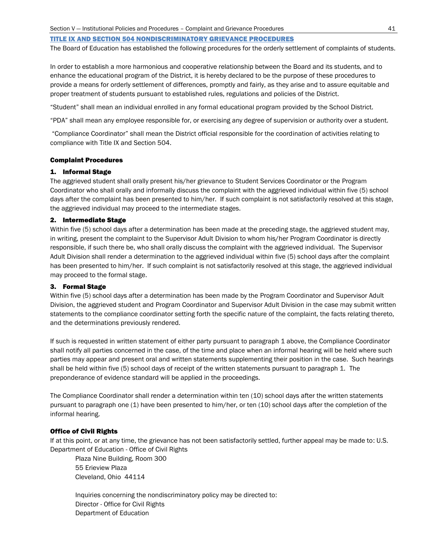#### TITLE IX AND SECTION 504 NONDISCRIMINATORY GRIEVANCE PROCEDURES

The Board of Education has established the following procedures for the orderly settlement of complaints of students.

In order to establish a more harmonious and cooperative relationship between the Board and its students, and to enhance the educational program of the District, it is hereby declared to be the purpose of these procedures to provide a means for orderly settlement of differences, promptly and fairly, as they arise and to assure equitable and proper treatment of students pursuant to established rules, regulations and policies of the District.

"Student" shall mean an individual enrolled in any formal educational program provided by the School District.

"PDA" shall mean any employee responsible for, or exercising any degree of supervision or authority over a student.

"Compliance Coordinator" shall mean the District official responsible for the coordination of activities relating to compliance with Title IX and Section 504.

#### Complaint Procedures

#### 1. Informal Stage

The aggrieved student shall orally present his/her grievance to Student Services Coordinator or the Program Coordinator who shall orally and informally discuss the complaint with the aggrieved individual within five (5) school days after the complaint has been presented to him/her. If such complaint is not satisfactorily resolved at this stage, the aggrieved individual may proceed to the intermediate stages.

#### 2. Intermediate Stage

Within five (5) school days after a determination has been made at the preceding stage, the aggrieved student may, in writing, present the complaint to the Supervisor Adult Division to whom his/her Program Coordinator is directly responsible, if such there be, who shall orally discuss the complaint with the aggrieved individual. The Supervisor Adult Division shall render a determination to the aggrieved individual within five (5) school days after the complaint has been presented to him/her. If such complaint is not satisfactorily resolved at this stage, the aggrieved individual may proceed to the formal stage.

#### 3. Formal Stage

Within five (5) school days after a determination has been made by the Program Coordinator and Supervisor Adult Division, the aggrieved student and Program Coordinator and Supervisor Adult Division in the case may submit written statements to the compliance coordinator setting forth the specific nature of the complaint, the facts relating thereto, and the determinations previously rendered.

If such is requested in written statement of either party pursuant to paragraph 1 above, the Compliance Coordinator shall notify all parties concerned in the case, of the time and place when an informal hearing will be held where such parties may appear and present oral and written statements supplementing their position in the case. Such hearings shall be held within five (5) school days of receipt of the written statements pursuant to paragraph 1. The preponderance of evidence standard will be applied in the proceedings.

The Compliance Coordinator shall render a determination within ten (10) school days after the written statements pursuant to paragraph one (1) have been presented to him/her, or ten (10) school days after the completion of the informal hearing.

#### Office of Civil Rights

If at this point, or at any time, the grievance has not been satisfactorily settled, further appeal may be made to: U.S. Department of Education - Office of Civil Rights

Plaza Nine Building, Room 300 55 Erieview Plaza Cleveland, Ohio 44114

Inquiries concerning the nondiscriminatory policy may be directed to: Director - Office for Civil Rights Department of Education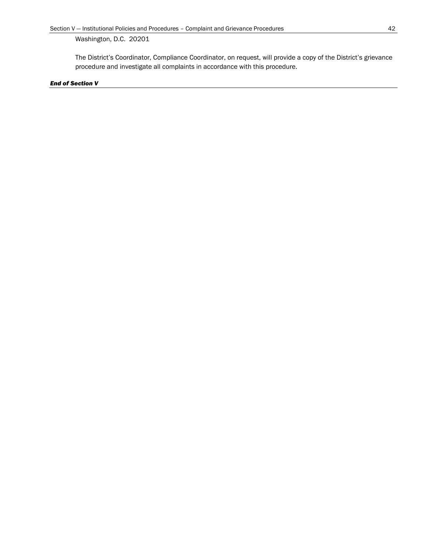Washington, D.C. 20201

The District's Coordinator, Compliance Coordinator, on request, will provide a copy of the District's grievance procedure and investigate all complaints in accordance with this procedure.

#### *End of Section V*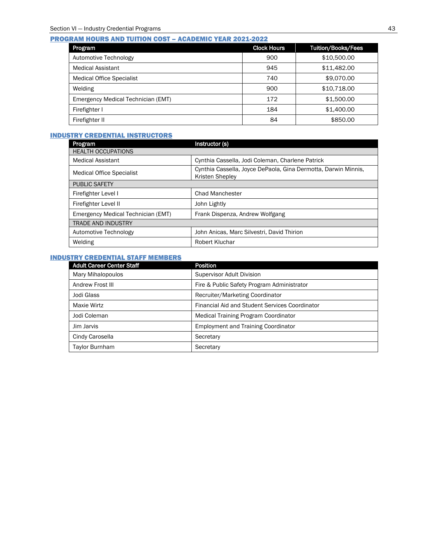#### PROGRAM HOURS AND TUITION COST – ACADEMIC YEAR 2021-2022

| Program                            | <b>Clock Hours</b> | <b>Tuition/Books/Fees</b> |
|------------------------------------|--------------------|---------------------------|
| Automotive Technology              | 900                | \$10,500,00               |
| <b>Medical Assistant</b>           | 945                | \$11,482.00               |
| <b>Medical Office Specialist</b>   | 740                | \$9,070.00                |
| Welding                            | 900                | \$10,718.00               |
| Emergency Medical Technician (EMT) | 172                | \$1,500.00                |
| Firefighter I                      | 184                | \$1,400.00                |
| Firefighter II                     | 84                 | \$850.00                  |

### INDUSTRY CREDENTIAL INSTRUCTORS

| Program                            | Instructor (s)                                                                    |
|------------------------------------|-----------------------------------------------------------------------------------|
| <b>HEALTH OCCUPATIONS</b>          |                                                                                   |
| <b>Medical Assistant</b>           | Cynthia Cassella, Jodi Coleman, Charlene Patrick                                  |
| <b>Medical Office Specialist</b>   | Cynthia Cassella, Joyce DePaola, Gina Dermotta, Darwin Minnis,<br>Kristen Shepley |
| <b>PUBLIC SAFETY</b>               |                                                                                   |
| Firefighter Level I                | <b>Chad Manchester</b>                                                            |
| Firefighter Level II               | John Lightly                                                                      |
| Emergency Medical Technician (EMT) | Frank Dispenza, Andrew Wolfgang                                                   |
| <b>TRADE AND INDUSTRY</b>          |                                                                                   |
| Automotive Technology              | John Anicas, Marc Silvestri, David Thirion                                        |
| Welding                            | Robert Kluchar                                                                    |

#### INDUSTRY CREDENTIAL STAFF MEMBERS

| <b>Adult Career Center Staff</b> | <b>Position</b>                                |
|----------------------------------|------------------------------------------------|
| Mary Mihalopoulos                | <b>Supervisor Adult Division</b>               |
| Andrew Frost III                 | Fire & Public Safety Program Administrator     |
| Jodi Glass                       | Recruiter/Marketing Coordinator                |
| Maxie Wirtz                      | Financial Aid and Student Services Coordinator |
| Jodi Coleman                     | Medical Training Program Coordinator           |
| Jim Jarvis                       | <b>Employment and Training Coordinator</b>     |
| Cindy Carosella                  | Secretary                                      |
| <b>Taylor Burnham</b>            | Secretary                                      |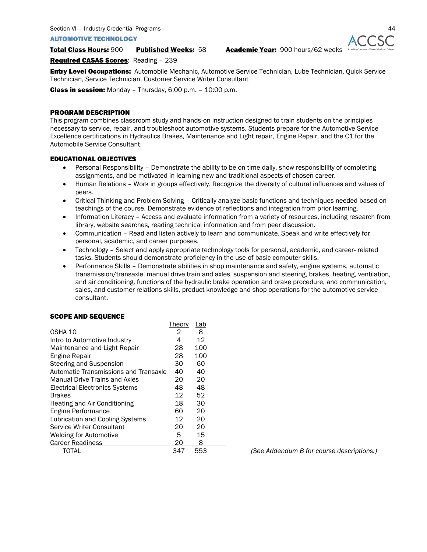#### AUTOMOTIVE TECHNOLOGY

Total Class Hours: 900 Published Weeks: 58 Academic Year: 900 hours/62 weeks

Required CASAS Scores: Reading – 239

**Entry Level Occupations:** Automobile Mechanic, Automotive Service Technician, Lube Technician, Quick Service Technician, Service Technician, Customer Service Writer Consultant

Class in session: Monday – Thursday, 6:00 p.m. – 10:00 p.m.

#### PROGRAM DESCRIPTION

This program combines classroom study and hands-on instruction designed to train students on the principles necessary to service, repair, and troubleshoot automotive systems. Students prepare for the Automotive Service Excellence certifications in Hydraulics Brakes, Maintenance and Light repair, Engine Repair, and the C1 for the Automobile Service Consultant.

#### EDUCATIONAL OBJECTIVES

- Personal Responsibility Demonstrate the ability to be on time daily, show responsibility of completing assignments, and be motivated in learning new and traditional aspects of chosen career.
- Human Relations Work in groups effectively. Recognize the diversity of cultural influences and values of peers.
- Critical Thinking and Problem Solving Critically analyze basic functions and techniques needed based on teachings of the course. Demonstrate evidence of reflections and integration from prior learning.
- Information Literacy Access and evaluate information from a variety of resources, including research from library, website searches, reading technical information and from peer discussion.
- Communication Read and listen actively to learn and communicate. Speak and write effectively for personal, academic, and career purposes.

Theory Lab

- Technology Select and apply appropriate technology tools for personal, academic, and career- related tasks. Students should demonstrate proficiency in the use of basic computer skills.
- Performance Skills Demonstrate abilities in shop maintenance and safety, engine systems, automatic transmission/transaxle, manual drive train and axles, suspension and steering, brakes, heating, ventilation, and air conditioning, functions of the hydraulic brake operation and brake procedure, and communication, sales, and customer relations skills, product knowledge and shop operations for the automotive service consultant.

#### SCOPE AND SEQUENCE

|                                       | <u>THEOLY</u> | <u>LdU</u> |  |
|---------------------------------------|---------------|------------|--|
| OSHA 10                               | 2             | 8          |  |
| Intro to Automotive Industry          | 4             | 12         |  |
| Maintenance and Light Repair          | 28            | 100        |  |
| Engine Repair                         | 28            | 100        |  |
| Steering and Suspension               | 30            | 60         |  |
| Automatic Transmissions and Transaxle | 40            | 40         |  |
| Manual Drive Trains and Axles         | 20            | 20         |  |
| <b>Electrical Electronics Systems</b> | 48            | 48         |  |
| <b>Brakes</b>                         | 12            | 52         |  |
| Heating and Air Conditioning          | 18            | 30         |  |
| Engine Performance                    | 60            | 20         |  |
| Lubrication and Cooling Systems       | 12            | 20         |  |
| Service Writer Consultant             | 20            | 20         |  |
| <b>Welding for Automotive</b>         | 5             | 15         |  |
| Career Readiness                      | 20            | 8          |  |
| TOTAL                                 | 347           | 553        |  |

(See Addendum B for course descriptions.)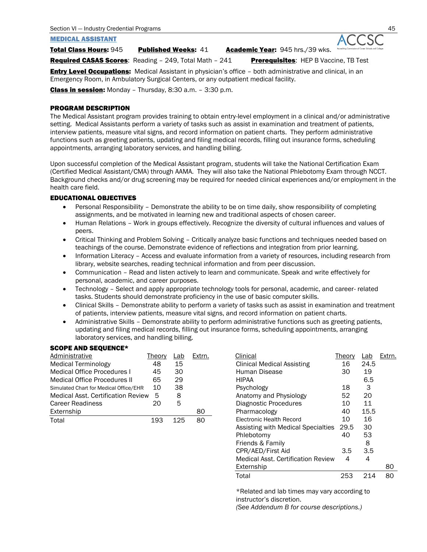#### MEDICAL ASSISTANT

Total Class Hours: 945 Published Weeks: 41 Academic Year: 945 hrs./39 wks.

Required CASAS Scores: Reading - 249, Total Math - 241 Prerequisites: HEP B Vaccine, TB Test

**Entry Level Occupations:** Medical Assistant in physician's office - both administrative and clinical, in an Emergency Room, in Ambulatory Surgical Centers, or any outpatient medical facility.

Class in session: Monday – Thursday, 8:30 a.m. – 3:30 p.m.

#### PROGRAM DESCRIPTION

The Medical Assistant program provides training to obtain entry-level employment in a clinical and/or administrative setting. Medical Assistants perform a variety of tasks such as assist in examination and treatment of patients, interview patients, measure vital signs, and record information on patient charts. They perform administrative functions such as greeting patients, updating and filing medical records, filling out insurance forms, scheduling appointments, arranging laboratory services, and handling billing.

Upon successful completion of the Medical Assistant program, students will take the National Certification Exam (Certified Medical Assistant/CMA) through AAMA. They will also take the National Phlebotomy Exam through NCCT. Background checks and/or drug screening may be required for needed clinical experiences and/or employment in the health care field.

#### EDUCATIONAL OBJECTIVES

- Personal Responsibility Demonstrate the ability to be on time daily, show responsibility of completing assignments, and be motivated in learning new and traditional aspects of chosen career.
- Human Relations Work in groups effectively. Recognize the diversity of cultural influences and values of peers.
- Critical Thinking and Problem Solving Critically analyze basic functions and techniques needed based on teachings of the course. Demonstrate evidence of reflections and integration from prior learning.
- Information Literacy Access and evaluate information from a variety of resources, including research from library, website searches, reading technical information and from peer discussion.
- Communication Read and listen actively to learn and communicate. Speak and write effectively for personal, academic, and career purposes.
- Technology Select and apply appropriate technology tools for personal, academic, and career- related tasks. Students should demonstrate proficiency in the use of basic computer skills.
- Clinical Skills Demonstrate ability to perform a variety of tasks such as assist in examination and treatment of patients, interview patients, measure vital signs, and record information on patient charts.
- Administrative Skills Demonstrate ability to perform administrative functions such as greeting patients, updating and filing medical records, filling out insurance forms, scheduling appointments, arranging laboratory services, and handling billing.

#### SCOPE AND SEQUENCE\*

| Administrative                            | Theory | Lab | Extrn. |
|-------------------------------------------|--------|-----|--------|
| <b>Medical Terminology</b>                | 48     | 15  |        |
| Medical Office Procedures I               | 45     | 30  |        |
| Medical Office Procedures II              | 65     | 29  |        |
| Simulated Chart for Medical Office/EHR    | 10     | 38  |        |
| <b>Medical Asst. Certification Review</b> | 5      | 8   |        |
| <b>Career Readiness</b>                   | 20     | 5   |        |
| Externship                                |        |     | 80     |
| Total                                     | 193    | 125 |        |

| Administrative                         | Theory | Lab | Extrn. | Clinical                                  | <b>Theory</b> | Lab  | Extrn. |
|----------------------------------------|--------|-----|--------|-------------------------------------------|---------------|------|--------|
| Medical Terminology                    | 48     | 15  |        | <b>Clinical Medical Assisting</b>         | 16            | 24.5 |        |
| <b>Medical Office Procedures I</b>     | 45     | 30  |        | Human Disease                             | 30            | 19   |        |
| Medical Office Procedures II           | 65     | 29  |        | <b>HIPAA</b>                              |               | 6.5  |        |
| Simulated Chart for Medical Office/EHR | 10     | 38  |        | Psychology                                | 18            | 3    |        |
| Medical Asst. Certification Review     | 5      | 8   |        | Anatomy and Physiology                    | 52            | 20   |        |
| Career Readiness                       | 20     | 5   |        | <b>Diagnostic Procedures</b>              | 10            | 11   |        |
| Externship                             |        |     | 80     | Pharmacology                              | 40            | 15.5 |        |
| Total                                  | 193    | 125 | 80     | Electronic Health Record                  | 10            | 16   |        |
|                                        |        |     |        | Assisting with Medical Specialties        | 29.5          | 30   |        |
|                                        |        |     |        | Phlebotomy                                | 40            | 53   |        |
|                                        |        |     |        | Friends & Family                          |               | 8    |        |
|                                        |        |     |        | CPR/AED/First Aid                         | 3.5           | 3.5  |        |
|                                        |        |     |        | <b>Medical Asst. Certification Review</b> | 4             | 4    |        |
|                                        |        |     |        | Externship                                |               |      | 80     |
|                                        |        |     |        | Total                                     | 253           | 214  | 80     |

\*Related and lab times may vary according to instructor's discretion.

*(See Addendum B for course descriptions.)*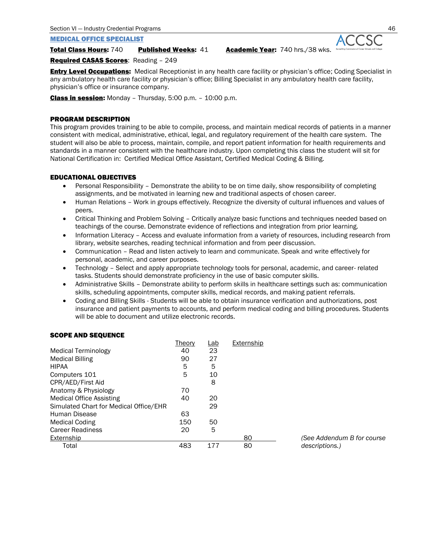Section VI — Industry Credential Programs 46

MEDICAL OFFICE SPECIALIST

Total Class Hours: 740 Published Weeks: 41 Academic Year: 740 hrs./38 wks.

Required CASAS Scores: Reading – 249

**Entry Level Occupations:** Medical Receptionist in any health care facility or physician's office; Coding Specialist in any ambulatory health care facility or physician's office; Billing Specialist in any ambulatory health care facility, physician's office or insurance company.

Class in session: Monday - Thursday, 5:00 p.m. - 10:00 p.m.

#### PROGRAM DESCRIPTION

This program provides training to be able to compile, process, and maintain medical records of patients in a manner consistent with medical, administrative, ethical, legal, and regulatory requirement of the health care system. The student will also be able to process, maintain, compile, and report patient information for health requirements and standards in a manner consistent with the healthcare industry. Upon completing this class the student will sit for National Certification in: Certified Medical Office Assistant, Certified Medical Coding & Billing.

#### EDUCATIONAL OBJECTIVES

- Personal Responsibility Demonstrate the ability to be on time daily, show responsibility of completing assignments, and be motivated in learning new and traditional aspects of chosen career.
- Human Relations Work in groups effectively. Recognize the diversity of cultural influences and values of peers.
- Critical Thinking and Problem Solving Critically analyze basic functions and techniques needed based on teachings of the course. Demonstrate evidence of reflections and integration from prior learning.
- Information Literacy Access and evaluate information from a variety of resources, including research from library, website searches, reading technical information and from peer discussion.
- Communication Read and listen actively to learn and communicate. Speak and write effectively for personal, academic, and career purposes.
- Technology Select and apply appropriate technology tools for personal, academic, and career- related tasks. Students should demonstrate proficiency in the use of basic computer skills.
- Administrative Skills Demonstrate ability to perform skills in healthcare settings such as: communication skills, scheduling appointments, computer skills, medical records, and making patient referrals.
- Coding and Billing Skills Students will be able to obtain insurance verification and authorizations, post insurance and patient payments to accounts, and perform medical coding and billing procedures. Students will be able to document and utilize electronic records.

#### SCOPE AND SEQUENCE

|                                        | Theory | Lab | Externship |
|----------------------------------------|--------|-----|------------|
| Medical Terminology                    | 40     | 23  |            |
| <b>Medical Billing</b>                 | 90     | 27  |            |
| <b>HIPAA</b>                           | 5      | 5   |            |
| Computers 101                          | 5      | 10  |            |
| CPR/AED/First Aid                      |        | 8   |            |
| Anatomy & Physiology                   | 70     |     |            |
| <b>Medical Office Assisting</b>        | 40     | 20  |            |
| Simulated Chart for Medical Office/EHR |        | 29  |            |
| Human Disease                          | 63     |     |            |
| <b>Medical Coding</b>                  | 150    | 50  |            |
| <b>Career Readiness</b>                | 20     | 5   |            |
| Externship                             |        |     | 80         |
| Total                                  | 483    | 177 | 80         |

(See Addendum B for course  $descriptions.$ )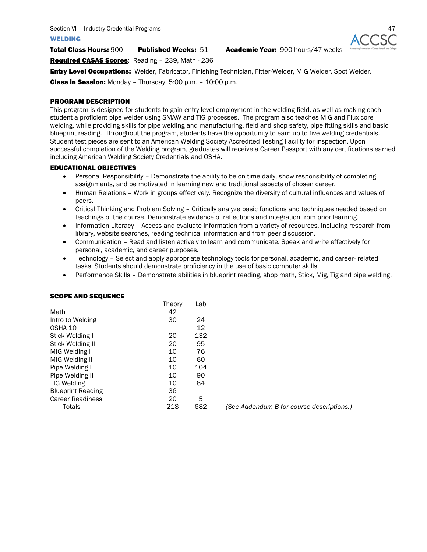#### WELDING

Total Class Hours: 900 Published Weeks: 51 Academic Year: 900 hours/47 weeks

Required CASAS Scores: Reading – 239, Math - 236

**Entry Level Occupations:** Welder, Fabricator, Finishing Technician, Fitter-Welder, MIG Welder, Spot Welder. Class in Session: Monday – Thursday, 5:00 p.m. – 10:00 p.m.

#### PROGRAM DESCRIPTION

This program is designed for students to gain entry level employment in the welding field, as well as making each student a proficient pipe welder using SMAW and TIG processes. The program also teaches MIG and Flux core welding, while providing skills for pipe welding and manufacturing, field and shop safety, pipe fitting skills and basic blueprint reading. Throughout the program, students have the opportunity to earn up to five welding credentials. Student test pieces are sent to an American Welding Society Accredited Testing Facility for inspection. Upon successful completion of the Welding program, graduates will receive a Career Passport with any certifications earned including American Welding Society Credentials and OSHA.

#### EDUCATIONAL OBJECTIVES

- Personal Responsibility Demonstrate the ability to be on time daily, show responsibility of completing assignments, and be motivated in learning new and traditional aspects of chosen career.
- Human Relations Work in groups effectively. Recognize the diversity of cultural influences and values of peers.
- Critical Thinking and Problem Solving Critically analyze basic functions and techniques needed based on teachings of the course. Demonstrate evidence of reflections and integration from prior learning.
- Information Literacy Access and evaluate information from a variety of resources, including research from library, website searches, reading technical information and from peer discussion.
- Communication Read and listen actively to learn and communicate. Speak and write effectively for personal, academic, and career purposes.
- Technology Select and apply appropriate technology tools for personal, academic, and career- related tasks. Students should demonstrate proficiency in the use of basic computer skills.
- Performance Skills Demonstrate abilities in blueprint reading, shop math, Stick, Mig, Tig and pipe welding.

|                          | Theory | Lab |
|--------------------------|--------|-----|
| Math I                   | 42     |     |
| Intro to Welding         | 30     | 24  |
| OSHA 10                  |        | 12  |
| Stick Welding I          | 20     | 132 |
| Stick Welding II         | 20     | 95  |
| MIG Welding I            | 10     | 76  |
| MIG Welding II           | 10     | 60  |
| Pipe Welding I           | 10     | 104 |
| Pipe Welding II          | 10     | 90  |
| <b>TIG Welding</b>       | 10     | 84  |
| <b>Blueprint Reading</b> | 36     |     |
| <b>Career Readiness</b>  | 20     | 5   |
| Totals                   | 218    | 682 |

#### SCOPE AND SEQUENCE

(See Addendum B for course descriptions.)

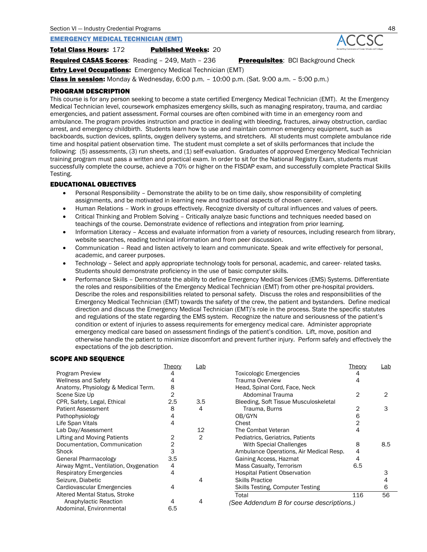#### EMERGENCY MEDICAL TECHNICIAN (EMT)

**Total Class Hours: 172 Published Weeks: 20** 

**Required CASAS Scores:** Reading - 249, Math - 236 **Prerequisites:** BCI Background Check

**Entry Level Occupations:** Emergency Medical Technician (EMT)

**Class in session:** Monday & Wednesday, 6:00 p.m.  $- 10:00$  p.m. (Sat. 9:00 a.m.  $- 5:00$  p.m.)

#### PROGRAM DESCRIPTION

This course is for any person seeking to become a state certified Emergency Medical Technician (EMT). At the Emergency Medical Technician level, coursework emphasizes emergency skills, such as managing respiratory, trauma, and cardiac emergencies, and patient assessment. Formal courses are often combined with time in an emergency room and ambulance. The program provides instruction and practice in dealing with bleeding, fractures, airway obstruction, cardiac arrest, and emergency childbirth. Students learn how to use and maintain common emergency equipment, such as backboards, suction devices, splints, oxygen delivery systems, and stretchers. All students must complete ambulance ride time and hospital patient observation time. The student must complete a set of skills performances that include the following: (5) assessments, (3) run sheets, and (1) self-evaluation. Graduates of approved Emergency Medical Technician training program must pass a written and practical exam. In order to sit for the National Registry Exam, students must successfully complete the course, achieve a 70% or higher on the FISDAP exam, and successfully complete Practical Skills Testing.

#### EDUCATIONAL OBJECTIVES

- Personal Responsibility Demonstrate the ability to be on time daily, show responsibility of completing assignments, and be motivated in learning new and traditional aspects of chosen career.
- Human Relations Work in groups effectively. Recognize diversity of cultural influences and values of peers.
- Critical Thinking and Problem Solving Critically analyze basic functions and techniques needed based on teachings of the course. Demonstrate evidence of reflections and integration from prior learning.
- Information Literacy Access and evaluate information from a variety of resources, including research from library, website searches, reading technical information and from peer discussion.
- Communication Read and listen actively to learn and communicate. Speak and write effectively for personal, academic, and career purposes.
- Technology Select and apply appropriate technology tools for personal, academic, and career- related tasks. Students should demonstrate proficiency in the use of basic computer skills.
- Performance Skills Demonstrate the ability to define Emergency Medical Services (EMS) Systems. Differentiate the roles and responsibilities of the Emergency Medical Technician (EMT) from other pre-hospital providers. Describe the roles and responsibilities related to personal safety. Discuss the roles and responsibilities of the Emergency Medical Technician (EMT) towards the safety of the crew, the patient and bystanders. Define medical direction and discuss the Emergency Medical Technician (EMT)'s role in the process. State the specific statutes and regulations of the state regarding the EMS system. Recognize the nature and seriousness of the patient's condition or extent of injuries to assess requirements for emergency medical care. Administer appropriate emergency medical care based on assessment findings of the patient's condition. Lift, move, position and otherwise handle the patient to minimize discomfort and prevent further injury. Perform safely and effectively the expectations of the job description.

#### SCOPE AND SEQUENCE

|                                        | <b>Theory</b>  | <u>Lab</u>     |                                           | Theory | Lab |
|----------------------------------------|----------------|----------------|-------------------------------------------|--------|-----|
| Program Preview                        |                |                | Toxicologic Emergencies                   |        |     |
| <b>Wellness and Safety</b>             | 4              |                | Trauma Overview                           | 4      |     |
| Anatomy, Physiology & Medical Term.    | 8              |                | Head, Spinal Cord, Face, Neck             |        |     |
| Scene Size Up                          | 2              |                | Abdominal Trauma                          | 2      | 2   |
| CPR, Safety, Legal, Ethical            | 2.5            | 3.5            | Bleeding, Soft Tissue Musculoskeletal     |        |     |
| <b>Patient Assessment</b>              | 8              | 4              | Trauma, Burns                             |        | З   |
| Pathophysiology                        |                |                | OB/GYN                                    | 6      |     |
| Life Span Vitals                       | 4              |                | Chest                                     |        |     |
| Lab Day/Assessment                     |                | 12             | The Combat Veteran                        |        |     |
| Lifting and Moving Patients            | 2              | $\overline{2}$ | Pediatrics, Geriatrics, Patients          |        |     |
| Documentation, Communication           | $\overline{2}$ |                | With Special Challenges                   | 8      | 8.5 |
| Shock                                  | 3              |                | Ambulance Operations, Air Medical Resp.   | 4      |     |
| General Pharmacology                   | 3.5            |                | Gaining Access, Hazmat                    | 4      |     |
| Airway Mgmt., Ventilation, Oxygenation | 4              |                | Mass Casualty, Terrorism                  | 6.5    |     |
| <b>Respiratory Emergencies</b>         | 4              |                | <b>Hospital Patient Observation</b>       |        |     |
| Seizure, Diabetic                      |                | 4              | <b>Skills Practice</b>                    |        |     |
| Cardiovascular Emergencies             | 4              |                | Skills Testing, Computer Testing          |        | 6   |
| Altered Mental Status, Stroke          |                |                | Total                                     | 116    | 56  |
| Anaphylactic Reaction                  |                | 4              | (See Addendum B for course descriptions.) |        |     |
| Abdominal, Environmental               | 6.5            |                |                                           |        |     |

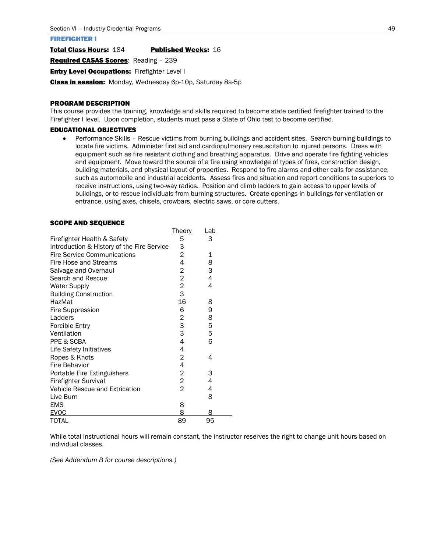#### FIREFIGHTER I

Total Class Hours: 184 Published Weeks: 16

Required CASAS Scores: Reading - 239

**Entry Level Occupations: Firefighter Level I** 

Class in session: Monday, Wednesday 6p-10p, Saturday 8a-5p

#### PROGRAM DESCRIPTION

This course provides the training, knowledge and skills required to become state certified firefighter trained to the Firefighter I level. Upon completion, students must pass a State of Ohio test to become certified.

Theory Lab

#### EDUCATIONAL OBJECTIVES

• Performance Skills – Rescue victims from burning buildings and accident sites. Search burning buildings to locate fire victims. Administer first aid and cardiopulmonary resuscitation to injured persons. Dress with equipment such as fire resistant clothing and breathing apparatus. Drive and operate fire fighting vehicles and equipment. Move toward the source of a fire using knowledge of types of fires, construction design, building materials, and physical layout of properties. Respond to fire alarms and other calls for assistance, such as automobile and industrial accidents. Assess fires and situation and report conditions to superiors to receive instructions, using two-way radios. Position and climb ladders to gain access to upper levels of buildings, or to rescue individuals from burning structures. Create openings in buildings for ventilation or entrance, using axes, chisels, crowbars, electric saws, or core cutters.

#### SCOPE AND SEQUENCE

|                                            | THEOLY                  | <u>Lav</u> |  |
|--------------------------------------------|-------------------------|------------|--|
| Firefighter Health & Safety                | 5                       | 3          |  |
| Introduction & History of the Fire Service | 3                       |            |  |
| <b>Fire Service Communications</b>         | $\overline{c}$          | 1          |  |
| Fire Hose and Streams                      | 4                       | 8          |  |
| Salvage and Overhaul                       | 2                       | 3          |  |
| Search and Rescue                          | $\overline{2}$          | 4          |  |
| <b>Water Supply</b>                        | $\overline{c}$          | 4          |  |
| <b>Building Construction</b>               | 3                       |            |  |
| HazMat                                     | 16                      | 8          |  |
| Fire Suppression                           | 6                       | 9          |  |
| Ladders                                    | $\overline{c}$          | 8          |  |
| <b>Forcible Entry</b>                      | 3                       | 5          |  |
| Ventilation                                | 3                       | 5          |  |
| PPE & SCBA                                 | 4                       | 6          |  |
| Life Safety Initiatives                    | 4                       |            |  |
| Ropes & Knots                              | 2                       | 4          |  |
| Fire Behavior                              | 4                       |            |  |
| Portable Fire Extinguishers                | $\overline{c}$          | 3          |  |
| <b>Firefighter Survival</b>                | $\overline{\mathbf{c}}$ | 4          |  |
| Vehicle Rescue and Extrication             | 2                       | 4          |  |
| Live Burn                                  |                         | 8          |  |
| <b>EMS</b>                                 | 8                       |            |  |
| <b>EVOC</b>                                | 8                       | 8          |  |
| <b>TOTAL</b>                               | 89                      | 95         |  |

While total instructional hours will remain constant, the instructor reserves the right to change unit hours based on individual classes.

*(See Addendum B for course descriptions.)*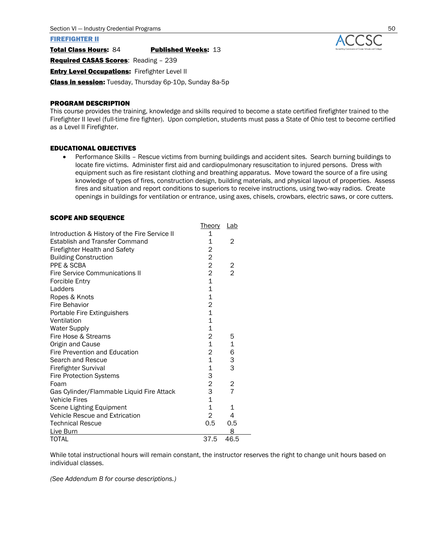#### FIREFIGHTER II

Total Class Hours: 84 Published Weeks: 13

Required CASAS Scores: Reading - 239

**Entry Level Occupations:** Firefighter Level II

Class in session: Tuesday, Thursday 6p-10p, Sunday 8a-5p

#### PROGRAM DESCRIPTION

This course provides the training, knowledge and skills required to become a state certified firefighter trained to the Firefighter II level (full-time fire fighter). Upon completion, students must pass a State of Ohio test to become certified as a Level II Firefighter.

#### EDUCATIONAL OBJECTIVES

• Performance Skills – Rescue victims from burning buildings and accident sites. Search burning buildings to locate fire victims. Administer first aid and cardiopulmonary resuscitation to injured persons. Dress with equipment such as fire resistant clothing and breathing apparatus. Move toward the source of a fire using knowledge of types of fires, construction design, building materials, and physical layout of properties. Assess fires and situation and report conditions to superiors to receive instructions, using two-way radios. Create openings in buildings for ventilation or entrance, using axes, chisels, crowbars, electric saws, or core cutters.

#### SCOPE AND SEQUENCE

|                                               | Theory         | <u>Lab</u>     |  |
|-----------------------------------------------|----------------|----------------|--|
| Introduction & History of the Fire Service II | 1              |                |  |
| <b>Establish and Transfer Command</b>         | 1              | 2              |  |
| <b>Firefighter Health and Safety</b>          | 2              |                |  |
| <b>Building Construction</b>                  | $\overline{c}$ |                |  |
| PPE & SCBA                                    | $\overline{c}$ | 2              |  |
| <b>Fire Service Communications II</b>         | $\overline{c}$ | $\overline{2}$ |  |
| <b>Forcible Entry</b>                         | $\mathbf 1$    |                |  |
| Ladders                                       | $\mathbf{1}$   |                |  |
| Ropes & Knots                                 | 1              |                |  |
| Fire Behavior                                 | 2              |                |  |
| Portable Fire Extinguishers                   | $\overline{1}$ |                |  |
| Ventilation                                   | $\mathbf{1}$   |                |  |
| <b>Water Supply</b>                           | 1              |                |  |
| Fire Hose & Streams                           | 2              | 5              |  |
| Origin and Cause                              | $\mathbf{1}$   | 1              |  |
| Fire Prevention and Education                 | 2              | 6              |  |
| Search and Rescue                             | $\mathbf{1}$   | 3              |  |
| <b>Firefighter Survival</b>                   | 1              | 3              |  |
| <b>Fire Protection Systems</b>                | 3              |                |  |
| Foam                                          | $\overline{c}$ | 2              |  |
| Gas Cylinder/Flammable Liquid Fire Attack     | 3              | $\overline{7}$ |  |
| <b>Vehicle Fires</b>                          | $\overline{1}$ |                |  |
| Scene Lighting Equipment                      | $\mathbf{1}$   | 1              |  |
| Vehicle Rescue and Extrication                | $\overline{2}$ | 4              |  |
| <b>Technical Rescue</b>                       | 0.5            | 0.5            |  |
| Live Burn                                     |                | 8              |  |
| TOTAL                                         | 37.5           | 46.5           |  |

While total instructional hours will remain constant, the instructor reserves the right to change unit hours based on individual classes.

*(See Addendum B for course descriptions.)*

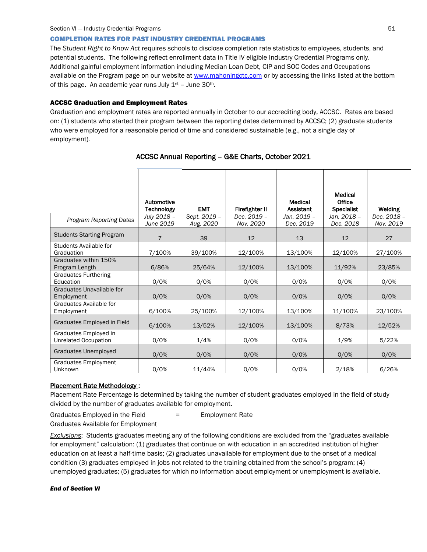#### COMPLETION RATES FOR PAST INDUSTRY CREDENTIAL PROGRAMS

The *Student Right to Know Act* requires schools to disclose completion rate statistics to employees, students, and potential students. The following reflect enrollment data in Title IV eligible Industry Credential Programs only. Additional gainful employment information including Median Loan Debt, CIP and SOC Codes and Occupations available on the Program page on our website at [www.mahoningctc.com](http://www.mahoningctc.com/index) or by accessing the links listed at the bottom of this page. An academic year runs July  $1<sup>st</sup>$  – June 30<sup>th</sup>.

#### ACCSC Graduation and Employment Rates

Graduation and employment rates are reported annually in October to our accrediting body, ACCSC. Rates are based on: (1) students who started their program between the reporting dates determined by ACCSC; (2) graduate students who were employed for a reasonable period of time and considered sustainable (e.g., not a single day of employment).

|                                               | Automotive<br><b>Technology</b> | <b>EMT</b>                | Firefighter II           | Medical<br><b>Assistant</b> | Medical<br>Office<br><b>Specialist</b> | Welding                  |
|-----------------------------------------------|---------------------------------|---------------------------|--------------------------|-----------------------------|----------------------------------------|--------------------------|
| Program Reporting Dates                       | July 2018 -<br>June 2019        | Sept. 2019 -<br>Aug. 2020 | Dec. 2019 -<br>Nov. 2020 | Jan. 2019 –<br>Dec. 2019    | Jan. 2018 –<br>Dec. 2018               | Dec. 2018 -<br>Nov. 2019 |
| <b>Students Starting Program</b>              | $\overline{7}$                  | 39                        | 12                       | 13                          | 12                                     | 27                       |
| Students Available for<br>Graduation          | 7/100%                          | 39/100%                   | 12/100%                  | 13/100%                     | 12/100%                                | 27/100%                  |
| Graduates within 150%<br>Program Length       | 6/86%                           | 25/64%                    | 12/100%                  | 13/100%                     | 11/92%                                 | 23/85%                   |
| <b>Graduates Furthering</b><br>Education      | 0/0%                            | 0/0%                      | 0/0%                     | 0/0%                        | 0/0%                                   | 0/0%                     |
| Graduates Unavailable for<br>Employment       | 0/0%                            | 0/0%                      | 0/0%                     | 0/0%                        | 0/0%                                   | 0/0%                     |
| Graduates Available for<br>Employment         | 6/100%                          | 25/100%                   | 12/100%                  | 13/100%                     | 11/100%                                | 23/100%                  |
| Graduates Employed in Field                   | 6/100%                          | 13/52%                    | 12/100%                  | 13/100%                     | 8/73%                                  | 12/52%                   |
| Graduates Employed in<br>Unrelated Occupation | 0/0%                            | 1/4%                      | 0/0%                     | 0/0%                        | 1/9%                                   | 5/22%                    |
| <b>Graduates Unemployed</b>                   | 0/0%                            | 0/0%                      | 0/0%                     | 0/0%                        | 0/0%                                   | 0/0%                     |
| Graduates Employment<br>Unknown               | 0/0%                            | 11/44%                    | 0/0%                     | 0/0%                        | 2/18%                                  | 6/26%                    |

#### ACCSC Annual Reporting – G&E Charts, October 2021

#### Placement Rate Methodology :

Placement Rate Percentage is determined by taking the number of student graduates employed in the field of study divided by the number of graduates available for employment.

Graduates Employed in the Field  $=$  Employment Rate

Graduates Available for Employment

*Exclusions*: Students graduates meeting any of the following conditions are excluded from the "graduates available for employment" calculation: (1) graduates that continue on with education in an accredited institution of higher education on at least a half-time basis; (2) graduates unavailable for employment due to the onset of a medical condition (3) graduates employed in jobs not related to the training obtained from the school's program; (4) unemployed graduates; (5) graduates for which no information about employment or unemployment is available.

#### *End of Section VI*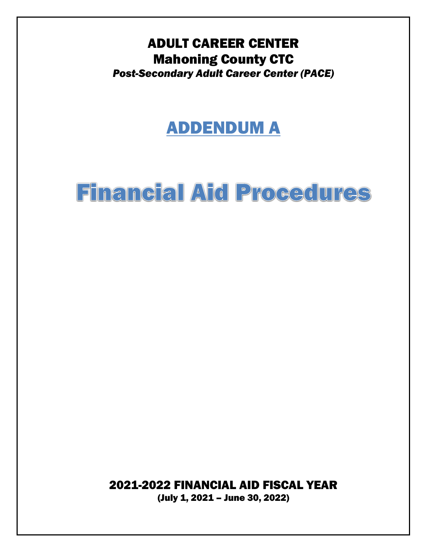## ADULT CAREER CENTER Mahoning County CTC *Post-Secondary Adult Career Center (PACE)*

## ADDENDUM A

# **Financial Aid Procedures**

2021-2022 FINANCIAL AID FISCAL YEAR

(July 1, 2021 – June 30, 2022)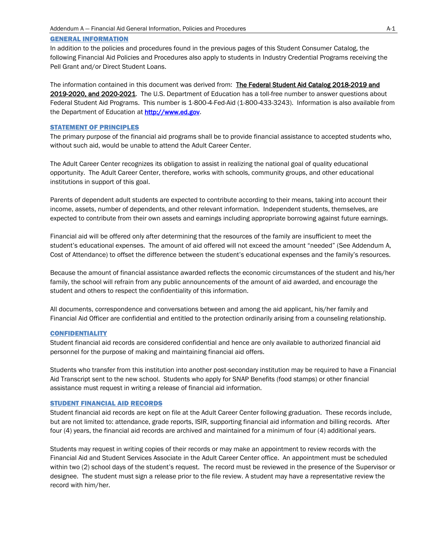#### GENERAL INFORMATION

In addition to the policies and procedures found in the previous pages of this Student Consumer Catalog, the following Financial Aid Policies and Procedures also apply to students in Industry Credential Programs receiving the Pell Grant and/or Direct Student Loans.

The information contained in this document was derived from: The Federal Student Aid Catalog 2018-2019 and 2019-2020, and 2020-2021. The U.S. Department of Education has a toll-free number to answer questions about Federal Student Aid Programs. This number is 1-800-4-Fed-Aid (1-800-433-3243). Information is also available from the Department of Education a[t http://www.ed.gov.](http://www.ed.gov/)

#### STATEMENT OF PRINCIPLES

The primary purpose of the financial aid programs shall be to provide financial assistance to accepted students who, without such aid, would be unable to attend the Adult Career Center.

The Adult Career Center recognizes its obligation to assist in realizing the national goal of quality educational opportunity. The Adult Career Center, therefore, works with schools, community groups, and other educational institutions in support of this goal.

Parents of dependent adult students are expected to contribute according to their means, taking into account their income, assets, number of dependents, and other relevant information. Independent students, themselves, are expected to contribute from their own assets and earnings including appropriate borrowing against future earnings.

Financial aid will be offered only after determining that the resources of the family are insufficient to meet the student's educational expenses. The amount of aid offered will not exceed the amount "needed" (See Addendum A, Cost of Attendance) to offset the difference between the student's educational expenses and the family's resources.

Because the amount of financial assistance awarded reflects the economic circumstances of the student and his/her family, the school will refrain from any public announcements of the amount of aid awarded, and encourage the student and others to respect the confidentiality of this information.

All documents, correspondence and conversations between and among the aid applicant, his/her family and Financial Aid Officer are confidential and entitled to the protection ordinarily arising from a counseling relationship.

#### **CONFIDENTIALITY**

Student financial aid records are considered confidential and hence are only available to authorized financial aid personnel for the purpose of making and maintaining financial aid offers.

Students who transfer from this institution into another post-secondary institution may be required to have a Financial Aid Transcript sent to the new school. Students who apply for SNAP Benefits (food stamps) or other financial assistance must request in writing a release of financial aid information.

#### STUDENT FINANCIAL AID RECORDS

Student financial aid records are kept on file at the Adult Career Center following graduation. These records include, but are not limited to: attendance, grade reports, ISIR, supporting financial aid information and billing records. After four (4) years, the financial aid records are archived and maintained for a minimum of four (4) additional years.

Students may request in writing copies of their records or may make an appointment to review records with the Financial Aid and Student Services Associate in the Adult Career Center office. An appointment must be scheduled within two (2) school days of the student's request. The record must be reviewed in the presence of the Supervisor or designee. The student must sign a release prior to the file review. A student may have a representative review the record with him/her.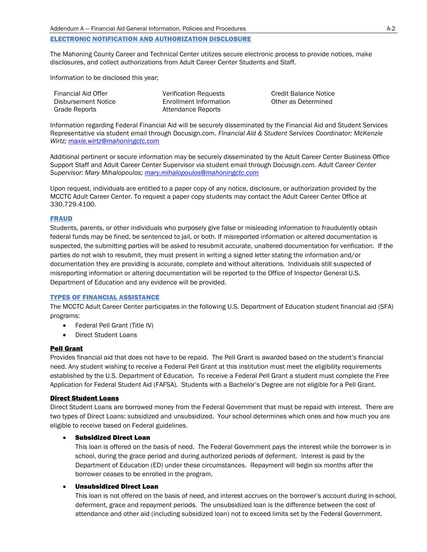#### ELECTRONIC NOTIFICATION AND AUTHORIZATION DISCLOSURE

The Mahoning County Career and Technical Center utilizes secure electronic process to provide notices, make disclosures, and collect authorizations from Adult Career Center Students and Staff.

Information to be disclosed this year;

| Financial Aid Offer | <b>Verification Requests</b> |
|---------------------|------------------------------|
| Disbursement Notice | Enrollment Information       |
| Grade Reports       | Attendance Reports           |

**Credit Balance Notice** Other as Determined

Information regarding Federal Financial Aid will be securely disseminated by the Financial Aid and Student Services Representative via student email through Docusign.com. *Financial Aid & Student Services Coordinator: McKenzie Wirtz; [maxie.wirtz@mahoningctc.com](mailto:maxie.wirtz@mahoningctc.com)*

Additional pertinent or secure information may be securely disseminated by the Adult Career Center Business Office Support Staff and Adult Career Center Supervisor via student email through Docusign.com. *Adult Career Center Supervisor: Mary Mihalopoulos; [mary.mihalopoulos@mahoningctc.com](mailto:mary.mihalopoulos@mahoningctc.com)*

Upon request, individuals are entitled to a paper copy of any notice, disclosure, or authorization provided by the MCCTC Adult Career Center. To request a paper copy students may contact the Adult Career Center Office at 330.729.4100.

#### FRAUD

Students, parents, or other individuals who purposely give false or misleading information to fraudulently obtain federal funds may be fined, be sentenced to jail, or both. If misreported information or altered documentation is suspected, the submitting parties will be asked to resubmit accurate, unaltered documentation for verification. If the parties do not wish to resubmit, they must present in writing a signed letter stating the information and/or documentation they are providing is accurate, complete and without alterations. Individuals still suspected of misreporting information or altering documentation will be reported to the Office of Inspector General U.S. Department of Education and any evidence will be provided.

#### TYPES OF FINANCIAL ASSISTANCE

The MCCTC Adult Career Center participates in the following U.S. Department of Education student financial aid (SFA) programs:

- Federal Pell Grant (Title IV)
- Direct Student Loans

#### Pell Grant

Provides financial aid that does not have to be repaid. The Pell Grant is awarded based on the student's financial need. Any student wishing to receive a Federal Pell Grant at this institution must meet the eligibility requirements established by the U.S. Department of Education. To receive a Federal Pell Grant a student must complete the Free Application for Federal Student Aid (FAFSA). Students with a Bachelor's Degree are not eligible for a Pell Grant.

#### Direct Student Loans

Direct Student Loans are borrowed money from the Federal Government that must be repaid with interest. There are two types of Direct Loans: subsidized and unsubsidized. Your school determines which ones and how much you are eligible to receive based on Federal guidelines.

#### • Subsidized Direct Loan

This loan is offered on the basis of need. The Federal Government pays the interest while the borrower is in school, during the grace period and during authorized periods of deferment. Interest is paid by the Department of Education (ED) under these circumstances. Repayment will begin six months after the borrower ceases to be enrolled in the program.

#### • Unsubsidized Direct Loan

This loan is not offered on the basis of need, and interest accrues on the borrower's account during in-school, deferment, grace and repayment periods. The unsubsidized loan is the difference between the cost of attendance and other aid (including subsidized loan) not to exceed limits set by the Federal Government.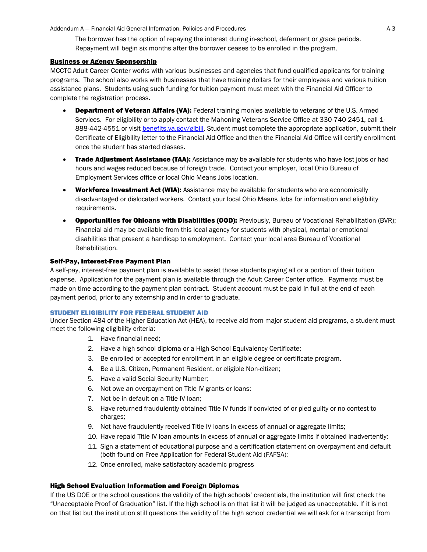The borrower has the option of repaying the interest during in-school, deferment or grace periods. Repayment will begin six months after the borrower ceases to be enrolled in the program.

#### Business or Agency Sponsorship

MCCTC Adult Career Center works with various businesses and agencies that fund qualified applicants for training programs. The school also works with businesses that have training dollars for their employees and various tuition assistance plans. Students using such funding for tuition payment must meet with the Financial Aid Officer to complete the registration process.

- **Department of Veteran Affairs (VA):** Federal training monies available to veterans of the U.S. Armed Services. For eligibility or to apply contact the Mahoning Veterans Service Office at 330-740-2451, call 1 888-442-4551 or visit [benefits.va.gov/gibill.](http://benefits.va.gov/gibill) Student must complete the appropriate application, submit their Certificate of Eligibility letter to the Financial Aid Office and then the Financial Aid Office will certify enrollment once the student has started classes.
- Trade Adjustment Assistance (TAA): Assistance may be available for students who have lost jobs or had hours and wages reduced because of foreign trade. Contact your employer, local Ohio Bureau of Employment Services office or local Ohio Means Jobs location.
- **Workforce Investment Act (WIA):** Assistance may be available for students who are economically disadvantaged or dislocated workers. Contact your local Ohio Means Jobs for information and eligibility requirements.
- **Opportunities for Ohioans with Disabilities (OOD):** Previously, Bureau of Vocational Rehabilitation (BVR); Financial aid may be available from this local agency for students with physical, mental or emotional disabilities that present a handicap to employment. Contact your local area Bureau of Vocational Rehabilitation.

#### **Self-Pay, Interest-Free Payment Plan**

A self-pay, interest-free payment plan is available to assist those students paying all or a portion of their tuition expense. Application for the payment plan is available through the Adult Career Center office. Payments must be made on time according to the payment plan contract. Student account must be paid in full at the end of each payment period, prior to any externship and in order to graduate.

#### STUDENT ELIGIBILITY FOR FEDERAL STUDENT AID

Under Section 484 of the Higher Education Act (HEA), to receive aid from major student aid programs, a student must meet the following eligibility criteria:

- 1. Have financial need;
- 2. Have a high school diploma or a High School Equivalency Certificate;
- 3. Be enrolled or accepted for enrollment in an eligible degree or certificate program.
- 4. Be a U.S. Citizen, Permanent Resident, or eligible Non-citizen;
- 5. Have a valid Social Security Number;
- 6. Not owe an overpayment on Title IV grants or loans;
- 7. Not be in default on a Title IV loan;
- 8. Have returned fraudulently obtained Title IV funds if convicted of or pled guilty or no contest to charges;
- 9. Not have fraudulently received Title IV loans in excess of annual or aggregate limits;
- 10. Have repaid Title IV loan amounts in excess of annual or aggregate limits if obtained inadvertently;
- 11. Sign a statement of educational purpose and a certification statement on overpayment and default (both found on Free Application for Federal Student Aid (FAFSA);
- 12. Once enrolled, make satisfactory academic progress

#### High School Evaluation Information and Foreign Diplomas

If the US DOE or the school questions the validity of the high schools' credentials, the institution will first check the "Unacceptable Proof of Graduation" list. If the high school is on that list it will be judged as unacceptable. If it is not on that list but the institution still questions the validity of the high school credential we will ask for a transcript from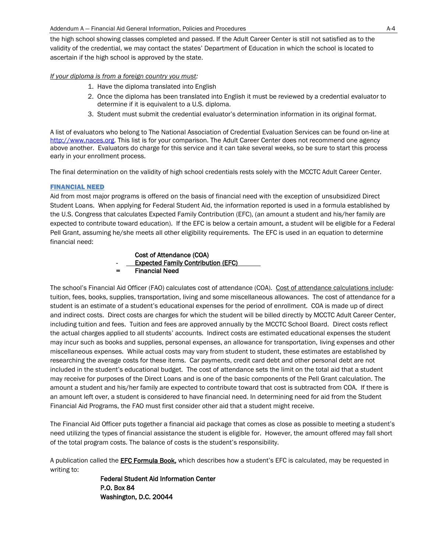the high school showing classes completed and passed. If the Adult Career Center is still not satisfied as to the validity of the credential, we may contact the states' Department of Education in which the school is located to ascertain if the high school is approved by the state.

*If your diploma is from a foreign country you must:*

- 1. Have the diploma translated into English
- 2. Once the diploma has been translated into English it must be reviewed by a credential evaluator to determine if it is equivalent to a U.S. diploma.
- 3. Student must submit the credential evaluator's determination information in its original format.

A list of evaluators who belong to The National Association of Credential Evaluation Services can be found on-line at [http://www.naces.org.](http://www.naces.org/) This list is for your comparison. The Adult Career Center does not recommend one agency above another. Evaluators do charge for this service and it can take several weeks, so be sure to start this process early in your enrollment process.

The final determination on the validity of high school credentials rests solely with the MCCTC Adult Career Center.

#### FINANCIAL NEED

Aid from most major programs is offered on the basis of financial need with the exception of unsubsidized Direct Student Loans. When applying for Federal Student Aid, the information reported is used in a formula established by the U.S. Congress that calculates Expected Family Contribution (EFC), (an amount a student and his/her family are expected to contribute toward education). If the EFC is below a certain amount, a student will be eligible for a Federal Pell Grant, assuming he/she meets all other eligibility requirements. The EFC is used in an equation to determine financial need:



The school's Financial Aid Officer (FAO) calculates cost of attendance (COA). Cost of attendance calculations include: tuition, fees, books, supplies, transportation, living and some miscellaneous allowances. The cost of attendance for a student is an estimate of a student's educational expenses for the period of enrollment. COA is made up of direct and indirect costs. Direct costs are charges for which the student will be billed directly by MCCTC Adult Career Center, including tuition and fees. Tuition and fees are approved annually by the MCCTC School Board. Direct costs reflect the actual charges applied to all students' accounts. Indirect costs are estimated educational expenses the student may incur such as books and supplies, personal expenses, an allowance for transportation, living expenses and other miscellaneous expenses. While actual costs may vary from student to student, these estimates are established by researching the average costs for these items. Car payments, credit card debt and other personal debt are not included in the student's educational budget. The cost of attendance sets the limit on the total aid that a student may receive for purposes of the Direct Loans and is one of the basic components of the Pell Grant calculation. The amount a student and his/her family are expected to contribute toward that cost is subtracted from COA. If there is an amount left over, a student is considered to have financial need. In determining need for aid from the Student Financial Aid Programs, the FAO must first consider other aid that a student might receive.

The Financial Aid Officer puts together a financial aid package that comes as close as possible to meeting a student's need utilizing the types of financial assistance the student is eligible for. However, the amount offered may fall short of the total program costs. The balance of costs is the student's responsibility.

A publication called the **EFC Formula Book**, which describes how a student's EFC is calculated, may be requested in writing to:

> Federal Student Aid Information Center P.O. Box 84 Washington, D.C. 20044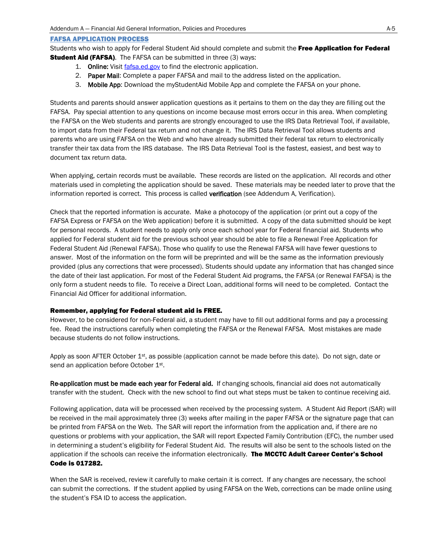#### FAFSA APPLICATION PROCESS

Students who wish to apply for Federal Student Aid should complete and submit the Free Application for Federal **Student Aid (FAFSA)**. The FAFSA can be submitted in three (3) ways:

- 1. Online: Visit [fafsa.ed.gov](http://fafsa.ed.gov/) to find the electronic application.
- 2. Paper Mail: Complete a paper FAFSA and mail to the address listed on the application.
- 3. Mobile App: Download the myStudentAid Mobile App and complete the FAFSA on your phone.

Students and parents should answer application questions as it pertains to them on the day they are filling out the FAFSA. Pay special attention to any questions on income because most errors occur in this area. When completing the FAFSA on the Web students and parents are strongly encouraged to use the IRS Data Retrieval Tool, if available, to import data from their Federal tax return and not change it. The IRS Data Retrieval Tool allows students and parents who are using FAFSA on the Web and who have already submitted their federal tax return to electronically transfer their tax data from the IRS database. The IRS Data Retrieval Tool is the fastest, easiest, and best way to document tax return data.

When applying, certain records must be available. These records are listed on the application. All records and other materials used in completing the application should be saved. These materials may be needed later to prove that the information reported is correct. This process is called verification (see Addendum A, Verification).

Check that the reported information is accurate. Make a photocopy of the application (or print out a copy of the FAFSA Express or FAFSA on the Web application) before it is submitted. A copy of the data submitted should be kept for personal records. A student needs to apply only once each school year for Federal financial aid. Students who applied for Federal student aid for the previous school year should be able to file a Renewal Free Application for Federal Student Aid (Renewal FAFSA). Those who qualify to use the Renewal FAFSA will have fewer questions to answer. Most of the information on the form will be preprinted and will be the same as the information previously provided (plus any corrections that were processed). Students should update any information that has changed since the date of their last application. For most of the Federal Student Aid programs, the FAFSA (or Renewal FAFSA) is the only form a student needs to file. To receive a Direct Loan, additional forms will need to be completed. Contact the Financial Aid Officer for additional information.

#### Remember, applying for Federal student aid is FREE.

However, to be considered for non-Federal aid, a student may have to fill out additional forms and pay a processing fee. Read the instructions carefully when completing the FAFSA or the Renewal FAFSA. Most mistakes are made because students do not follow instructions.

Apply as soon AFTER October 1<sup>st</sup>, as possible (application cannot be made before this date). Do not sign, date or send an application before October 1<sup>st</sup>.

Re-application must be made each year for Federal aid. If changing schools, financial aid does not automatically transfer with the student. Check with the new school to find out what steps must be taken to continue receiving aid.

Following application, data will be processed when received by the processing system. A Student Aid Report (SAR) will be received in the mail approximately three (3) weeks after mailing in the paper FAFSA or the signature page that can be printed from FAFSA on the Web. The SAR will report the information from the application and, if there are no questions or problems with your application, the SAR will report Expected Family Contribution (EFC), the number used in determining a student's eligibility for Federal Student Aid. The results will also be sent to the schools listed on the application if the schools can receive the information electronically. The MCCTC Adult Career Center's School Code is 017282.

When the SAR is received, review it carefully to make certain it is correct. If any changes are necessary, the school can submit the corrections. If the student applied by using FAFSA on the Web, corrections can be made online using the student's FSA ID to access the application.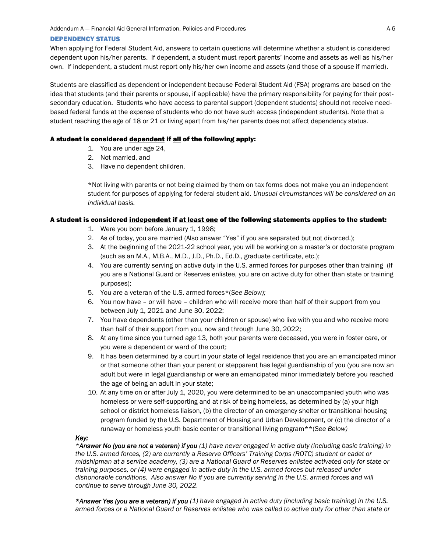#### DEPENDENCY STATUS

When applying for Federal Student Aid, answers to certain questions will determine whether a student is considered dependent upon his/her parents. If dependent, a student must report parents' income and assets as well as his/her own. If independent, a student must report only his/her own income and assets (and those of a spouse if married).

Students are classified as dependent or independent because Federal Student Aid (FSA) programs are based on the idea that students (and their parents or spouse, if applicable) have the primary responsibility for paying for their postsecondary education. Students who have access to parental support (dependent students) should not receive needbased federal funds at the expense of students who do not have such access (independent students). Note that a student reaching the age of 18 or 21 or living apart from his/her parents does not affect dependency status.

#### A student is considered dependent if all of the following apply:

- 1. You are under age 24,
- 2. Not married, and
- 3. Have no dependent children.

\*Not living with parents or not being claimed by them on tax forms does not make you an independent student for purposes of applying for federal student aid. *Unusual circumstances will be considered on an individual basis.*

#### A student is considered independent if at least one of the following statements applies to the student:

- 1. Were you born before January 1, 1998;
- 2. As of today, you are married (Also answer "Yes" if you are separated but not divorced.);
- 3. At the beginning of the 2021-22 school year, you will be working on a master's or doctorate program (such as an M.A., M.B.A., M.D., J.D., Ph.D., Ed.D., graduate certificate, etc.);
- 4. You are currently serving on active duty in the U.S. armed forces for purposes other than training (If you are a National Guard or Reserves enlistee, you are on active duty for other than state or training purposes);
- 5. You are a veteran of the U.S. armed forces\*(*See Below);*
- 6. You now have or will have children who will receive more than half of their support from you between July 1, 2021 and June 30, 2022;
- 7. You have dependents (other than your children or spouse) who live with you and who receive more than half of their support from you, now and through June 30, 2022;
- 8. At any time since you turned age 13, both your parents were deceased, you were in foster care, or you were a dependent or ward of the court;
- 9. It has been determined by a court in your state of legal residence that you are an emancipated minor or that someone other than your parent or stepparent has legal guardianship of you (you are now an adult but were in legal guardianship or were an emancipated minor immediately before you reached the age of being an adult in your state;
- 10. At any time on or after July 1, 2020, you were determined to be an unaccompanied youth who was homeless or were self-supporting and at risk of being homeless, as determined by (a) your high school or district homeless liaison, (b) the director of an emergency shelter or transitional housing program funded by the U.S. Department of Housing and Urban Development, or (c) the director of a runaway or homeless youth basic center or transitional living program\*\*(*See Below)*

#### *Key:*

*\*Answer No (you are not a veteran) if you (1) have never engaged in active duty (including basic training) in the U.S. armed forces, (2) are currently a Reserve Officers' Training Corps (ROTC) student or cadet or midshipman at a service academy, (3) are a National Guard or Reserves enlistee activated only for state or training purposes, or (4) were engaged in active duty in the U.S. armed forces but released under dishonorable conditions. Also answer No if you are currently serving in the U.S. armed forces and will continue to serve through June 30, 2022.*

*\*Answer Yes (you are a veteran) if you (1) have engaged in active duty (including basic training) in the U.S. armed forces or a National Guard or Reserves enlistee who was called to active duty for other than state or*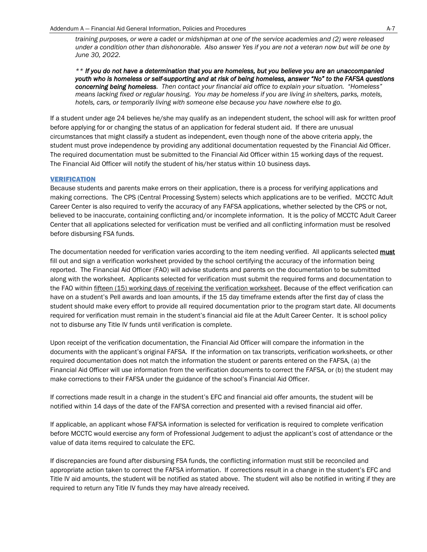*training purposes, or were a cadet or midshipman at one of the service academies and (2) were released under a condition other than dishonorable. Also answer Yes if you are not a veteran now but will be one by June 30, 2022.*

*\*\* If you do not have a determination that you are homeless, but you believe you are an unaccompanied youth who is homeless or self-supporting and at risk of being homeless, answer "No" to the FAFSA questions concerning being homeless. Then contact your financial aid office to explain your situation. "Homeless" means lacking fixed or regular housing. You may be homeless if you are living in shelters, parks, motels, hotels, cars, or temporarily living with someone else because you have nowhere else to go.*

If a student under age 24 believes he/she may qualify as an independent student, the school will ask for written proof before applying for or changing the status of an application for federal student aid. If there are unusual circumstances that might classify a student as independent, even though none of the above criteria apply, the student must prove independence by providing any additional documentation requested by the Financial Aid Officer. The required documentation must be submitted to the Financial Aid Officer within 15 working days of the request. The Financial Aid Officer will notify the student of his/her status within 10 business days.

#### VERIFICATION

Because students and parents make errors on their application, there is a process for verifying applications and making corrections. The CPS (Central Processing System) selects which applications are to be verified. MCCTC Adult Career Center is also required to verify the accuracy of any FAFSA applications, whether selected by the CPS or not, believed to be inaccurate, containing conflicting and/or incomplete information. It is the policy of MCCTC Adult Career Center that all applications selected for verification must be verified and all conflicting information must be resolved before disbursing FSA funds.

The documentation needed for verification varies according to the item needing verified. All applicants selected must fill out and sign a verification worksheet provided by the school certifying the accuracy of the information being reported. The Financial Aid Officer (FAO) will advise students and parents on the documentation to be submitted along with the worksheet. Applicants selected for verification must submit the required forms and documentation to the FAO within fifteen (15) working days of receiving the verification worksheet. Because of the effect verification can have on a student's Pell awards and loan amounts, if the 15 day timeframe extends after the first day of class the student should make every effort to provide all required documentation prior to the program start date. All documents required for verification must remain in the student's financial aid file at the Adult Career Center. It is school policy not to disburse any Title IV funds until verification is complete.

Upon receipt of the verification documentation, the Financial Aid Officer will compare the information in the documents with the applicant's original FAFSA. If the information on tax transcripts, verification worksheets, or other required documentation does not match the information the student or parents entered on the FAFSA, (a) the Financial Aid Officer will use information from the verification documents to correct the FAFSA, or (b) the student may make corrections to their FAFSA under the guidance of the school's Financial Aid Officer.

If corrections made result in a change in the student's EFC and financial aid offer amounts, the student will be notified within 14 days of the date of the FAFSA correction and presented with a revised financial aid offer.

If applicable, an applicant whose FAFSA information is selected for verification is required to complete verification before MCCTC would exercise any form of Professional Judgement to adjust the applicant's cost of attendance or the value of data items required to calculate the EFC.

If discrepancies are found after disbursing FSA funds, the conflicting information must still be reconciled and appropriate action taken to correct the FAFSA information. If corrections result in a change in the student's EFC and Title IV aid amounts, the student will be notified as stated above. The student will also be notified in writing if they are required to return any Title IV funds they may have already received.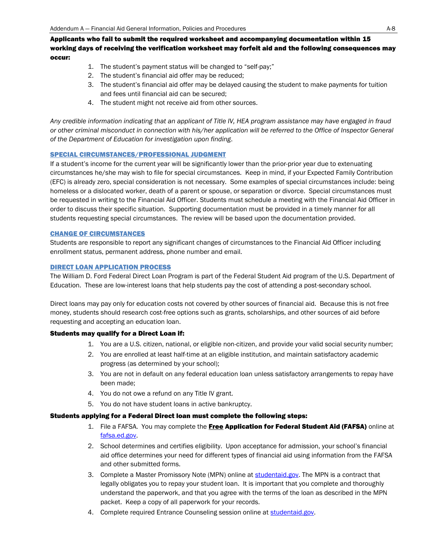Applicants who fail to submit the required worksheet and accompanying documentation within 15 working days of receiving the verification worksheet may forfeit aid and the following consequences may occur:

- 1. The student's payment status will be changed to "self-pay;"
- 2. The student's financial aid offer may be reduced;
- 3. The student's financial aid offer may be delayed causing the student to make payments for tuition and fees until financial aid can be secured;
- 4. The student might not receive aid from other sources.

*Any credible information indicating that an applicant of Title IV, HEA program assistance may have engaged in fraud or other criminal misconduct in connection with his/her application will be referred to the Office of Inspector General of the Department of Education for investigation upon finding*.

#### SPECIAL CIRCUMSTANCES/PROFESSIONAL JUDGMENT

If a student's income for the current year will be significantly lower than the prior-prior year due to extenuating circumstances he/she may wish to file for special circumstances. Keep in mind, if your Expected Family Contribution (EFC) is already zero, special consideration is not necessary. Some examples of special circumstances include: being homeless or a dislocated worker, death of a parent or spouse, or separation or divorce. Special circumstances must be requested in writing to the Financial Aid Officer. Students must schedule a meeting with the Financial Aid Officer in order to discuss their specific situation. Supporting documentation must be provided in a timely manner for all students requesting special circumstances. The review will be based upon the documentation provided.

#### CHANGE OF CIRCUMSTANCES

Students are responsible to report any significant changes of circumstances to the Financial Aid Officer including enrollment status, permanent address, phone number and email.

#### DIRECT LOAN APPLICATION PROCESS

The William D. Ford Federal Direct Loan Program is part of the Federal Student Aid program of the U.S. Department of Education. These are low-interest loans that help students pay the cost of attending a post-secondary school.

Direct loans may pay only for education costs not covered by other sources of financial aid. Because this is not free money, students should research cost-free options such as grants, scholarships, and other sources of aid before requesting and accepting an education loan.

#### Students may qualify for a Direct Loan if:

- 1. You are a U.S. citizen, national, or eligible non-citizen, and provide your valid social security number;
- 2. You are enrolled at least half-time at an eligible institution, and maintain satisfactory academic progress (as determined by your school);
- 3. You are not in default on any federal education loan unless satisfactory arrangements to repay have been made;
- 4. You do not owe a refund on any Title IV grant.
- 5. You do not have student loans in active bankruptcy.

#### Students applying for a Federal Direct loan must complete the following steps:

- 1. File a FAFSA. You may complete the Free Application for Federal Student Aid (FAFSA) online at [fafsa.ed.gov.](http://fafsa.ed.gov/)
- 2. School determines and certifies eligibility. Upon acceptance for admission, your school's financial aid office determines your need for different types of financial aid using information from the FAFSA and other submitted forms.
- 3. Complete a Master Promissory Note (MPN) online at [studentaid.gov.](http://studentloans.gov/) The MPN is a contract that legally obligates you to repay your student loan. It is important that you complete and thoroughly understand the paperwork, and that you agree with the terms of the loan as described in the MPN packet. Keep a copy of all paperwork for your records.
- 4. Complete required Entrance Counseling session online at [studentaid.gov.](http://studentloans.gov/)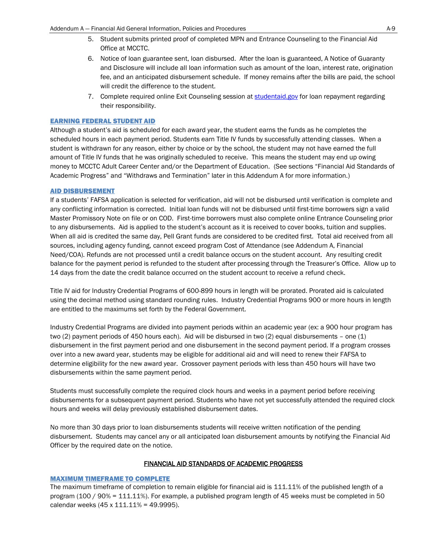- 5. Student submits printed proof of completed MPN and Entrance Counseling to the Financial Aid Office at MCCTC.
- 6. Notice of loan guarantee sent, loan disbursed. After the loan is guaranteed, A Notice of Guaranty and Disclosure will include all loan information such as amount of the loan, interest rate, origination fee, and an anticipated disbursement schedule. If money remains after the bills are paid, the school will credit the difference to the student.
- 7. Complete required online Exit Counseling session at [studentaid.gov](http://studentloans.gov/) for loan repayment regarding their responsibility.

#### EARNING FEDERAL STUDENT AID

Although a student's aid is scheduled for each award year, the student earns the funds as he completes the scheduled hours in each payment period. Students earn Title IV funds by successfully attending classes. When a student is withdrawn for any reason, either by choice or by the school, the student may not have earned the full amount of Title IV funds that he was originally scheduled to receive. This means the student may end up owing money to MCCTC Adult Career Center and/or the Department of Education. (See sections "Financial Aid Standards of Academic Progress" and "Withdraws and Termination" later in this Addendum A for more information.)

#### AID DISBURSEMENT

If a students' FAFSA application is selected for verification, aid will not be disbursed until verification is complete and any conflicting information is corrected. Initial loan funds will not be disbursed until first-time borrowers sign a valid Master Promissory Note on file or on COD. First-time borrowers must also complete online Entrance Counseling prior to any disbursements. Aid is applied to the student's account as it is received to cover books, tuition and supplies. When all aid is credited the same day, Pell Grant funds are considered to be credited first. Total aid received from all sources, including agency funding, cannot exceed program Cost of Attendance (see Addendum A, Financial Need/COA). Refunds are not processed until a credit balance occurs on the student account. Any resulting credit balance for the payment period is refunded to the student after processing through the Treasurer's Office. Allow up to 14 days from the date the credit balance occurred on the student account to receive a refund check.

Title IV aid for Industry Credential Programs of 600-899 hours in length will be prorated. Prorated aid is calculated using the decimal method using standard rounding rules. Industry Credential Programs 900 or more hours in length are entitled to the maximums set forth by the Federal Government.

Industry Credential Programs are divided into payment periods within an academic year (ex: a 900 hour program has two (2) payment periods of 450 hours each). Aid will be disbursed in two (2) equal disbursements – one (1) disbursement in the first payment period and one disbursement in the second payment period. If a program crosses over into a new award year, students may be eligible for additional aid and will need to renew their FAFSA to determine eligibility for the new award year. Crossover payment periods with less than 450 hours will have two disbursements within the same payment period.

Students must successfully complete the required clock hours and weeks in a payment period before receiving disbursements for a subsequent payment period. Students who have not yet successfully attended the required clock hours and weeks will delay previously established disbursement dates.

No more than 30 days prior to loan disbursements students will receive written notification of the pending disbursement. Students may cancel any or all anticipated loan disbursement amounts by notifying the Financial Aid Officer by the required date on the notice.

#### FINANCIAL AID STANDARDS OF ACADEMIC PROGRESS

#### MAXIMUM TIMEFRAME TO COMPLETE

The maximum timeframe of completion to remain eligible for financial aid is 111.11% of the published length of a program (100 / 90% = 111.11%). For example, a published program length of 45 weeks must be completed in 50 calendar weeks (45 x 111.11% = 49.9995).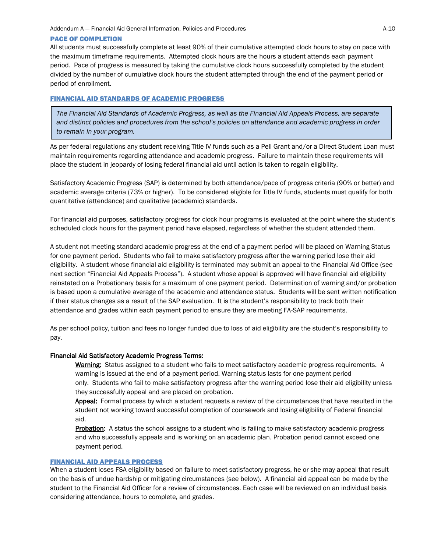#### PACE OF COMPLETION

All students must successfully complete at least 90% of their cumulative attempted clock hours to stay on pace with the maximum timeframe requirements. Attempted clock hours are the hours a student attends each payment period. Pace of progress is measured by taking the cumulative clock hours successfully completed by the student divided by the number of cumulative clock hours the student attempted through the end of the payment period or period of enrollment.

#### FINANCIAL AID STANDARDS OF ACADEMIC PROGRESS

*The Financial Aid Standards of Academic Progress, as well as the Financial Aid Appeals Process, are separate and distinct policies and procedures from the school's policies on attendance and academic progress in order to remain in your program.*

As per federal regulations any student receiving Title IV funds such as a Pell Grant and/or a Direct Student Loan must maintain requirements regarding attendance and academic progress. Failure to maintain these requirements will place the student in jeopardy of losing federal financial aid until action is taken to regain eligibility.

Satisfactory Academic Progress (SAP) is determined by both attendance/pace of progress criteria (90% or better) and academic average criteria (73% or higher). To be considered eligible for Title IV funds, students must qualify for both quantitative (attendance) and qualitative (academic) standards.

For financial aid purposes, satisfactory progress for clock hour programs is evaluated at the point where the student's scheduled clock hours for the payment period have elapsed, regardless of whether the student attended them.

A student not meeting standard academic progress at the end of a payment period will be placed on Warning Status for one payment period. Students who fail to make satisfactory progress after the warning period lose their aid eligibility. A student whose financial aid eligibility is terminated may submit an appeal to the Financial Aid Office (see next section "Financial Aid Appeals Process"). A student whose appeal is approved will have financial aid eligibility reinstated on a Probationary basis for a maximum of one payment period. Determination of warning and/or probation is based upon a cumulative average of the academic and attendance status. Students will be sent written notification if their status changes as a result of the SAP evaluation. It is the student's responsibility to track both their attendance and grades within each payment period to ensure they are meeting FA-SAP requirements.

As per school policy, tuition and fees no longer funded due to loss of aid eligibility are the student's responsibility to pay.

#### Financial Aid Satisfactory Academic Progress Terms:

Warning: Status assigned to a student who fails to meet satisfactory academic progress requirements. A warning is issued at the end of a payment period. Warning status lasts for one payment period only. Students who fail to make satisfactory progress after the warning period lose their aid eligibility unless they successfully appeal and are placed on probation.

Appeal: Formal process by which a student requests a review of the circumstances that have resulted in the student not working toward successful completion of coursework and losing eligibility of Federal financial aid.

**Probation:** A status the school assigns to a student who is failing to make satisfactory academic progress and who successfully appeals and is working on an academic plan. Probation period cannot exceed one payment period.

#### FINANCIAL AID APPEALS PROCESS

When a student loses FSA eligibility based on failure to meet satisfactory progress, he or she may appeal that result on the basis of undue hardship or mitigating circumstances (see below). A financial aid appeal can be made by the student to the Financial Aid Officer for a review of circumstances. Each case will be reviewed on an individual basis considering attendance, hours to complete, and grades.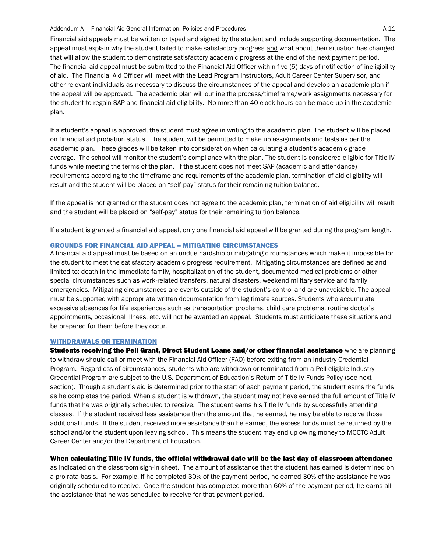Financial aid appeals must be written or typed and signed by the student and include supporting documentation. The appeal must explain why the student failed to make satisfactory progress and what about their situation has changed that will allow the student to demonstrate satisfactory academic progress at the end of the next payment period. The financial aid appeal must be submitted to the Financial Aid Officer within five (5) days of notification of ineligibility of aid. The Financial Aid Officer will meet with the Lead Program Instructors, Adult Career Center Supervisor, and other relevant individuals as necessary to discuss the circumstances of the appeal and develop an academic plan if the appeal will be approved. The academic plan will outline the process/timeframe/work assignments necessary for the student to regain SAP and financial aid eligibility. No more than 40 clock hours can be made-up in the academic plan.

If a student's appeal is approved, the student must agree in writing to the academic plan. The student will be placed on financial aid probation status. The student will be permitted to make up assignments and tests as per the academic plan. These grades will be taken into consideration when calculating a student's academic grade average. The school will monitor the student's compliance with the plan. The student is considered eligible for Title IV funds while meeting the terms of the plan. If the student does not meet SAP (academic and attendance) requirements according to the timeframe and requirements of the academic plan, termination of aid eligibility will result and the student will be placed on "self-pay" status for their remaining tuition balance.

If the appeal is not granted or the student does not agree to the academic plan, termination of aid eligibility will result and the student will be placed on "self-pay" status for their remaining tuition balance.

If a student is granted a financial aid appeal, only one financial aid appeal will be granted during the program length.

#### GROUNDS FOR FINANCIAL AID APPEAL – MITIGATING CIRCUMSTANCES

A financial aid appeal must be based on an undue hardship or mitigating circumstances which make it impossible for the student to meet the satisfactory academic progress requirement. Mitigating circumstances are defined as and limited to: death in the immediate family, hospitalization of the student, documented medical problems or other special circumstances such as work-related transfers, natural disasters, weekend military service and family emergencies. Mitigating circumstances are events outside of the student's control and are unavoidable. The appeal must be supported with appropriate written documentation from legitimate sources. Students who accumulate excessive absences for life experiences such as transportation problems, child care problems, routine doctor's appointments, occasional illness, etc. will not be awarded an appeal. Students must anticipate these situations and be prepared for them before they occur.

#### WITHDRAWALS OR TERMINATION

Students receiving the Pell Grant, Direct Student Loans and/or other financial assistance who are planning to withdraw should call or meet with the Financial Aid Officer (FAO) before exiting from an Industry Credential Program. Regardless of circumstances, students who are withdrawn or terminated from a Pell-eligible Industry Credential Program are subject to the U.S. Department of Education's Return of Title IV Funds Policy (see next section). Though a student's aid is determined prior to the start of each payment period, the student earns the funds as he completes the period. When a student is withdrawn, the student may not have earned the full amount of Title IV funds that he was originally scheduled to receive. The student earns his Title IV funds by successfully attending classes. If the student received less assistance than the amount that he earned, he may be able to receive those additional funds. If the student received more assistance than he earned, the excess funds must be returned by the school and/or the student upon leaving school. This means the student may end up owing money to MCCTC Adult Career Center and/or the Department of Education.

#### When calculating Title IV funds, the official withdrawal date will be the last day of classroom attendance

as indicated on the classroom sign-in sheet. The amount of assistance that the student has earned is determined on a pro rata basis. For example, if he completed 30% of the payment period, he earned 30% of the assistance he was originally scheduled to receive. Once the student has completed more than 60% of the payment period, he earns all the assistance that he was scheduled to receive for that payment period.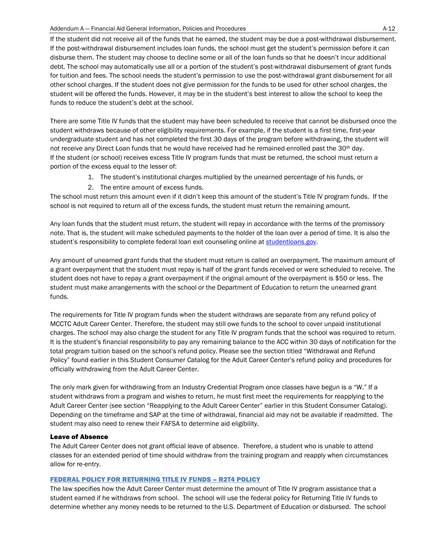#### Addendum A — Financial Aid General Information, Policies and Procedures A-12

If the student did not receive all of the funds that he earned, the student may be due a post-withdrawal disbursement. If the post-withdrawal disbursement includes loan funds, the school must get the student's permission before it can disburse them. The student may choose to decline some or all of the loan funds so that he doesn't incur additional debt. The school may automatically use all or a portion of the student's post-withdrawal disbursement of grant funds for tuition and fees. The school needs the student's permission to use the post-withdrawal grant disbursement for all other school charges. If the student does not give permission for the funds to be used for other school charges, the student will be offered the funds. However, it may be in the student's best interest to allow the school to keep the funds to reduce the student's debt at the school.

There are some Title IV funds that the student may have been scheduled to receive that cannot be disbursed once the student withdraws because of other eligibility requirements. For example, if the student is a first-time, first-year undergraduate student and has not completed the first 30 days of the program before withdrawing, the student will not receive any Direct Loan funds that he would have received had he remained enrolled past the 30<sup>th</sup> day. If the student (or school) receives excess Title IV program funds that must be returned, the school must return a portion of the excess equal to the lesser of:

- 1. The student's institutional charges multiplied by the unearned percentage of his funds, or
- 2. The entire amount of excess funds.

The school must return this amount even if it didn't keep this amount of the student's Title IV program funds. If the school is not required to return all of the excess funds, the student must return the remaining amount.

Any loan funds that the student must return, the student will repay in accordance with the terms of the promissory note. That is, the student will make scheduled payments to the holder of the loan over a period of time. It is also the student's responsibility to complete federal loan exit counseling online a[t studentloans.gov.](http://studentloans.gov/)

Any amount of unearned grant funds that the student must return is called an overpayment. The maximum amount of a grant overpayment that the student must repay is half of the grant funds received or were scheduled to receive. The student does not have to repay a grant overpayment if the original amount of the overpayment is \$50 or less. The student must make arrangements with the school or the Department of Education to return the unearned grant funds.

The requirements for Title IV program funds when the student withdraws are separate from any refund policy of MCCTC Adult Career Center. Therefore, the student may still owe funds to the school to cover unpaid institutional charges. The school may also charge the student for any Title IV program funds that the school was required to return. It is the student's financial responsibility to pay any remaining balance to the ACC within 30 days of notification for the total program tuition based on the school's refund policy. Please see the section titled "Withdrawal and Refund Policy" found earlier in this Student Consumer Catalog for the Adult Career Center's refund policy and procedures for officially withdrawing from the Adult Career Center.

The only mark given for withdrawing from an Industry Credential Program once classes have begun is a "W." If a student withdraws from a program and wishes to return, he must first meet the requirements for reapplying to the Adult Career Center (see section "Reapplying to the Adult Career Center" earlier in this Student Consumer Catalog). Depending on the timeframe and SAP at the time of withdrawal, financial aid may not be available if readmitted. The student may also need to renew their FAFSA to determine aid eligibility.

#### Leave of Absence

The Adult Career Center does not grant official leave of absence. Therefore, a student who is unable to attend classes for an extended period of time should withdraw from the training program and reapply when circumstances allow for re-entry.

#### FEDERAL POLICY FOR RETURNING TITLE IV FUNDS – R2T4 POLICY

The law specifies how the Adult Career Center must determine the amount of Title IV program assistance that a student earned if he withdraws from school. The school will use the federal policy for Returning Title IV funds to determine whether any money needs to be returned to the U.S. Department of Education or disbursed. The school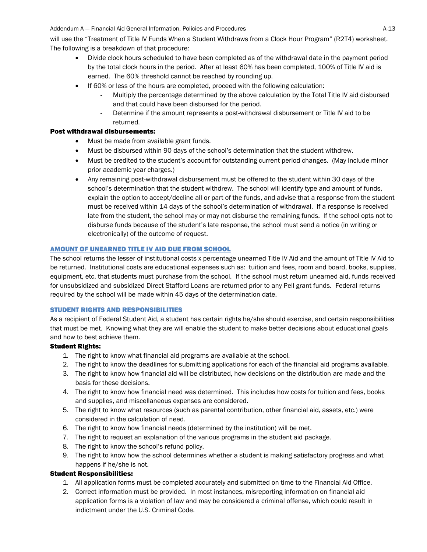will use the "Treatment of Title IV Funds When a Student Withdraws from a Clock Hour Program" (R2T4) worksheet. The following is a breakdown of that procedure:

- Divide clock hours scheduled to have been completed as of the withdrawal date in the payment period by the total clock hours in the period. After at least 60% has been completed, 100% of Title IV aid is earned. The 60% threshold cannot be reached by rounding up.
- If 60% or less of the hours are completed, proceed with the following calculation:
	- Multiply the percentage determined by the above calculation by the Total Title IV aid disbursed and that could have been disbursed for the period.
	- Determine if the amount represents a post-withdrawal disbursement or Title IV aid to be returned.

#### Post withdrawal disbursements:

- Must be made from available grant funds.
- Must be disbursed within 90 days of the school's determination that the student withdrew.
- Must be credited to the student's account for outstanding current period changes. (May include minor prior academic year charges.)
- Any remaining post-withdrawal disbursement must be offered to the student within 30 days of the school's determination that the student withdrew. The school will identify type and amount of funds, explain the option to accept/decline all or part of the funds, and advise that a response from the student must be received within 14 days of the school's determination of withdrawal. If a response is received late from the student, the school may or may not disburse the remaining funds. If the school opts not to disburse funds because of the student's late response, the school must send a notice (in writing or electronically) of the outcome of request.

#### AMOUNT OF UNEARNED TITLE IV AID DUE FROM SCHOOL

The school returns the lesser of institutional costs x percentage unearned Title IV Aid and the amount of Title IV Aid to be returned. Institutional costs are educational expenses such as: tuition and fees, room and board, books, supplies, equipment, etc. that students must purchase from the school. If the school must return unearned aid, funds received for unsubsidized and subsidized Direct Stafford Loans are returned prior to any Pell grant funds. Federal returns required by the school will be made within 45 days of the determination date.

#### STUDENT RIGHTS AND RESPONSIBILITIES

As a recipient of Federal Student Aid, a student has certain rights he/she should exercise, and certain responsibilities that must be met. Knowing what they are will enable the student to make better decisions about educational goals and how to best achieve them.

#### Student Rights:

- 1. The right to know what financial aid programs are available at the school.
- 2. The right to know the deadlines for submitting applications for each of the financial aid programs available.
- 3. The right to know how financial aid will be distributed, how decisions on the distribution are made and the basis for these decisions.
- 4. The right to know how financial need was determined. This includes how costs for tuition and fees, books and supplies, and miscellaneous expenses are considered.
- 5. The right to know what resources (such as parental contribution, other financial aid, assets, etc.) were considered in the calculation of need.
- 6. The right to know how financial needs (determined by the institution) will be met.
- 7. The right to request an explanation of the various programs in the student aid package.
- 8. The right to know the school's refund policy.
- 9. The right to know how the school determines whether a student is making satisfactory progress and what happens if he/she is not.

#### Student Responsibilities:

- 1. All application forms must be completed accurately and submitted on time to the Financial Aid Office.
- 2. Correct information must be provided. In most instances, misreporting information on financial aid application forms is a violation of law and may be considered a criminal offense, which could result in indictment under the U.S. Criminal Code.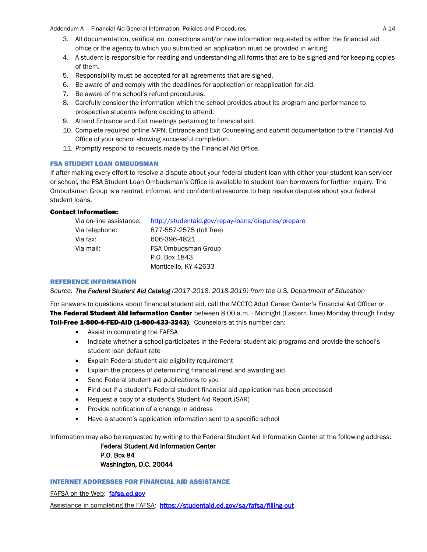- 3. All documentation, verification, corrections and/or new information requested by either the financial aid office or the agency to which you submitted an application must be provided in writing.
- 4. A student is responsible for reading and understanding all forms that are to be signed and for keeping copies of them.
- 5. Responsibility must be accepted for all agreements that are signed.
- 6. Be aware of and comply with the deadlines for application or reapplication for aid.
- 7. Be aware of the school's refund procedures.
- 8. Carefully consider the information which the school provides about its program and performance to prospective students before deciding to attend.
- 9. Attend Entrance and Exit meetings pertaining to financial aid.
- 10. Complete required online MPN, Entrance and Exit Counseling and submit documentation to the Financial Aid Office of your school showing successful completion.
- 11. Promptly respond to requests made by the Financial Aid Office.

#### FSA STUDENT LOAN OMBUDSMAN

If after making every effort to resolve a dispute about your federal student loan with either your student loan servicer or school, the FSA Student Loan Ombudsman's Office is available to student loan borrowers for further inquiry. The Ombudsman Group is a neutral, informal, and confidential resource to help resolve disputes about your federal student loans.

#### Contact Information:

| Via on-line assistance: | http://studentaid.gov/repay-loans/disputes/prepare |
|-------------------------|----------------------------------------------------|
| Via telephone:          | 877-557-2575 (toll free)                           |
| Via fax:                | 606-396-4821                                       |
| Via mail:               | FSA Ombudsman Group                                |
|                         | P.O. Box 1843                                      |
|                         | Monticello. KY 42633                               |

#### REFERENCE INFORMATION

*Source: The Federal Student Aid Catalog (2017-2018, 2018-2019) from the U.S. Department of Education*

For answers to questions about financial student aid, call the MCCTC Adult Career Center's Financial Aid Officer or The Federal Student Aid Information Center between 8:00 a.m. - Midnight (Eastern Time) Monday through Friday: Toll-Free 1-800-4-FED-AID (1-800-433-3243). Counselors at this number can:

- Assist in completing the FAFSA
- Indicate whether a school participates in the Federal student aid programs and provide the school's student loan default rate
- Explain Federal student aid eligibility requirement
- Explain the process of determining financial need and awarding aid
- Send Federal student aid publications to you
- Find out if a student's Federal student financial aid application has been processed
- Request a copy of a student's Student Aid Report (SAR)
- Provide notification of a change in address
- Have a student's application information sent to a specific school

Information may also be requested by writing to the Federal Student Aid Information Center at the following address:

Federal Student Aid Information Center P.O. Box 84 Washington, D.C. 20044

INTERNET ADDRESSES FOR FINANCIAL AID ASSISTANCE

FAFSA on the Web: [fafsa.ed.gov](http://fafsa.ed.gov/)

Assistance in completing the FAFSA: <https://studentaid.ed.gov/sa/fafsa/filling-out>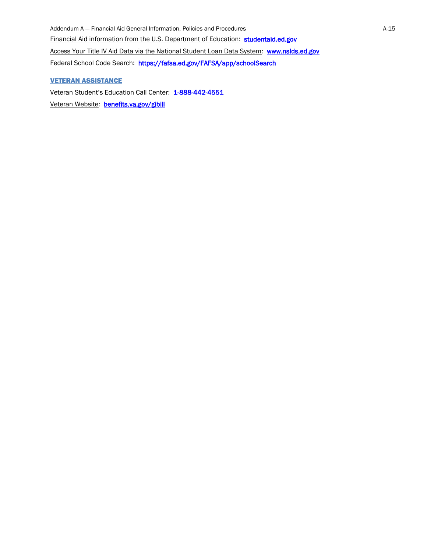Financial Aid information from the U.S. Department of Education: studentaid.ed.gov

Access Your Title IV Aid Data via the National Student Loan Data System: [www.nslds.ed.gov](http://www.nslds.ed.gov/)

Federal School Code Search: <https://fafsa.ed.gov/FAFSA/app/schoolSearch>

### VETERAN ASSISTANCE

Veteran Student's Education Call Center: [1-888-442-4551](http://www.fafsa.ed.gov/)  Veteran Website: benefits.va.gov/gibill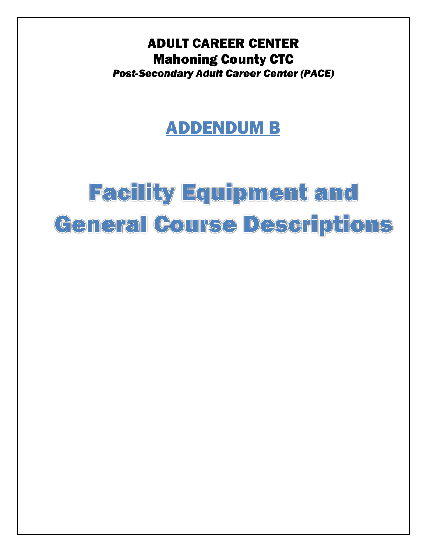ADULT CAREER CENTER Mahoning County CTC *Post-Secondary Adult Career Center (PACE)*

## ADDENDUM B

# **Facility Equipment and** Ceneral Course Descriptions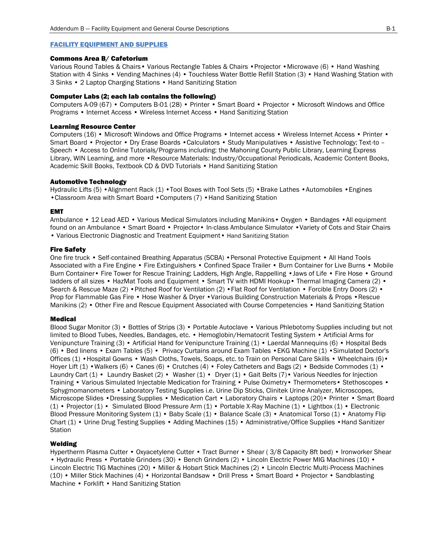#### FACILITY EQUIPMENT AND SUPPLIES

#### Commons Area B/ Cafetorium

Various Round Tables & Chairs• Various Rectangle Tables & Chairs •Projector •Microwave (6) • Hand Washing Station with 4 Sinks • Vending Machines (4) • Touchless Water Bottle Refill Station (3) • Hand Washing Station with 3 Sinks • 2 Laptop Charging Stations • Hand Sanitizing Station

#### Computer Labs (2; each lab contains the following)

Computers A-09 (67) • Computers B-01 (28) • Printer • Smart Board • Projector • Microsoft Windows and Office Programs • Internet Access • Wireless Internet Access • Hand Sanitizing Station

#### Learning Resource Center

Computers (16) • Microsoft Windows and Office Programs • Internet access • Wireless Internet Access • Printer • Smart Board • Projector • Dry Erase Boards •Calculators • Study Manipulatives • Assistive Technology; Text-to – Speech • Access to Online Tutorials/Programs including: the Mahoning County Public Library, Learning Express Library, WIN Learning, and more • Resource Materials: Industry/Occupational Periodicals, Academic Content Books, Academic Skill Books, Textbook CD & DVD Tutorials • Hand Sanitizing Station

#### Automotive Technology

Hydraulic Lifts (5) • Alignment Rack (1) • Tool Boxes with Tool Sets (5) • Brake Lathes • Automobiles • Engines •Classroom Area with Smart Board •Computers (7) • Hand Sanitizing Station

#### EMT

Ambulance • 12 Lead AED • Various Medical Simulators including Manikins• Oxygen • Bandages •All equipment found on an Ambulance • Smart Board • Projector• In-class Ambulance Simulator •Variety of Cots and Stair Chairs • Various Electronic Diagnostic and Treatment Equipment • Hand Sanitizing Station

#### Fire Safety

One fire truck • Self-contained Breathing Apparatus (SCBA) •Personal Protective Equipment • All Hand Tools Associated with a Fire Engine • Fire Extinguishers • Confined Space Trailer • Burn Container for Live Burns • Mobile Burn Container• Fire Tower for Rescue Training; Ladders, High Angle, Rappelling •Jaws of Life • Fire Hose • Ground ladders of all sizes • HazMat Tools and Equipment • Smart TV with HDMI Hookup • Thermal Imaging Camera (2) • Search & Rescue Maze (2) • Pitched Roof for Ventilation (2) • Flat Roof for Ventilation • Forcible Entry Doors (2) • Prop for Flammable Gas Fire • Hose Washer & Dryer •Various Building Construction Materials & Props •Rescue Manikins (2) • Other Fire and Rescue Equipment Associated with Course Competencies • Hand Sanitizing Station

#### Medical

Blood Sugar Monitor (3) • Bottles of Strips (3) • Portable Autoclave • Various Phlebotomy Supplies including but not limited to Blood Tubes, Needles, Bandages, etc. • Hemoglobin/Hematocrit Testing System • Artificial Arms for Venipuncture Training (3) • Artificial Hand for Venipuncture Training (1) • Laerdal Mannequins (6) • Hospital Beds (6) • Bed linens • Exam Tables (5) • Privacy Curtains around Exam Tables •EKG Machine (1) •Simulated Doctor's Offices (1) •Hospital Gowns • Wash Cloths, Towels, Soaps, etc. to Train on Personal Care Skills • Wheelchairs (6)• Hoyer Lift (1) • Walkers (6) • Canes (6) • Crutches (4) • Foley Catheters and Bags (2) • Bedside Commodes (1) • Laundry Cart (1) • Laundry Basket (2) • Washer (1) • Dryer (1) • Gait Belts (7) • Various Needles for Injection Training • Various Simulated Injectable Medication for Training • Pulse Oximetry• Thermometers• Stethoscopes • Sphygmomanometers • Laboratory Testing Supplies i.e. Urine Dip Sticks, Clinitek Urine Analyzer, Microscopes, Microscope Slides •Dressing Supplies • Medication Cart • Laboratory Chairs • Laptops (20)• Printer • Smart Board (1) • Projector (1) • Simulated Blood Pressure Arm (1) • Portable X-Ray Machine (1) • Lightbox (1) • Electronic Blood Pressure Monitoring System (1) • Baby Scale (1) • Balance Scale (3) • Anatomical Torso (1) • Anatomy Flip Chart (1) • Urine Drug Testing Supplies • Adding Machines (15) • Administrative/Office Supplies •Hand Sanitizer **Station** 

#### Welding

Hypertherm Plasma Cutter • Oxyacetylene Cutter • Tract Burner • Shear ( 3/8 Capacity 8ft bed) • Ironworker Shear • Hydraulic Press • Portable Grinders (30) • Bench Grinders (2) • Lincoln Electric Power MIG Machines (10) • Lincoln Electric TIG Machines (20) • Miller & Hobart Stick Machines (2) • Lincoln Electric Multi-Process Machines (10) • Miller Stick Machines (4) • Horizontal Bandsaw • Drill Press • Smart Board • Projector • Sandblasting Machine • Forklift • Hand Sanitizing Station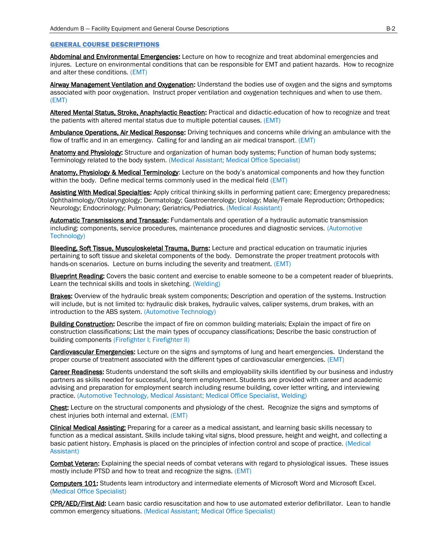#### GENERAL COURSE DESCRIPTIONS

Abdominal and Environmental Emergencies: Lecture on how to recognize and treat abdominal emergencies and injures. Lecture on environmental conditions that can be responsible for EMT and patient hazards. How to recognize and alter these conditions. (EMT)

Airway Management Ventilation and Oxygenation: Understand the bodies use of oxygen and the signs and symptoms associated with poor oxygenation. Instruct proper ventilation and oxygenation techniques and when to use them. (EMT)

Altered Mental Status, Stroke, Anaphylactic Reaction: Practical and didactic education of how to recognize and treat the patients with altered mental status due to multiple potential causes. (EMT)

Ambulance Operations, Air Medical Response: Driving techniques and concerns while driving an ambulance with the flow of traffic and in an emergency. Calling for and landing an air medical transport. (EMT)

Anatomy and Physiology: Structure and organization of human body systems; Function of human body systems; Terminology related to the body system. (Medical Assistant; Medical Office Specialist)

Anatomy, Physiology & Medical Terminology: Lecture on the body's anatomical components and how they function within the body. Define medical terms commonly used in the medical field (EMT)

Assisting With Medical Specialties: Apply critical thinking skills in performing patient care; Emergency preparedness; Ophthalmology/Otolaryngology; Dermatology; Gastroenterology; Urology; Male/Female Reproduction; Orthopedics; Neurology; Endocrinology; Pulmonary; Geriatrics/Pediatrics. (Medical Assistant)

Automatic Transmissions and Transaxle: Fundamentals and operation of a hydraulic automatic transmission including: components, service procedures, maintenance procedures and diagnostic services. (Automotive Technology)

Bleeding, Soft Tissue, Musculoskeletal Trauma, Burns: Lecture and practical education on traumatic injuries pertaining to soft tissue and skeletal components of the body. Demonstrate the proper treatment protocols with hands-on scenarios. Lecture on burns including the severity and treatment. (EMT)

Blueprint Reading: Covers the basic content and exercise to enable someone to be a competent reader of blueprints. Learn the technical skills and tools in sketching. (Welding)

**Brakes:** Overview of the hydraulic break system components; Description and operation of the systems. Instruction will include, but is not limited to: hydraulic disk brakes, hydraulic valves, caliper systems, drum brakes, with an introduction to the ABS system. (Automotive Technology)

Building Construction: Describe the impact of fire on common building materials; Explain the impact of fire on construction classifications; List the main types of occupancy classifications; Describe the basic construction of building components (Firefighter I; Firefighter II)

Cardiovascular Emergencies: Lecture on the signs and symptoms of lung and heart emergencies. Understand the proper course of treatment associated with the different types of cardiovascular emergencies. (EMT)

Career Readiness: Students understand the soft skills and employability skills identified by our business and industry partners as skills needed for successful, long-term employment. Students are provided with career and academic advising and preparation for employment search including resume building, cover letter writing, and interviewing practice. (Automotive Technology, Medical Assistant; Medical Office Specialist, Welding)

Chest: Lecture on the structural components and physiology of the chest. Recognize the signs and symptoms of chest injuries both internal and external. (EMT)

Clinical Medical Assisting: Preparing for a career as a medical assistant, and learning basic skills necessary to function as a medical assistant. Skills include taking vital signs, blood pressure, height and weight, and collecting a basic patient history. Emphasis is placed on the principles of infection control and scope of practice. (Medical Assistant)

Combat Veteran: Explaining the special needs of combat veterans with regard to physiological issues. These issues mostly include PTSD and how to treat and recognize the signs. (EMT)

Computers 101: Students learn introductory and intermediate elements of Microsoft Word and Microsoft Excel. (Medical Office Specialist)

CPR/AED/First Aid: Learn basic cardio resuscitation and how to use automated exterior defibrillator. Lean to handle common emergency situations. (Medical Assistant; Medical Office Specialist)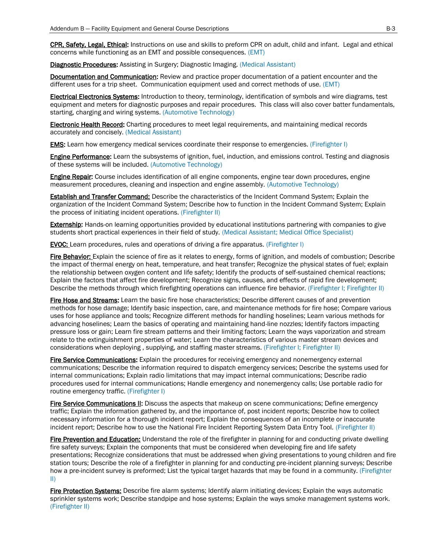CPR, Safety, Legal, Ethical: Instructions on use and skills to preform CPR on adult, child and infant. Legal and ethical concerns while functioning as an EMT and possible consequences. (EMT)

Diagnostic Procedures: Assisting in Surgery; Diagnostic Imaging. (Medical Assistant)

**Documentation and Communication:** Review and practice proper documentation of a patient encounter and the different uses for a trip sheet. Communication equipment used and correct methods of use. (EMT)

Electrical Electronics Systems: Introduction to theory, terminology, identification of symbols and wire diagrams, test equipment and meters for diagnostic purposes and repair procedures. This class will also cover batter fundamentals, starting, charging and wiring systems. (Automotive Technology)

**Electronic Health Record:** Charting procedures to meet legal requirements, and maintaining medical records accurately and concisely. (Medical Assistant)

**EMS:** Learn how emergency medical services coordinate their response to emergencies. (Firefighter I)

**Engine Performance:** Learn the subsystems of ignition, fuel, induction, and emissions control. Testing and diagnosis of these systems will be included. (Automotive Technology)

Engine Repair: Course includes identification of all engine components, engine tear down procedures, engine measurement procedures, cleaning and inspection and engine assembly. (Automotive Technology)

Establish and Transfer Command: Describe the characteristics of the Incident Command System; Explain the organization of the Incident Command System; Describe how to function in the Incident Command System; Explain the process of initiating incident operations. (Firefighter II)

**Externship:** Hands-on learning opportunities provided by educational institutions partnering with companies to give students short practical experiences in their field of study. (Medical Assistant; Medical Office Specialist)

EVOC: Learn procedures, rules and operations of driving a fire apparatus. (Firefighter I)

Fire Behavior: Explain the science of fire as it relates to energy, forms of ignition, and models of combustion; Describe the impact of thermal energy on heat, temperature, and heat transfer; Recognize the physical states of fuel; explain the relationship between oxygen content and life safety; Identify the products of self-sustained chemical reactions; Explain the factors that affect fire development; Recognize signs, causes, and effects of rapid fire development; Describe the methods through which firefighting operations can influence fire behavior. (Firefighter I; Firefighter II)

Fire Hose and Streams: Learn the basic fire hose characteristics; Describe different causes of and prevention methods for hose damage; Identify basic inspection, care, and maintenance methods for fire hose; Compare various uses for hose appliance and tools; Recognize different methods for handling hoselines; Learn various methods for advancing hoselines; Learn the basics of operating and maintaining hand-line nozzles; Identify factors impacting pressure loss or gain; Learn fire stream patterns and their limiting factors; Learn the ways vaporization and stream relate to the extinguishment properties of water; Learn the characteristics of various master stream devices and considerations when deploying , supplying, and staffing master streams. (Firefighter I; Firefighter II)

Fire Service Communications: Explain the procedures for receiving emergency and nonemergency external communications; Describe the information required to dispatch emergency services; Describe the systems used for internal communications; Explain radio limitations that may impact internal communications; Describe radio procedures used for internal communications; Handle emergency and nonemergency calls; Use portable radio for routine emergency traffic. (Firefighter I)

Fire Service Communications II: Discuss the aspects that makeup on scene communications; Define emergency traffic; Explain the information gathered by, and the importance of, post incident reports; Describe how to collect necessary information for a thorough incident report; Explain the consequences of an incomplete or inaccurate incident report; Describe how to use the National Fire Incident Reporting System Data Entry Tool. (Firefighter II)

Fire Prevention and Education: Understand the role of the firefighter in planning for and conducting private dwelling fire safety surveys; Explain the components that must be considered when developing fire and life safety presentations; Recognize considerations that must be addressed when giving presentations to young children and fire station tours; Describe the role of a firefighter in planning for and conducting pre-incident planning surveys; Describe how a pre-incident survey is preformed; List the typical target hazards that may be found in a community. (Firefighter II)

Fire Protection Systems: Describe fire alarm systems; Identify alarm initiating devices; Explain the ways automatic sprinkler systems work; Describe standpipe and hose systems; Explain the ways smoke management systems work. (Firefighter II)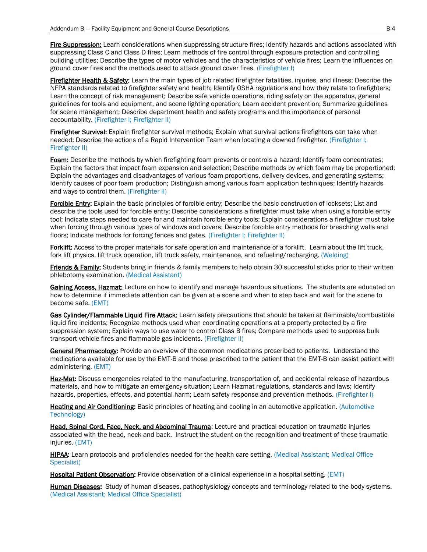Fire Suppression: Learn considerations when suppressing structure fires; Identify hazards and actions associated with suppressing Class C and Class D fires; Learn methods of fire control through exposure protection and controlling building utilities; Describe the types of motor vehicles and the characteristics of vehicle fires; Learn the influences on ground cover fires and the methods used to attack ground cover fires. (Firefighter I)

Firefighter Health & Safety: Learn the main types of job related firefighter fatalities, injuries, and illness; Describe the NFPA standards related to firefighter safety and health; Identify OSHA regulations and how they relate to firefighters; Learn the concept of risk management; Describe safe vehicle operations, riding safety on the apparatus, general guidelines for tools and equipment, and scene lighting operation; Learn accident prevention; Summarize guidelines for scene management; Describe department health and safety programs and the importance of personal accountability. (Firefighter I; Firefighter II)

Firefighter Survival: Explain firefighter survival methods; Explain what survival actions firefighters can take when needed; Describe the actions of a Rapid Intervention Team when locating a downed firefighter. (Firefighter I; Firefighter II)

Foam: Describe the methods by which firefighting foam prevents or controls a hazard; Identify foam concentrates; Explain the factors that impact foam expansion and selection; Describe methods by which foam may be proportioned; Explain the advantages and disadvantages of various foam proportions, delivery devices, and generating systems; Identify causes of poor foam production; Distinguish among various foam application techniques; Identify hazards and ways to control them. (Firefighter II)

Forcible Entry: Explain the basic principles of forcible entry; Describe the basic construction of locksets; List and describe the tools used for forcible entry; Describe considerations a firefighter must take when using a forcible entry tool; Indicate steps needed to care for and maintain forcible entry tools; Explain considerations a firefighter must take when forcing through various types of windows and covers; Describe forcible entry methods for breaching walls and floors; Indicate methods for forcing fences and gates. (Firefighter I; Firefighter II)

Forklift: Access to the proper materials for safe operation and maintenance of a forklift. Learn about the lift truck. fork lift physics, lift truck operation, lift truck safety, maintenance, and refueling/recharging. (Welding)

Friends & Family: Students bring in friends & family members to help obtain 30 successful sticks prior to their written phlebotomy examination. (Medical Assistant)

Gaining Access, Hazmat: Lecture on how to identify and manage hazardous situations. The students are educated on how to determine if immediate attention can be given at a scene and when to step back and wait for the scene to become safe. (EMT)

Gas Cylinder/Flammable Liquid Fire Attack: Learn safety precautions that should be taken at flammable/combustible liquid fire incidents; Recognize methods used when coordinating operations at a property protected by a fire suppression system; Explain ways to use water to control Class B fires; Compare methods used to suppress bulk transport vehicle fires and flammable gas incidents. (Firefighter II)

General Pharmacology: Provide an overview of the common medications proscribed to patients. Understand the medications available for use by the EMT-B and those prescribed to the patient that the EMT-B can assist patient with administering. (EMT)

Haz-Mat: Discuss emergencies related to the manufacturing, transportation of, and accidental release of hazardous materials, and how to mitigate an emergency situation; Learn Hazmat regulations, standards and laws; Identify hazards, properties, effects, and potential harm; Learn safety response and prevention methods. (Firefighter I)

Heating and Air Conditioning: Basic principles of heating and cooling in an automotive application. (Automotive Technology)

Head, Spinal Cord, Face, Neck, and Abdominal Trauma: Lecture and practical education on traumatic injuries associated with the head, neck and back. Instruct the student on the recognition and treatment of these traumatic injuries. (EMT)

HIPAA: Learn protocols and proficiencies needed for the health care setting. (Medical Assistant; Medical Office Specialist)

Hospital Patient Observation: Provide observation of a clinical experience in a hospital setting. (EMT)

Human Diseases: Study of human diseases, pathophysiology concepts and terminology related to the body systems. (Medical Assistant; Medical Office Specialist)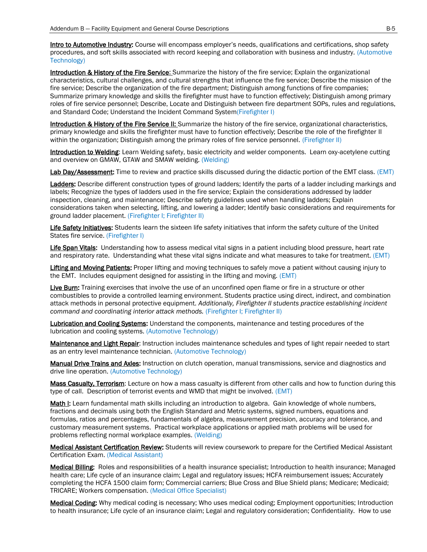**Intro to Automotive Industry:** Course will encompass employer's needs, qualifications and certifications, shop safety procedures, and soft skills associated with record keeping and collaboration with business and industry. (Automotive Technology)

Introduction & History of the Fire Service: Summarize the history of the fire service; Explain the organizational characteristics, cultural challenges, and cultural strengths that influence the fire service; Describe the mission of the fire service; Describe the organization of the fire department; Distinguish among functions of fire companies; Summarize primary knowledge and skills the firefighter must have to function effectively; Distinguish among primary roles of fire service personnel; Describe, Locate and Distinguish between fire department SOPs, rules and regulations, and Standard Code; Understand the Incident Command System(Firefighter I)

Introduction & History of the Fire Service II: Summarize the history of the fire service, organizational characteristics, primary knowledge and skills the firefighter must have to function effectively; Describe the role of the firefighter II within the organization; Distinguish among the primary roles of fire service personnel. (Firefighter II)

Introduction to Welding: Learn Welding safety, basic electricity and welder components. Learn oxy-acetylene cutting and overview on GMAW, GTAW and SMAW welding. (Welding)

Lab Day/Assessment: Time to review and practice skills discussed during the didactic portion of the EMT class. (EMT)

Ladders: Describe different construction types of ground ladders; Identify the parts of a ladder including markings and labels; Recognize the types of ladders used in the fire service; Explain the considerations addressed by ladder inspection, cleaning, and maintenance; Describe safety guidelines used when handling ladders; Explain considerations taken when selecting, lifting, and lowering a ladder; Identify basic considerations and requirements for ground ladder placement. (Firefighter I; Firefighter II)

Life Safety Initiatives: Students learn the sixteen life safety initiatives that inform the safety culture of the United States fire service. (Firefighter I)

Life Span Vitals: Understanding how to assess medical vital signs in a patient including blood pressure, heart rate and respiratory rate. Understanding what these vital signs indicate and what measures to take for treatment. (EMT)

Lifting and Moving Patients: Proper lifting and moving techniques to safely move a patient without causing injury to the EMT. Includes equipment designed for assisting in the lifting and moving. (EMT)

Live Burn: Training exercises that involve the use of an unconfined open flame or fire in a structure or other combustibles to provide a controlled learning environment. Students practice using direct, indirect, and combination attack methods in personal protective equipment. *Additionally, Firefighter II students practice establishing incident command and coordinating interior attack methods.* (Firefighter I; Firefighter II)

Lubrication and Cooling Systems: Understand the components, maintenance and testing procedures of the lubrication and cooling systems. (Automotive Technology)

Maintenance and Light Repair: Instruction includes maintenance schedules and types of light repair needed to start as an entry level maintenance technician. (Automotive Technology)

Manual Drive Trains and Axles: Instruction on clutch operation, manual transmissions, service and diagnostics and drive line operation. (Automotive Technology)

Mass Casualty, Terrorism: Lecture on how a mass casualty is different from other calls and how to function during this type of call. Description of terrorist events and WMD that might be involved. (EMT)

Math I: Learn fundamental math skills including an introduction to algebra. Gain knowledge of whole numbers, fractions and decimals using both the English Standard and Metric systems, signed numbers, equations and formulas, ratios and percentages, fundamentals of algebra, measurement precision, accuracy and tolerance, and customary measurement systems. Practical workplace applications or applied math problems will be used for problems reflecting normal workplace examples. (Welding)

Medical Assistant Certification Review: Students will review coursework to prepare for the Certified Medical Assistant Certification Exam. (Medical Assistant)

Medical Billing: Roles and responsibilities of a health insurance specialist; Introduction to health insurance; Managed health care; Life cycle of an insurance claim; Legal and regulatory issues; HCFA reimbursement issues; Accurately completing the HCFA 1500 claim form; Commercial carriers; Blue Cross and Blue Shield plans; Medicare; Medicaid; TRICARE; Workers compensation. (Medical Office Specialist)

Medical Coding: Why medical coding is necessary; Who uses medical coding; Employment opportunities; Introduction to health insurance; Life cycle of an insurance claim; Legal and regulatory consideration; Confidentiality. How to use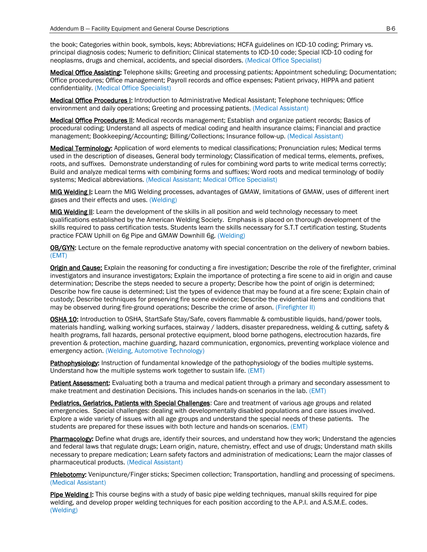the book; Categories within book, symbols, keys; Abbreviations; HCFA guidelines on ICD-10 coding; Primary vs. principal diagnosis codes; Numeric to definition; Clinical statements to ICD-10 code; Special ICD-10 coding for neoplasms, drugs and chemical, accidents, and special disorders. (Medical Office Specialist)

Medical Office Assisting: Telephone skills; Greeting and processing patients; Appointment scheduling; Documentation; Office procedures; Office management; Payroll records and office expenses; Patient privacy, HIPPA and patient confidentiality. (Medical Office Specialist)

Medical Office Procedures I: Introduction to Administrative Medical Assistant: Telephone techniques: Office environment and daily operations; Greeting and processing patients. (Medical Assistant)

Medical Office Procedures II: Medical records management; Establish and organize patient records; Basics of procedural coding; Understand all aspects of medical coding and health insurance claims; Financial and practice management; Bookkeeping/Accounting; Billing/Collections; Insurance follow-up. (Medical Assistant)

Medical Terminology: Application of word elements to medical classifications; Pronunciation rules; Medical terms used in the description of diseases, General body terminology; Classification of medical terms, elements, prefixes, roots, and suffixes. Demonstrate understanding of rules for combining word parts to write medical terms correctly; Build and analyze medical terms with combining forms and suffixes; Word roots and medical terminology of bodily systems; Medical abbreviations. (Medical Assistant; Medical Office Specialist)

MIG Welding I: Learn the MIG Welding processes, advantages of GMAW, limitations of GMAW, uses of different inert gases and their effects and uses. (Welding)

MIG Welding II: Learn the development of the skills in all position and weld technology necessary to meet qualifications established by the American Welding Society. Emphasis is placed on thorough development of the skills required to pass certification tests. Students learn the skills necessary for S.T.T certification testing. Students practice FCAW Uphill on 6g Pipe and GMAW Downhill 6g. (Welding)

OB/GYN: Lecture on the female reproductive anatomy with special concentration on the delivery of newborn babies. (EMT)

Origin and Cause: Explain the reasoning for conducting a fire investigation; Describe the role of the firefighter, criminal investigators and insurance investigators; Explain the importance of protecting a fire scene to aid in origin and cause determination; Describe the steps needed to secure a property; Describe how the point of origin is determined; Describe how fire cause is determined; List the types of evidence that may be found at a fire scene; Explain chain of custody; Describe techniques for preserving fire scene evidence; Describe the evidential items and conditions that may be observed during fire-ground operations; Describe the crime of arson. (Firefighter II)

OSHA 10: Introduction to OSHA, StartSafe Stay/Safe, covers flammable & combustible liquids, hand/power tools, materials handling, walking working surfaces, stairway / ladders, disaster preparedness, welding & cutting, safety & health programs, fall hazards, personal protective equipment, blood borne pathogens, electrocution hazards, fire prevention & protection, machine guarding, hazard communication, ergonomics, preventing workplace violence and emergency action. (Welding, Automotive Technology)

Pathophysiology: Instruction of fundamental knowledge of the pathophysiology of the bodies multiple systems. Understand how the multiple systems work together to sustain life. (EMT)

Patient Assessment: Evaluating both a trauma and medical patient through a primary and secondary assessment to make treatment and destination Decisions. This includes hands-on scenarios in the lab. (EMT)

Pediatrics, Geriatrics, Patients with Special Challenges: Care and treatment of various age groups and related emergencies. Special challenges: dealing with developmentally disabled populations and care issues involved. Explore a wide variety of issues with all age groups and understand the special needs of these patients. The students are prepared for these issues with both lecture and hands-on scenarios. (EMT)

Pharmacology: Define what drugs are, identify their sources, and understand how they work; Understand the agencies and federal laws that regulate drugs; Learn origin, nature, chemistry, effect and use of drugs; Understand math skills necessary to prepare medication; Learn safety factors and administration of medications; Learn the major classes of pharmaceutical products. (Medical Assistant)

Phlebotomy: Venipuncture/Finger sticks; Specimen collection; Transportation, handling and processing of specimens. (Medical Assistant)

Pipe Welding I: This course begins with a study of basic pipe welding techniques, manual skills required for pipe welding, and develop proper welding techniques for each position according to the A.P.I. and A.S.M.E. codes. (Welding)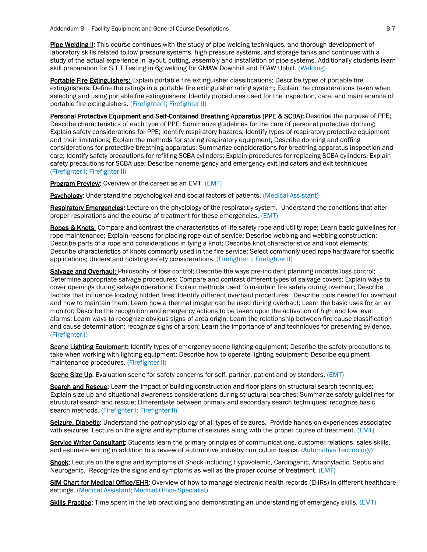Pipe Welding II: This course continues with the study of pipe welding techniques, and thorough development of laboratory skills related to low pressure systems, high pressure systems, and storage tanks and continues with a study of the actual experience in layout, cutting, assembly and installation of pipe systems. Additionally students learn skill preparation for S.T.T Testing in 6g welding for GMAW Downhill and FCAW Uphill. (Welding)

Portable Fire Extinguishers: Explain portable fire extinguisher classifications; Describe types of portable fire extinguishers; Define the ratings in a portable fire extinguisher rating system; Explain the considerations taken when selecting and using portable fire extinguishers; Identify procedures used for the inspection, care, and maintenance of portable fire extinguishers. (Firefighter I; Firefighter II)

Personal Protective Equipment and Self-Contained Breathing Apparatus (PPE & SCBA): Describe the purpose of PPE; Describe characteristics of each type of PPE; Summarize guidelines for the care of personal protective clothing; Explain safety considerations for PPE; Identify respiratory hazards; Identify types of respiratory protective equipment and their limitations; Explain the methods for storing respiratory equipment; Describe donning and doffing considerations for protective breathing apparatus; Summarize considerations for breathing apparatus inspection and care; Identify safety precautions for refilling SCBA cylinders; Explain procedures for replacing SCBA cylinders; Explain safety precautions for SCBA use; Describe nonemergency and emergency exit indicators and exit techniques (Firefighter I; Firefighter II)

Program Preview: Overview of the career as an EMT. (EMT)

Psychology: Understand the psychological and social factors of patients. (Medical Assistant)

Respiratory Emergencies: Lecture on the physiology of the respiratory system. Understand the conditions that alter proper respirations and the course of treatment for these emergencies. (EMT)

Ropes & Knots: Compare and contrast the characteristics of life safety rope and utility rope; Learn basic guidelines for rope maintenance; Explain reasons for placing rope out of service; Describe webbing and webbing construction; Describe parts of a rope and considerations in tying a knot; Describe knot characteristics and knot elements; Describe characteristics of knots commonly used in the fire service; Select commonly used rope hardware for specific applications; Understand hoisting safety considerations. (Firefighter I; Firefighter II)

Salvage and Overhaul: Philosophy of loss control; Describe the ways pre-incident planning impacts loss control; Determine appropriate salvage procedures; Compare and contrast different types of salvage covers; Explain ways to cover openings during salvage operations; Explain methods used to maintain fire safety during overhaul; Describe factors that influence locating hidden fires; Identify different overhaul procedures; Describe tools needed for overhaul and how to maintain them; Learn how a thermal imager can be used during overhaul; Learn the basic uses for an air monitor; Describe the recognition and emergency actions to be taken upon the activation of high and low level alarms; Learn ways to recognize obvious signs of area origin; Learn the relationship between fire cause classification and cause determination; recognize signs of arson; Learn the importance of and techniques for preserving evidence. (Firefighter I)

Scene Lighting Equipment: Identify types of emergency scene lighting equipment; Describe the safety precautions to take when working with lighting equipment; Describe how to operate lighting equipment; Describe equipment maintenance procedures. (Firefighter II)

Scene Size Up: Evaluation scene for safety concerns for self, partner, patient and by-standers. (EMT)

Search and Rescue: Learn the impact of building construction and floor plans on structural search techniques; Explain size-up and situational awareness considerations during structural searches; Summarize safety guidelines for structural search and rescue; Differentiate between primary and secondary search techniques; recognize basic search methods. (Firefighter I; Firefighter II)

Seizure, Diabetic: Understand the pathophysiology of all types of seizures. Provide hands-on experiences associated with seizures. Lecture on the signs and symptoms of seizures along with the proper course of treatment. (EMT)

Service Writer Consultant: Students learn the primary principles of communications, customer relations, sales skills, and estimate writing in addition to a review of automotive industry curriculum basics. (Automotive Technology)

Shock: Lecture on the signs and symptoms of Shock including Hypovolemic, Cardiogenic, Anaphylactic, Septic and Neurogenic. Recognize the signs and symptoms as well as the proper course of treatment. (EMT)

SIM Chart for Medical Office/EHR: Overview of how to manage electronic health records (EHRs) in different healthcare settings. (Medical Assistant; Medical Office Specialist)

Skills Practice: Time spent in the lab practicing and demonstrating an understanding of emergency skills. (EMT)